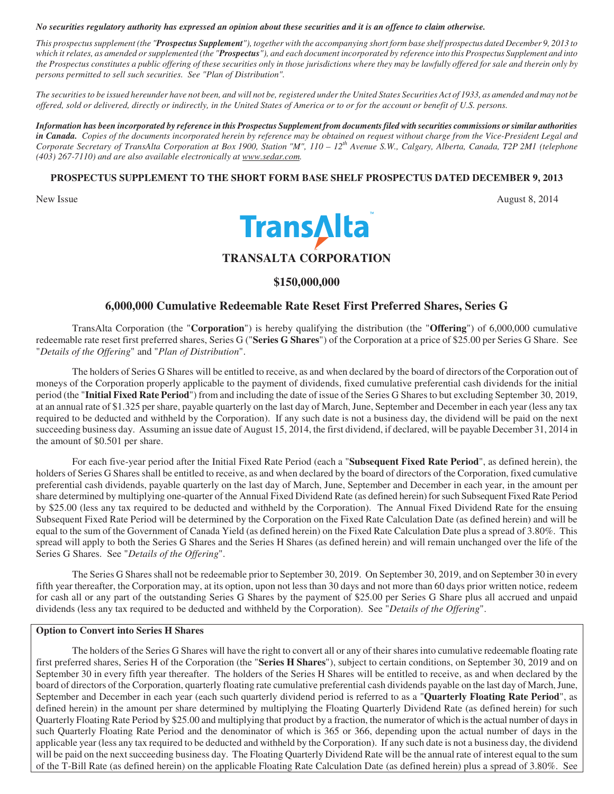#### *No securities regulatory authority has expressed an opinion about these securities and it is an offence to claim otherwise.*

*This prospectus supplement (the "Prospectus Supplement"), together with the accompanying short form base shelf prospectus dated December 9, 2013 to which it relates, as amended or supplemented (the "Prospectus"), and each document incorporated by reference into this Prospectus Supplement and into the Prospectus constitutes a public offering of these securities only in those jurisdictions where they may be lawfully offered for sale and therein only by persons permitted to sell such securities. See "Plan of Distribution".* 

*The securities to be issued hereunder have not been, and will not be, registered under the United States Securities Act of 1933, as amended and may not be offered, sold or delivered, directly or indirectly, in the United States of America or to or for the account or benefit of U.S. persons.* 

*Information has been incorporated by reference in this Prospectus Supplement from documents filed with securities commissions or similar authorities in Canada. Copies of the documents incorporated herein by reference may be obtained on request without charge from the Vice-President Legal and Corporate Secretary of TransAlta Corporation at Box 1900, Station "M", 110 – 12th Avenue S.W., Calgary, Alberta, Canada, T2P 2M1 (telephone (403) 267-7110) and are also available electronically at www.sedar.com.* 

# **PROSPECTUS SUPPLEMENT TO THE SHORT FORM BASE SHELF PROSPECTUS DATED DECEMBER 9, 2013**





# **TRANSALTA CORPORATION**

# **\$150,000,000**

# **6,000,000 Cumulative Redeemable Rate Reset First Preferred Shares, Series G**

TransAlta Corporation (the "**Corporation**") is hereby qualifying the distribution (the "**Offering**") of 6,000,000 cumulative redeemable rate reset first preferred shares, Series G ("**Series G Shares**") of the Corporation at a price of \$25.00 per Series G Share. See "*Details of the Offering*" and "*Plan of Distribution*".

The holders of Series G Shares will be entitled to receive, as and when declared by the board of directors of the Corporation out of moneys of the Corporation properly applicable to the payment of dividends, fixed cumulative preferential cash dividends for the initial period (the "**Initial Fixed Rate Period**") from and including the date of issue of the Series G Shares to but excluding September 30, 2019, at an annual rate of \$1.325 per share, payable quarterly on the last day of March, June, September and December in each year (less any tax required to be deducted and withheld by the Corporation). If any such date is not a business day, the dividend will be paid on the next succeeding business day. Assuming an issue date of August 15, 2014, the first dividend, if declared, will be payable December 31, 2014 in the amount of \$0.501 per share.

For each five-year period after the Initial Fixed Rate Period (each a "**Subsequent Fixed Rate Period**", as defined herein), the holders of Series G Shares shall be entitled to receive, as and when declared by the board of directors of the Corporation, fixed cumulative preferential cash dividends, payable quarterly on the last day of March, June, September and December in each year, in the amount per share determined by multiplying one-quarter of the Annual Fixed Dividend Rate (as defined herein) for such Subsequent Fixed Rate Period by \$25.00 (less any tax required to be deducted and withheld by the Corporation). The Annual Fixed Dividend Rate for the ensuing Subsequent Fixed Rate Period will be determined by the Corporation on the Fixed Rate Calculation Date (as defined herein) and will be equal to the sum of the Government of Canada Yield (as defined herein) on the Fixed Rate Calculation Date plus a spread of 3.80%. This spread will apply to both the Series G Shares and the Series H Shares (as defined herein) and will remain unchanged over the life of the Series G Shares. See "*Details of the Offering*".

The Series G Shares shall not be redeemable prior to September 30, 2019. On September 30, 2019, and on September 30 in every fifth year thereafter, the Corporation may, at its option, upon not less than 30 days and not more than 60 days prior written notice, redeem for cash all or any part of the outstanding Series G Shares by the payment of \$25.00 per Series G Share plus all accrued and unpaid dividends (less any tax required to be deducted and withheld by the Corporation). See "*Details of the Offering*".

# **Option to Convert into Series H Shares**

 The holders of the Series G Shares will have the right to convert all or any of their shares into cumulative redeemable floating rate first preferred shares, Series H of the Corporation (the "**Series H Shares**"), subject to certain conditions, on September 30, 2019 and on September 30 in every fifth year thereafter. The holders of the Series H Shares will be entitled to receive, as and when declared by the board of directors of the Corporation, quarterly floating rate cumulative preferential cash dividends payable on the last day of March, June, September and December in each year (each such quarterly dividend period is referred to as a "**Quarterly Floating Rate Period**", as defined herein) in the amount per share determined by multiplying the Floating Quarterly Dividend Rate (as defined herein) for such Quarterly Floating Rate Period by \$25.00 and multiplying that product by a fraction, the numerator of which is the actual number of days in such Quarterly Floating Rate Period and the denominator of which is 365 or 366, depending upon the actual number of days in the applicable year (less any tax required to be deducted and withheld by the Corporation). If any such date is not a business day, the dividend will be paid on the next succeeding business day. The Floating Quarterly Dividend Rate will be the annual rate of interest equal to the sum of the T-Bill Rate (as defined herein) on the applicable Floating Rate Calculation Date (as defined herein) plus a spread of 3.80%. See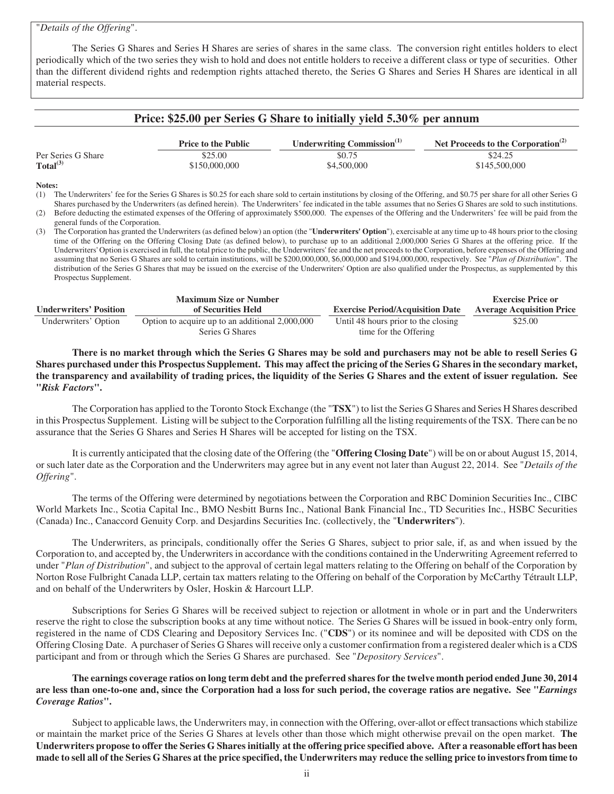# "*Details of the Offering*".

 The Series G Shares and Series H Shares are series of shares in the same class. The conversion right entitles holders to elect periodically which of the two series they wish to hold and does not entitle holders to receive a different class or type of securities. Other than the different dividend rights and redemption rights attached thereto, the Series G Shares and Series H Shares are identical in all material respects.

# **Price: \$25.00 per Series G Share to initially yield 5.30% per annum**

|                      | <b>Price to the Public</b> | Underwriting Commission <sup>(1)</sup> | Net Proceeds to the Corporation $(2)$ |
|----------------------|----------------------------|----------------------------------------|---------------------------------------|
| Per Series G Share   | \$25.00                    | \$0.75                                 | \$24.25                               |
| Total <sup>(3)</sup> | \$150,000,000              | \$4,500,000                            | \$145,500,000                         |

#### **Notes:**

(1) The Underwriters' fee for the Series G Shares is \$0.25 for each share sold to certain institutions by closing of the Offering, and \$0.75 per share for all other Series G Shares purchased by the Underwriters (as defined herein). The Underwriters' fee indicated in the table assumes that no Series G Shares are sold to such institutions.

(2) Before deducting the estimated expenses of the Offering of approximately \$500,000. The expenses of the Offering and the Underwriters' fee will be paid from the general funds of the Corporation.

(3) The Corporation has granted the Underwriters (as defined below) an option (the "**Underwriters' Option**"), exercisable at any time up to 48 hours prior to the closing time of the Offering on the Offering Closing Date (as defined below), to purchase up to an additional 2,000,000 Series G Shares at the offering price. If the Underwriters' Option is exercised in full, the total price to the public, the Underwriters' fee and the net proceeds to the Corporation, before expenses of the Offering and assuming that no Series G Shares are sold to certain institutions, will be \$200,000,000, \$6,000,000 and \$194,000,000, respectively. See "*Plan of Distribution*". The distribution of the Series G Shares that may be issued on the exercise of the Underwriters' Option are also qualified under the Prospectus, as supplemented by this Prospectus Supplement.

|                               | <b>Maximum Size or Number</b>                   |                                         | Exercise Price or                |
|-------------------------------|-------------------------------------------------|-----------------------------------------|----------------------------------|
| <b>Underwriters' Position</b> | of Securities Held                              | <b>Exercise Period/Acquisition Date</b> | <b>Average Acquisition Price</b> |
| Underwriters' Option          | Option to acquire up to an additional 2,000,000 | Until 48 hours prior to the closing     | \$25.00                          |
|                               | Series G Shares                                 | time for the Offering                   |                                  |

**There is no market through which the Series G Shares may be sold and purchasers may not be able to resell Series G Shares purchased under this Prospectus Supplement. This may affect the pricing of the Series G Shares in the secondary market, the transparency and availability of trading prices, the liquidity of the Series G Shares and the extent of issuer regulation. See "***Risk Factors***".** 

The Corporation has applied to the Toronto Stock Exchange (the "**TSX**") to list the Series G Shares and Series H Shares described in this Prospectus Supplement. Listing will be subject to the Corporation fulfilling all the listing requirements of the TSX. There can be no assurance that the Series G Shares and Series H Shares will be accepted for listing on the TSX.

It is currently anticipated that the closing date of the Offering (the "**Offering Closing Date**") will be on or about August 15, 2014, or such later date as the Corporation and the Underwriters may agree but in any event not later than August 22, 2014. See "*Details of the Offering*".

The terms of the Offering were determined by negotiations between the Corporation and RBC Dominion Securities Inc., CIBC World Markets Inc., Scotia Capital Inc., BMO Nesbitt Burns Inc., National Bank Financial Inc., TD Securities Inc., HSBC Securities (Canada) Inc., Canaccord Genuity Corp. and Desjardins Securities Inc. (collectively, the "**Underwriters**").

The Underwriters, as principals, conditionally offer the Series G Shares, subject to prior sale, if, as and when issued by the Corporation to, and accepted by, the Underwriters in accordance with the conditions contained in the Underwriting Agreement referred to under "*Plan of Distribution*", and subject to the approval of certain legal matters relating to the Offering on behalf of the Corporation by Norton Rose Fulbright Canada LLP, certain tax matters relating to the Offering on behalf of the Corporation by McCarthy Tétrault LLP, and on behalf of the Underwriters by Osler, Hoskin & Harcourt LLP.

Subscriptions for Series G Shares will be received subject to rejection or allotment in whole or in part and the Underwriters reserve the right to close the subscription books at any time without notice. The Series G Shares will be issued in book-entry only form, registered in the name of CDS Clearing and Depository Services Inc. ("**CDS**") or its nominee and will be deposited with CDS on the Offering Closing Date. A purchaser of Series G Shares will receive only a customer confirmation from a registered dealer which is a CDS participant and from or through which the Series G Shares are purchased. See "*Depository Services*".

**The earnings coverage ratios on long term debt and the preferred shares for the twelve month period ended June 30, 2014 are less than one-to-one and, since the Corporation had a loss for such period, the coverage ratios are negative. See "***Earnings Coverage Ratios***".**

Subject to applicable laws, the Underwriters may, in connection with the Offering, over-allot or effect transactions which stabilize or maintain the market price of the Series G Shares at levels other than those which might otherwise prevail on the open market. **The Underwriters propose to offer the Series G Shares initially at the offering price specified above. After a reasonable effort has been made to sell all of the Series G Shares at the price specified, the Underwriters may reduce the selling price to investors from time to**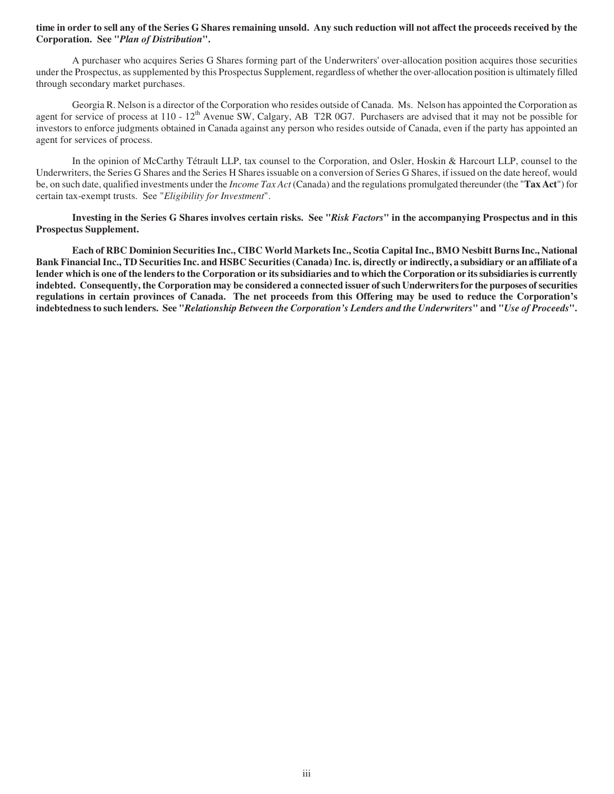# **time in order to sell any of the Series G Shares remaining unsold. Any such reduction will not affect the proceeds received by the Corporation. See "***Plan of Distribution***".**

A purchaser who acquires Series G Shares forming part of the Underwriters' over-allocation position acquires those securities under the Prospectus, as supplemented by this Prospectus Supplement, regardless of whether the over-allocation position is ultimately filled through secondary market purchases.

Georgia R. Nelson is a director of the Corporation who resides outside of Canada. Ms. Nelson has appointed the Corporation as agent for service of process at 110 - 12<sup>th</sup> Avenue SW, Calgary, AB T2R 0G7. Purchasers are advised that it may not be possible for investors to enforce judgments obtained in Canada against any person who resides outside of Canada, even if the party has appointed an agent for services of process.

In the opinion of McCarthy Tétrault LLP, tax counsel to the Corporation, and Osler, Hoskin & Harcourt LLP, counsel to the Underwriters, the Series G Shares and the Series H Shares issuable on a conversion of Series G Shares, if issued on the date hereof, would be, on such date, qualified investments under the *Income Tax Act* (Canada) and the regulations promulgated thereunder (the "**Tax Act**") for certain tax-exempt trusts. See "*Eligibility for Investment*".

**Investing in the Series G Shares involves certain risks. See "***Risk Factors***" in the accompanying Prospectus and in this Prospectus Supplement.** 

**Each of RBC Dominion Securities Inc., CIBC World Markets Inc., Scotia Capital Inc., BMO Nesbitt Burns Inc., National Bank Financial Inc., TD Securities Inc. and HSBC Securities (Canada) Inc. is, directly or indirectly, a subsidiary or an affiliate of a lender which is one of the lenders to the Corporation or its subsidiaries and to which the Corporation or its subsidiaries is currently indebted. Consequently, the Corporation may be considered a connected issuer of such Underwriters for the purposes of securities regulations in certain provinces of Canada. The net proceeds from this Offering may be used to reduce the Corporation's indebtedness to such lenders. See "***Relationship Between the Corporation's Lenders and the Underwriters***" and "***Use of Proceeds***".**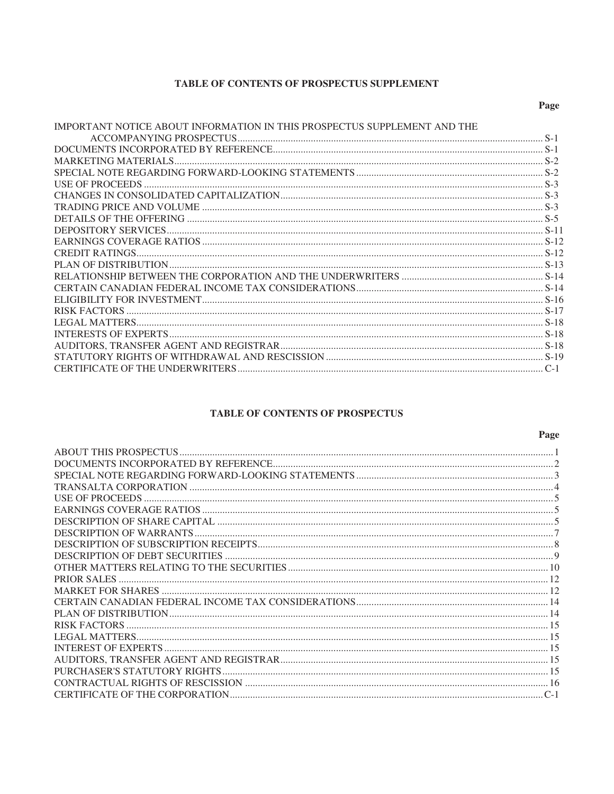# TABLE OF CONTENTS OF PROSPECTUS SUPPLEMENT

# Page

| IMPORTANT NOTICE ABOUT INFORMATION IN THIS PROSPECTUS SUPPLEMENT AND THE |  |
|--------------------------------------------------------------------------|--|
|                                                                          |  |
|                                                                          |  |
|                                                                          |  |
|                                                                          |  |
|                                                                          |  |
|                                                                          |  |
|                                                                          |  |
|                                                                          |  |
|                                                                          |  |
|                                                                          |  |
|                                                                          |  |
|                                                                          |  |
|                                                                          |  |
|                                                                          |  |
|                                                                          |  |
|                                                                          |  |
|                                                                          |  |
|                                                                          |  |
|                                                                          |  |
|                                                                          |  |
|                                                                          |  |

# TABLE OF CONTENTS OF PROSPECTUS

| Page |
|------|
|      |
|      |
|      |
|      |
|      |
|      |
|      |
|      |
|      |
|      |
|      |
|      |
|      |
|      |
|      |
|      |
|      |
|      |
|      |
|      |
|      |
|      |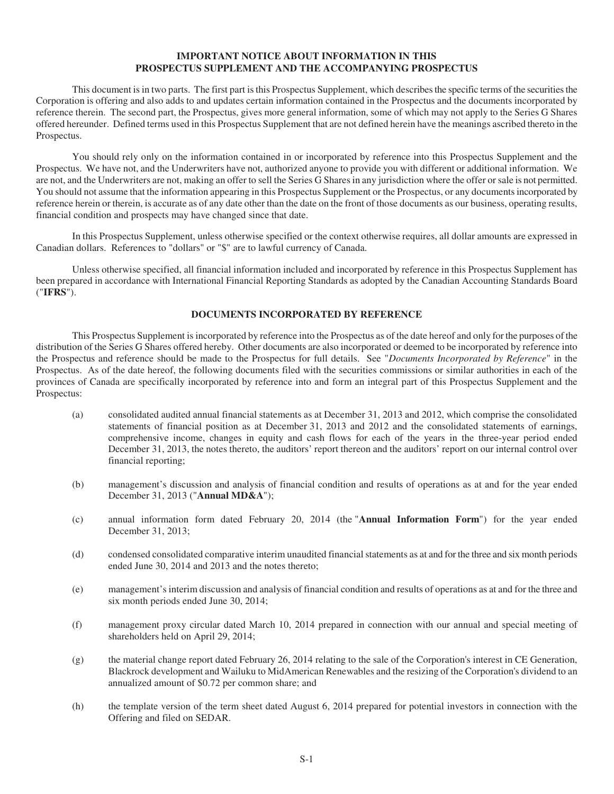# **IMPORTANT NOTICE ABOUT INFORMATION IN THIS PROSPECTUS SUPPLEMENT AND THE ACCOMPANYING PROSPECTUS**

This document is in two parts. The first part is this Prospectus Supplement, which describes the specific terms of the securities the Corporation is offering and also adds to and updates certain information contained in the Prospectus and the documents incorporated by reference therein. The second part, the Prospectus, gives more general information, some of which may not apply to the Series G Shares offered hereunder. Defined terms used in this Prospectus Supplement that are not defined herein have the meanings ascribed thereto in the Prospectus.

You should rely only on the information contained in or incorporated by reference into this Prospectus Supplement and the Prospectus. We have not, and the Underwriters have not, authorized anyone to provide you with different or additional information. We are not, and the Underwriters are not, making an offer to sell the Series G Shares in any jurisdiction where the offer or sale is not permitted. You should not assume that the information appearing in this Prospectus Supplement or the Prospectus, or any documents incorporated by reference herein or therein, is accurate as of any date other than the date on the front of those documents as our business, operating results, financial condition and prospects may have changed since that date.

In this Prospectus Supplement, unless otherwise specified or the context otherwise requires, all dollar amounts are expressed in Canadian dollars. References to "dollars" or "\$" are to lawful currency of Canada.

Unless otherwise specified, all financial information included and incorporated by reference in this Prospectus Supplement has been prepared in accordance with International Financial Reporting Standards as adopted by the Canadian Accounting Standards Board ("**IFRS**").

# **DOCUMENTS INCORPORATED BY REFERENCE**

This Prospectus Supplement is incorporated by reference into the Prospectus as of the date hereof and only for the purposes of the distribution of the Series G Shares offered hereby. Other documents are also incorporated or deemed to be incorporated by reference into the Prospectus and reference should be made to the Prospectus for full details. See "*Documents Incorporated by Reference*" in the Prospectus. As of the date hereof, the following documents filed with the securities commissions or similar authorities in each of the provinces of Canada are specifically incorporated by reference into and form an integral part of this Prospectus Supplement and the Prospectus:

- (a) consolidated audited annual financial statements as at December 31, 2013 and 2012, which comprise the consolidated statements of financial position as at December 31, 2013 and 2012 and the consolidated statements of earnings, comprehensive income, changes in equity and cash flows for each of the years in the three-year period ended December 31, 2013, the notes thereto, the auditors' report thereon and the auditors' report on our internal control over financial reporting;
- (b) management's discussion and analysis of financial condition and results of operations as at and for the year ended December 31, 2013 ("**Annual MD&A**");
- (c) annual information form dated February 20, 2014 (the "**Annual Information Form**") for the year ended December 31, 2013;
- (d) condensed consolidated comparative interim unaudited financial statements as at and for the three and six month periods ended June 30, 2014 and 2013 and the notes thereto;
- (e) management's interim discussion and analysis of financial condition and results of operations as at and for the three and six month periods ended June 30, 2014;
- (f) management proxy circular dated March 10, 2014 prepared in connection with our annual and special meeting of shareholders held on April 29, 2014;
- (g) the material change report dated February 26, 2014 relating to the sale of the Corporation's interest in CE Generation, Blackrock development and Wailuku to MidAmerican Renewables and the resizing of the Corporation's dividend to an annualized amount of \$0.72 per common share; and
- (h) the template version of the term sheet dated August 6, 2014 prepared for potential investors in connection with the Offering and filed on SEDAR.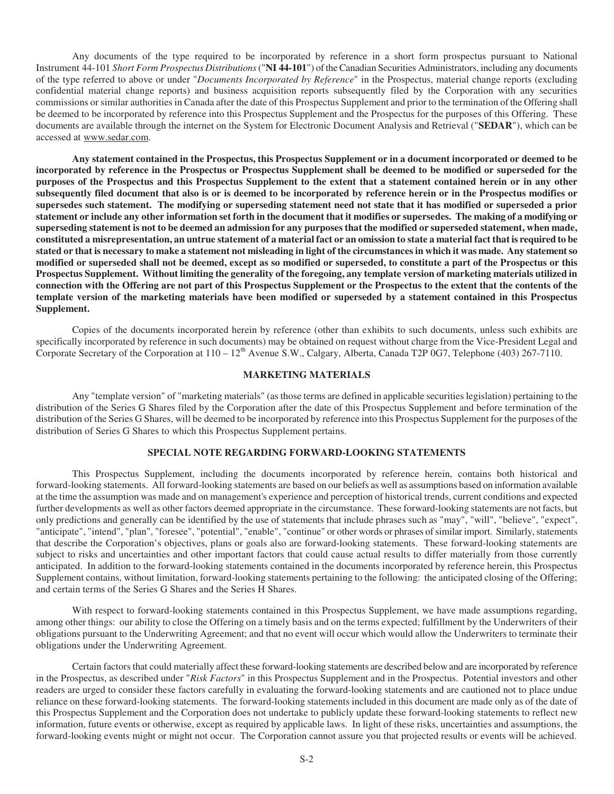Any documents of the type required to be incorporated by reference in a short form prospectus pursuant to National Instrument 44-101 *Short Form Prospectus Distributions* ("**NI 44-101**") of the Canadian Securities Administrators, including any documents of the type referred to above or under "*Documents Incorporated by Reference*" in the Prospectus, material change reports (excluding confidential material change reports) and business acquisition reports subsequently filed by the Corporation with any securities commissions or similar authorities in Canada after the date of this Prospectus Supplement and prior to the termination of the Offering shall be deemed to be incorporated by reference into this Prospectus Supplement and the Prospectus for the purposes of this Offering. These documents are available through the internet on the System for Electronic Document Analysis and Retrieval ("**SEDAR**"), which can be accessed at www.sedar.com.

**Any statement contained in the Prospectus, this Prospectus Supplement or in a document incorporated or deemed to be incorporated by reference in the Prospectus or Prospectus Supplement shall be deemed to be modified or superseded for the purposes of the Prospectus and this Prospectus Supplement to the extent that a statement contained herein or in any other subsequently filed document that also is or is deemed to be incorporated by reference herein or in the Prospectus modifies or supersedes such statement. The modifying or superseding statement need not state that it has modified or superseded a prior statement or include any other information set forth in the document that it modifies or supersedes. The making of a modifying or superseding statement is not to be deemed an admission for any purposes that the modified or superseded statement, when made, constituted a misrepresentation, an untrue statement of a material fact or an omission to state a material fact that is required to be stated or that is necessary to make a statement not misleading in light of the circumstances in which it was made. Any statement so modified or superseded shall not be deemed, except as so modified or superseded, to constitute a part of the Prospectus or this Prospectus Supplement. Without limiting the generality of the foregoing, any template version of marketing materials utilized in connection with the Offering are not part of this Prospectus Supplement or the Prospectus to the extent that the contents of the template version of the marketing materials have been modified or superseded by a statement contained in this Prospectus Supplement.** 

Copies of the documents incorporated herein by reference (other than exhibits to such documents, unless such exhibits are specifically incorporated by reference in such documents) may be obtained on request without charge from the Vice-President Legal and Corporate Secretary of the Corporation at  $110 - 12<sup>th</sup>$  Avenue S.W., Calgary, Alberta, Canada T2P 0G7, Telephone (403) 267-7110.

# **MARKETING MATERIALS**

Any "template version" of "marketing materials" (as those terms are defined in applicable securities legislation) pertaining to the distribution of the Series G Shares filed by the Corporation after the date of this Prospectus Supplement and before termination of the distribution of the Series G Shares, will be deemed to be incorporated by reference into this Prospectus Supplement for the purposes of the distribution of Series G Shares to which this Prospectus Supplement pertains.

## **SPECIAL NOTE REGARDING FORWARD-LOOKING STATEMENTS**

This Prospectus Supplement, including the documents incorporated by reference herein, contains both historical and forward-looking statements. All forward-looking statements are based on our beliefs as well as assumptions based on information available at the time the assumption was made and on management's experience and perception of historical trends, current conditions and expected further developments as well as other factors deemed appropriate in the circumstance. These forward-looking statements are not facts, but only predictions and generally can be identified by the use of statements that include phrases such as "may", "will", "believe", "expect", "anticipate", "intend", "plan", "foresee", "potential", "enable", "continue" or other words or phrases of similar import. Similarly, statements that describe the Corporation's objectives, plans or goals also are forward-looking statements. These forward-looking statements are subject to risks and uncertainties and other important factors that could cause actual results to differ materially from those currently anticipated. In addition to the forward-looking statements contained in the documents incorporated by reference herein, this Prospectus Supplement contains, without limitation, forward-looking statements pertaining to the following: the anticipated closing of the Offering; and certain terms of the Series G Shares and the Series H Shares.

With respect to forward-looking statements contained in this Prospectus Supplement, we have made assumptions regarding, among other things: our ability to close the Offering on a timely basis and on the terms expected; fulfillment by the Underwriters of their obligations pursuant to the Underwriting Agreement; and that no event will occur which would allow the Underwriters to terminate their obligations under the Underwriting Agreement.

Certain factors that could materially affect these forward-looking statements are described below and are incorporated by reference in the Prospectus, as described under "*Risk Factors*" in this Prospectus Supplement and in the Prospectus. Potential investors and other readers are urged to consider these factors carefully in evaluating the forward-looking statements and are cautioned not to place undue reliance on these forward-looking statements. The forward-looking statements included in this document are made only as of the date of this Prospectus Supplement and the Corporation does not undertake to publicly update these forward-looking statements to reflect new information, future events or otherwise, except as required by applicable laws. In light of these risks, uncertainties and assumptions, the forward-looking events might or might not occur. The Corporation cannot assure you that projected results or events will be achieved.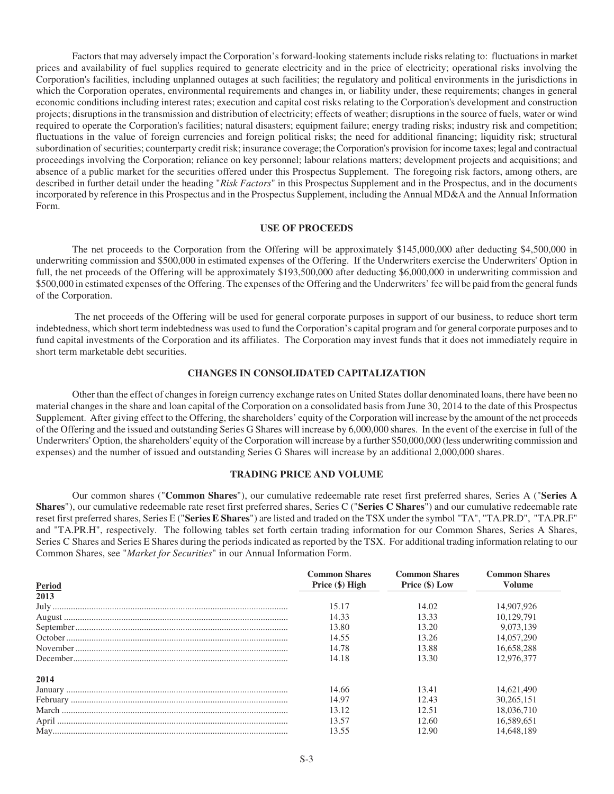Factors that may adversely impact the Corporation's forward-looking statements include risks relating to: fluctuations in market prices and availability of fuel supplies required to generate electricity and in the price of electricity; operational risks involving the Corporation's facilities, including unplanned outages at such facilities; the regulatory and political environments in the jurisdictions in which the Corporation operates, environmental requirements and changes in, or liability under, these requirements; changes in general economic conditions including interest rates; execution and capital cost risks relating to the Corporation's development and construction projects; disruptions in the transmission and distribution of electricity; effects of weather; disruptions in the source of fuels, water or wind required to operate the Corporation's facilities; natural disasters; equipment failure; energy trading risks; industry risk and competition; fluctuations in the value of foreign currencies and foreign political risks; the need for additional financing; liquidity risk; structural subordination of securities; counterparty credit risk; insurance coverage; the Corporation's provision for income taxes; legal and contractual proceedings involving the Corporation; reliance on key personnel; labour relations matters; development projects and acquisitions; and absence of a public market for the securities offered under this Prospectus Supplement. The foregoing risk factors, among others, are described in further detail under the heading "*Risk Factors*" in this Prospectus Supplement and in the Prospectus, and in the documents incorporated by reference in this Prospectus and in the Prospectus Supplement, including the Annual MD&A and the Annual Information Form.

## **USE OF PROCEEDS**

The net proceeds to the Corporation from the Offering will be approximately \$145,000,000 after deducting \$4,500,000 in underwriting commission and \$500,000 in estimated expenses of the Offering. If the Underwriters exercise the Underwriters' Option in full, the net proceeds of the Offering will be approximately \$193,500,000 after deducting \$6,000,000 in underwriting commission and \$500,000 in estimated expenses of the Offering. The expenses of the Offering and the Underwriters' fee will be paid from the general funds of the Corporation.

 The net proceeds of the Offering will be used for general corporate purposes in support of our business, to reduce short term indebtedness, which short term indebtedness was used to fund the Corporation's capital program and for general corporate purposes and to fund capital investments of the Corporation and its affiliates. The Corporation may invest funds that it does not immediately require in short term marketable debt securities.

## **CHANGES IN CONSOLIDATED CAPITALIZATION**

Other than the effect of changes in foreign currency exchange rates on United States dollar denominated loans, there have been no material changes in the share and loan capital of the Corporation on a consolidated basis from June 30, 2014 to the date of this Prospectus Supplement. After giving effect to the Offering, the shareholders' equity of the Corporation will increase by the amount of the net proceeds of the Offering and the issued and outstanding Series G Shares will increase by 6,000,000 shares. In the event of the exercise in full of the Underwriters' Option, the shareholders' equity of the Corporation will increase by a further \$50,000,000 (less underwriting commission and expenses) and the number of issued and outstanding Series G Shares will increase by an additional 2,000,000 shares.

## **TRADING PRICE AND VOLUME**

Our common shares ("**Common Shares**"), our cumulative redeemable rate reset first preferred shares, Series A ("**Series A Shares**"), our cumulative redeemable rate reset first preferred shares, Series C ("**Series C Shares**") and our cumulative redeemable rate reset first preferred shares, Series E ("**Series E Shares**") are listed and traded on the TSX under the symbol "TA", "TA.PR.D", "TA.PR.F" and "TA.PR.H", respectively. The following tables set forth certain trading information for our Common Shares, Series A Shares, Series C Shares and Series E Shares during the periods indicated as reported by the TSX. For additional trading information relating to our Common Shares, see "*Market for Securities*" in our Annual Information Form.

|               | <b>Common Shares</b> | <b>Common Shares</b> | <b>Common Shares</b> |
|---------------|----------------------|----------------------|----------------------|
| <b>Period</b> | Price (\$) High      | Price (\$) Low       | <b>Volume</b>        |
| 2013          |                      |                      |                      |
|               | 15.17                | 14.02                | 14,907,926           |
|               | 14.33                | 13.33                | 10.129.791           |
|               | 13.80                | 13.20                | 9.073.139            |
|               | 14.55                | 13.26                | 14,057,290           |
|               | 14.78                | 13.88                | 16,658,288           |
|               | 14.18                | 13.30                | 12,976,377           |
| 2014          |                      |                      |                      |
|               | 14.66                | 13.41                | 14,621,490           |
|               | 14.97                | 12.43                | 30,265,151           |
|               | 13.12                | 12.51                | 18,036,710           |
|               | 13.57                | 12.60                | 16,589,651           |
|               | 13.55                | 12.90                | 14,648,189           |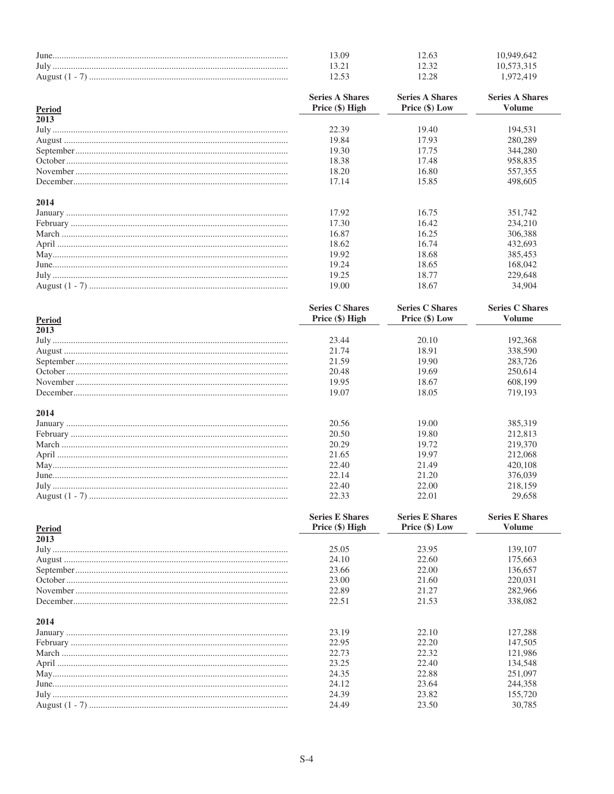|               | 13.09                  | 12.63                                  | 10,949,642                             |
|---------------|------------------------|----------------------------------------|----------------------------------------|
|               | 13.21                  | 12.32                                  | 10,573,315                             |
|               | 12.53                  | 12.28                                  | 1,972,419                              |
|               | <b>Series A Shares</b> | <b>Series A Shares</b>                 | <b>Series A Shares</b>                 |
| <b>Period</b> | Price (\$) High        | Price (\$) Low                         | <b>Volume</b>                          |
| 2013          |                        |                                        |                                        |
|               | 22.39                  | 19.40                                  | 194.531                                |
|               | 19.84                  | 17.93                                  | 280,289                                |
|               | 19.30                  | 17.75                                  | 344,280                                |
|               | 18.38                  | 17.48                                  | 958,835                                |
|               | 18.20                  | 16.80                                  | 557,355                                |
|               | 17.14                  | 15.85                                  | 498,605                                |
| 2014          |                        |                                        |                                        |
|               | 17.92                  | 16.75                                  | 351,742                                |
|               | 17.30                  | 16.42                                  | 234,210                                |
|               | 16.87                  | 16.25                                  | 306,388                                |
|               | 18.62                  | 16.74                                  | 432,693                                |
|               | 19.92                  | 18.68                                  | 385,453                                |
|               | 19.24                  | 18.65                                  | 168,042                                |
|               | 19.25                  | 18.77                                  | 229,648                                |
|               | 19.00                  | 18.67                                  | 34,904                                 |
|               | $C$ orios $C$ Charge   | C <sub>orloc</sub> C <sub>Choroc</sub> | C <sub>orloc</sub> C <sub>Choroc</sub> |

| $\sigma$ and $\sigma$ bilares | $\sigma$ and $\sigma$ below | $0 \cup 1 \cup 2 \cup 2$ |
|-------------------------------|-----------------------------|--------------------------|
|                               |                             | <b>Volume</b>            |
|                               |                             |                          |
| 23.44                         | 20.10                       | 192,368                  |
| 21.74                         | 18.91                       | 338,590                  |
| 21.59                         | 19.90                       | 283,726                  |
| 20.48                         | 19.69                       | 250.614                  |
| 19.95                         | 18.67                       | 608.199                  |
| 19.07                         | 18.05                       | 719.193                  |
|                               |                             |                          |
|                               |                             |                          |
| 20.56                         | 19.00                       | 385,319                  |
| 20.50                         | 19.80                       | 212,813                  |
| 20.29                         | 19.72                       | 219,370                  |
| 21.65                         | 19.97                       | 212,068                  |
| 22.40                         | 21.49                       | 420,108                  |
| 22.14                         | 21.20                       | 376,039                  |
| 22.40                         | 22.00                       | 218,159                  |
| 22.33                         | 22.01                       | 29,658                   |
|                               | Price $(\$)$ High           | Price (\$) Low           |

|        | <b>Series E Shares</b> | <b>Series E Shares</b> | <b>Series E Shares</b> |
|--------|------------------------|------------------------|------------------------|
| Period | Price (\$) High        | Price (\$) Low         | Volume                 |
| 2013   |                        |                        |                        |
|        | 25.05                  | 23.95                  | 139,107                |
|        | 24.10                  | 22.60                  | 175,663                |
|        | 23.66                  | 22.00                  | 136,657                |
|        | 23.00                  | 21.60                  | 220,031                |
|        | 22.89                  | 21.27                  | 282,966                |
|        | 22.51                  | 21.53                  | 338,082                |
| 2014   |                        |                        |                        |
|        | 23.19                  | 22.10                  | 127,288                |
|        | 22.95                  | 22.20                  | 147,505                |
|        | 22.73                  | 22.32                  | 121.986                |
|        | 23.25                  | 22.40                  | 134,548                |
|        | 24.35                  | 22.88                  | 251,097                |
|        | 24.12                  | 23.64                  | 244,358                |
|        | 24.39                  | 23.82                  | 155,720                |
|        | 24.49                  | 23.50                  | 30,785                 |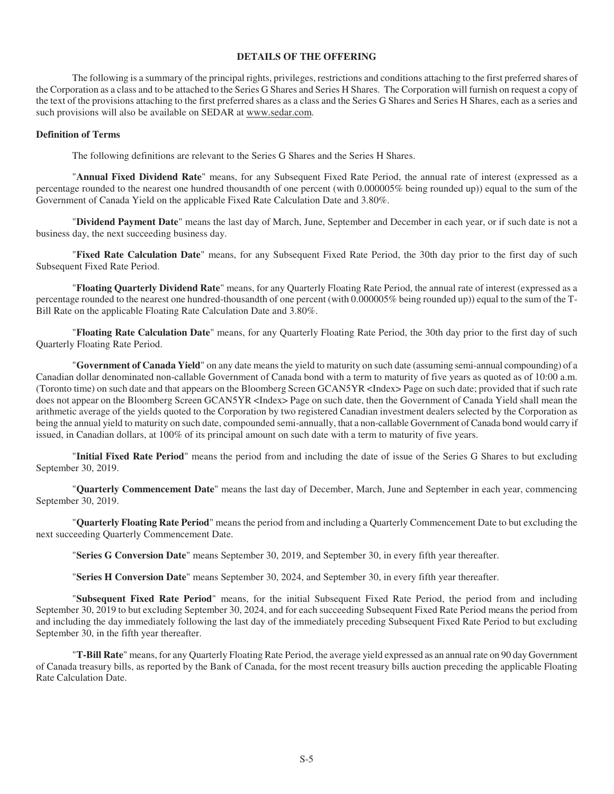## **DETAILS OF THE OFFERING**

The following is a summary of the principal rights, privileges, restrictions and conditions attaching to the first preferred shares of the Corporation as a class and to be attached to the Series G Shares and Series H Shares. The Corporation will furnish on request a copy of the text of the provisions attaching to the first preferred shares as a class and the Series G Shares and Series H Shares, each as a series and such provisions will also be available on SEDAR at www.sedar.com.

#### **Definition of Terms**

The following definitions are relevant to the Series G Shares and the Series H Shares.

"**Annual Fixed Dividend Rate**" means, for any Subsequent Fixed Rate Period, the annual rate of interest (expressed as a percentage rounded to the nearest one hundred thousandth of one percent (with 0.000005% being rounded up)) equal to the sum of the Government of Canada Yield on the applicable Fixed Rate Calculation Date and 3.80%.

"**Dividend Payment Date**" means the last day of March, June, September and December in each year, or if such date is not a business day, the next succeeding business day.

"**Fixed Rate Calculation Date**" means, for any Subsequent Fixed Rate Period, the 30th day prior to the first day of such Subsequent Fixed Rate Period.

"**Floating Quarterly Dividend Rate**" means, for any Quarterly Floating Rate Period, the annual rate of interest (expressed as a percentage rounded to the nearest one hundred-thousandth of one percent (with 0.000005% being rounded up)) equal to the sum of the T-Bill Rate on the applicable Floating Rate Calculation Date and 3.80%.

"**Floating Rate Calculation Date**" means, for any Quarterly Floating Rate Period, the 30th day prior to the first day of such Quarterly Floating Rate Period.

"**Government of Canada Yield**" on any date means the yield to maturity on such date (assuming semi-annual compounding) of a Canadian dollar denominated non-callable Government of Canada bond with a term to maturity of five years as quoted as of 10:00 a.m. (Toronto time) on such date and that appears on the Bloomberg Screen GCAN5YR <Index> Page on such date; provided that if such rate does not appear on the Bloomberg Screen GCAN5YR <Index>Page on such date, then the Government of Canada Yield shall mean the arithmetic average of the yields quoted to the Corporation by two registered Canadian investment dealers selected by the Corporation as being the annual yield to maturity on such date, compounded semi-annually, that a non-callable Government of Canada bond would carry if issued, in Canadian dollars, at 100% of its principal amount on such date with a term to maturity of five years.

"**Initial Fixed Rate Period**" means the period from and including the date of issue of the Series G Shares to but excluding September 30, 2019.

"**Quarterly Commencement Date**" means the last day of December, March, June and September in each year, commencing September 30, 2019.

"**Quarterly Floating Rate Period**" means the period from and including a Quarterly Commencement Date to but excluding the next succeeding Quarterly Commencement Date.

"**Series G Conversion Date**" means September 30, 2019, and September 30, in every fifth year thereafter.

"**Series H Conversion Date**" means September 30, 2024, and September 30, in every fifth year thereafter.

"**Subsequent Fixed Rate Period**" means, for the initial Subsequent Fixed Rate Period, the period from and including September 30, 2019 to but excluding September 30, 2024, and for each succeeding Subsequent Fixed Rate Period means the period from and including the day immediately following the last day of the immediately preceding Subsequent Fixed Rate Period to but excluding September 30, in the fifth year thereafter.

"**T-Bill Rate**" means, for any Quarterly Floating Rate Period, the average yield expressed as an annual rate on 90 day Government of Canada treasury bills, as reported by the Bank of Canada, for the most recent treasury bills auction preceding the applicable Floating Rate Calculation Date.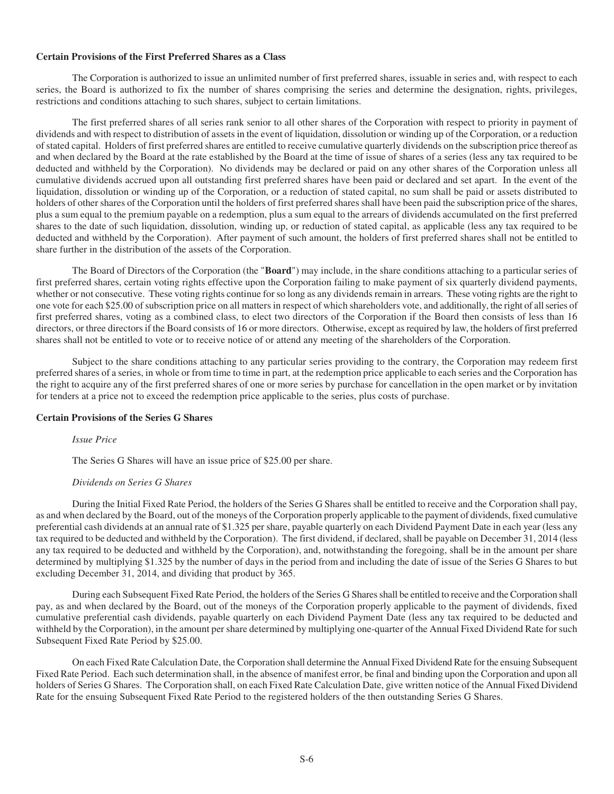# **Certain Provisions of the First Preferred Shares as a Class**

The Corporation is authorized to issue an unlimited number of first preferred shares, issuable in series and, with respect to each series, the Board is authorized to fix the number of shares comprising the series and determine the designation, rights, privileges, restrictions and conditions attaching to such shares, subject to certain limitations.

The first preferred shares of all series rank senior to all other shares of the Corporation with respect to priority in payment of dividends and with respect to distribution of assets in the event of liquidation, dissolution or winding up of the Corporation, or a reduction of stated capital. Holders of first preferred shares are entitled to receive cumulative quarterly dividends on the subscription price thereof as and when declared by the Board at the rate established by the Board at the time of issue of shares of a series (less any tax required to be deducted and withheld by the Corporation). No dividends may be declared or paid on any other shares of the Corporation unless all cumulative dividends accrued upon all outstanding first preferred shares have been paid or declared and set apart. In the event of the liquidation, dissolution or winding up of the Corporation, or a reduction of stated capital, no sum shall be paid or assets distributed to holders of other shares of the Corporation until the holders of first preferred shares shall have been paid the subscription price of the shares, plus a sum equal to the premium payable on a redemption, plus a sum equal to the arrears of dividends accumulated on the first preferred shares to the date of such liquidation, dissolution, winding up, or reduction of stated capital, as applicable (less any tax required to be deducted and withheld by the Corporation). After payment of such amount, the holders of first preferred shares shall not be entitled to share further in the distribution of the assets of the Corporation.

The Board of Directors of the Corporation (the "**Board**") may include, in the share conditions attaching to a particular series of first preferred shares, certain voting rights effective upon the Corporation failing to make payment of six quarterly dividend payments, whether or not consecutive. These voting rights continue for so long as any dividends remain in arrears. These voting rights are the right to one vote for each \$25.00 of subscription price on all matters in respect of which shareholders vote, and additionally, the right of all series of first preferred shares, voting as a combined class, to elect two directors of the Corporation if the Board then consists of less than 16 directors, or three directors if the Board consists of 16 or more directors. Otherwise, except as required by law, the holders of first preferred shares shall not be entitled to vote or to receive notice of or attend any meeting of the shareholders of the Corporation.

Subject to the share conditions attaching to any particular series providing to the contrary, the Corporation may redeem first preferred shares of a series, in whole or from time to time in part, at the redemption price applicable to each series and the Corporation has the right to acquire any of the first preferred shares of one or more series by purchase for cancellation in the open market or by invitation for tenders at a price not to exceed the redemption price applicable to the series, plus costs of purchase.

## **Certain Provisions of the Series G Shares**

## *Issue Price*

The Series G Shares will have an issue price of \$25.00 per share.

## *Dividends on Series G Shares*

During the Initial Fixed Rate Period, the holders of the Series G Shares shall be entitled to receive and the Corporation shall pay, as and when declared by the Board, out of the moneys of the Corporation properly applicable to the payment of dividends, fixed cumulative preferential cash dividends at an annual rate of \$1.325 per share, payable quarterly on each Dividend Payment Date in each year (less any tax required to be deducted and withheld by the Corporation). The first dividend, if declared, shall be payable on December 31, 2014 (less any tax required to be deducted and withheld by the Corporation), and, notwithstanding the foregoing, shall be in the amount per share determined by multiplying \$1.325 by the number of days in the period from and including the date of issue of the Series G Shares to but excluding December 31, 2014, and dividing that product by 365.

During each Subsequent Fixed Rate Period, the holders of the Series G Shares shall be entitled to receive and the Corporation shall pay, as and when declared by the Board, out of the moneys of the Corporation properly applicable to the payment of dividends, fixed cumulative preferential cash dividends, payable quarterly on each Dividend Payment Date (less any tax required to be deducted and withheld by the Corporation), in the amount per share determined by multiplying one-quarter of the Annual Fixed Dividend Rate for such Subsequent Fixed Rate Period by \$25.00.

On each Fixed Rate Calculation Date, the Corporation shall determine the Annual Fixed Dividend Rate for the ensuing Subsequent Fixed Rate Period. Each such determination shall, in the absence of manifest error, be final and binding upon the Corporation and upon all holders of Series G Shares. The Corporation shall, on each Fixed Rate Calculation Date, give written notice of the Annual Fixed Dividend Rate for the ensuing Subsequent Fixed Rate Period to the registered holders of the then outstanding Series G Shares.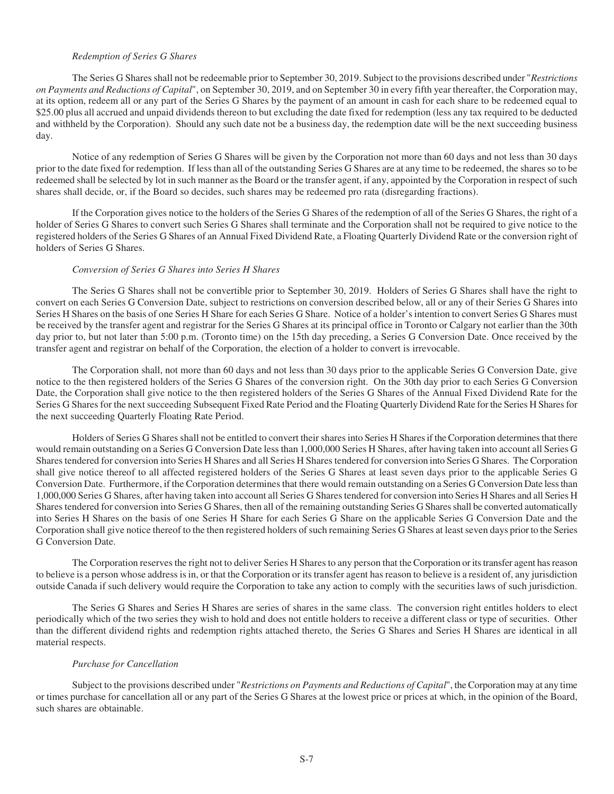## *Redemption of Series G Shares*

The Series G Shares shall not be redeemable prior to September 30, 2019. Subject to the provisions described under "*Restrictions on Payments and Reductions of Capital*", on September 30, 2019, and on September 30 in every fifth year thereafter, the Corporation may, at its option, redeem all or any part of the Series G Shares by the payment of an amount in cash for each share to be redeemed equal to \$25.00 plus all accrued and unpaid dividends thereon to but excluding the date fixed for redemption (less any tax required to be deducted and withheld by the Corporation). Should any such date not be a business day, the redemption date will be the next succeeding business day.

Notice of any redemption of Series G Shares will be given by the Corporation not more than 60 days and not less than 30 days prior to the date fixed for redemption. If less than all of the outstanding Series G Shares are at any time to be redeemed, the shares so to be redeemed shall be selected by lot in such manner as the Board or the transfer agent, if any, appointed by the Corporation in respect of such shares shall decide, or, if the Board so decides, such shares may be redeemed pro rata (disregarding fractions).

If the Corporation gives notice to the holders of the Series G Shares of the redemption of all of the Series G Shares, the right of a holder of Series G Shares to convert such Series G Shares shall terminate and the Corporation shall not be required to give notice to the registered holders of the Series G Shares of an Annual Fixed Dividend Rate, a Floating Quarterly Dividend Rate or the conversion right of holders of Series G Shares.

## *Conversion of Series G Shares into Series H Shares*

The Series G Shares shall not be convertible prior to September 30, 2019. Holders of Series G Shares shall have the right to convert on each Series G Conversion Date, subject to restrictions on conversion described below, all or any of their Series G Shares into Series H Shares on the basis of one Series H Share for each Series G Share. Notice of a holder's intention to convert Series G Shares must be received by the transfer agent and registrar for the Series G Shares at its principal office in Toronto or Calgary not earlier than the 30th day prior to, but not later than 5:00 p.m. (Toronto time) on the 15th day preceding, a Series G Conversion Date. Once received by the transfer agent and registrar on behalf of the Corporation, the election of a holder to convert is irrevocable.

The Corporation shall, not more than 60 days and not less than 30 days prior to the applicable Series G Conversion Date, give notice to the then registered holders of the Series G Shares of the conversion right. On the 30th day prior to each Series G Conversion Date, the Corporation shall give notice to the then registered holders of the Series G Shares of the Annual Fixed Dividend Rate for the Series G Shares for the next succeeding Subsequent Fixed Rate Period and the Floating Quarterly Dividend Rate for the Series H Shares for the next succeeding Quarterly Floating Rate Period.

Holders of Series G Shares shall not be entitled to convert their shares into Series H Shares if the Corporation determines that there would remain outstanding on a Series G Conversion Date less than 1,000,000 Series H Shares, after having taken into account all Series G Shares tendered for conversion into Series H Shares and all Series H Shares tendered for conversion into Series G Shares. The Corporation shall give notice thereof to all affected registered holders of the Series G Shares at least seven days prior to the applicable Series G Conversion Date. Furthermore, if the Corporation determines that there would remain outstanding on a Series G Conversion Date less than 1,000,000 Series G Shares, after having taken into account all Series G Shares tendered for conversion into Series H Shares and all Series H Shares tendered for conversion into Series G Shares, then all of the remaining outstanding Series G Shares shall be converted automatically into Series H Shares on the basis of one Series H Share for each Series G Share on the applicable Series G Conversion Date and the Corporation shall give notice thereof to the then registered holders of such remaining Series G Shares at least seven days prior to the Series G Conversion Date.

The Corporation reserves the right not to deliver Series H Shares to any person that the Corporation or its transfer agent has reason to believe is a person whose address is in, or that the Corporation or its transfer agent has reason to believe is a resident of, any jurisdiction outside Canada if such delivery would require the Corporation to take any action to comply with the securities laws of such jurisdiction.

The Series G Shares and Series H Shares are series of shares in the same class. The conversion right entitles holders to elect periodically which of the two series they wish to hold and does not entitle holders to receive a different class or type of securities. Other than the different dividend rights and redemption rights attached thereto, the Series G Shares and Series H Shares are identical in all material respects.

#### *Purchase for Cancellation*

Subject to the provisions described under "*Restrictions on Payments and Reductions of Capital*", the Corporation may at any time or times purchase for cancellation all or any part of the Series G Shares at the lowest price or prices at which, in the opinion of the Board, such shares are obtainable.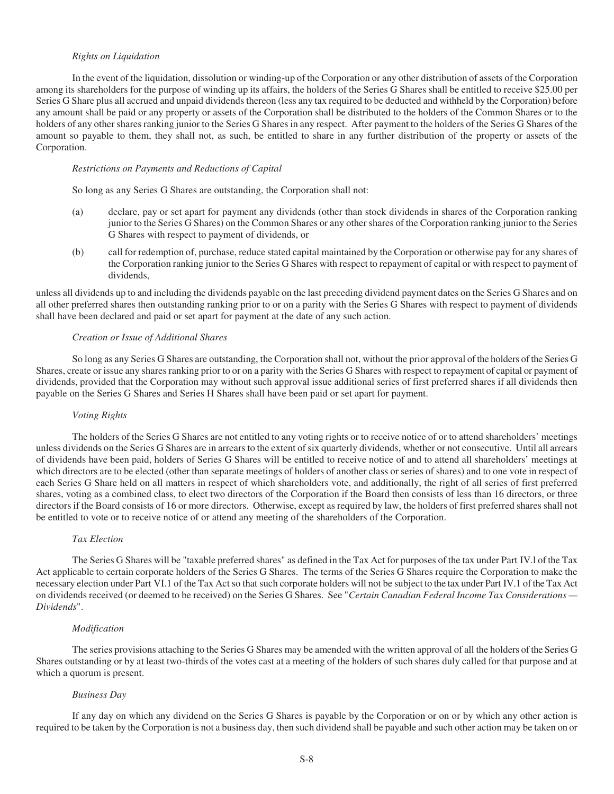## *Rights on Liquidation*

In the event of the liquidation, dissolution or winding-up of the Corporation or any other distribution of assets of the Corporation among its shareholders for the purpose of winding up its affairs, the holders of the Series G Shares shall be entitled to receive \$25.00 per Series G Share plus all accrued and unpaid dividends thereon (less any tax required to be deducted and withheld by the Corporation) before any amount shall be paid or any property or assets of the Corporation shall be distributed to the holders of the Common Shares or to the holders of any other shares ranking junior to the Series G Shares in any respect. After payment to the holders of the Series G Shares of the amount so payable to them, they shall not, as such, be entitled to share in any further distribution of the property or assets of the Corporation.

#### *Restrictions on Payments and Reductions of Capital*

So long as any Series G Shares are outstanding, the Corporation shall not:

- (a) declare, pay or set apart for payment any dividends (other than stock dividends in shares of the Corporation ranking junior to the Series G Shares) on the Common Shares or any other shares of the Corporation ranking junior to the Series G Shares with respect to payment of dividends, or
- (b) call for redemption of, purchase, reduce stated capital maintained by the Corporation or otherwise pay for any shares of the Corporation ranking junior to the Series G Shares with respect to repayment of capital or with respect to payment of dividends,

unless all dividends up to and including the dividends payable on the last preceding dividend payment dates on the Series G Shares and on all other preferred shares then outstanding ranking prior to or on a parity with the Series G Shares with respect to payment of dividends shall have been declared and paid or set apart for payment at the date of any such action.

# *Creation or Issue of Additional Shares*

So long as any Series G Shares are outstanding, the Corporation shall not, without the prior approval of the holders of the Series G Shares, create or issue any shares ranking prior to or on a parity with the Series G Shares with respect to repayment of capital or payment of dividends, provided that the Corporation may without such approval issue additional series of first preferred shares if all dividends then payable on the Series G Shares and Series H Shares shall have been paid or set apart for payment.

#### *Voting Rights*

The holders of the Series G Shares are not entitled to any voting rights or to receive notice of or to attend shareholders' meetings unless dividends on the Series G Shares are in arrears to the extent of six quarterly dividends, whether or not consecutive. Until all arrears of dividends have been paid, holders of Series G Shares will be entitled to receive notice of and to attend all shareholders' meetings at which directors are to be elected (other than separate meetings of holders of another class or series of shares) and to one vote in respect of each Series G Share held on all matters in respect of which shareholders vote, and additionally, the right of all series of first preferred shares, voting as a combined class, to elect two directors of the Corporation if the Board then consists of less than 16 directors, or three directors if the Board consists of 16 or more directors. Otherwise, except as required by law, the holders of first preferred shares shall not be entitled to vote or to receive notice of or attend any meeting of the shareholders of the Corporation.

#### *Tax Election*

The Series G Shares will be "taxable preferred shares" as defined in the Tax Act for purposes of the tax under Part IV.l of the Tax Act applicable to certain corporate holders of the Series G Shares. The terms of the Series G Shares require the Corporation to make the necessary election under Part VI.1 of the Tax Act so that such corporate holders will not be subject to the tax under Part IV.1 of the Tax Act on dividends received (or deemed to be received) on the Series G Shares. See "*Certain Canadian Federal Income Tax Considerations — Dividends*".

## *Modification*

The series provisions attaching to the Series G Shares may be amended with the written approval of all the holders of the Series G Shares outstanding or by at least two-thirds of the votes cast at a meeting of the holders of such shares duly called for that purpose and at which a quorum is present.

### *Business Day*

If any day on which any dividend on the Series G Shares is payable by the Corporation or on or by which any other action is required to be taken by the Corporation is not a business day, then such dividend shall be payable and such other action may be taken on or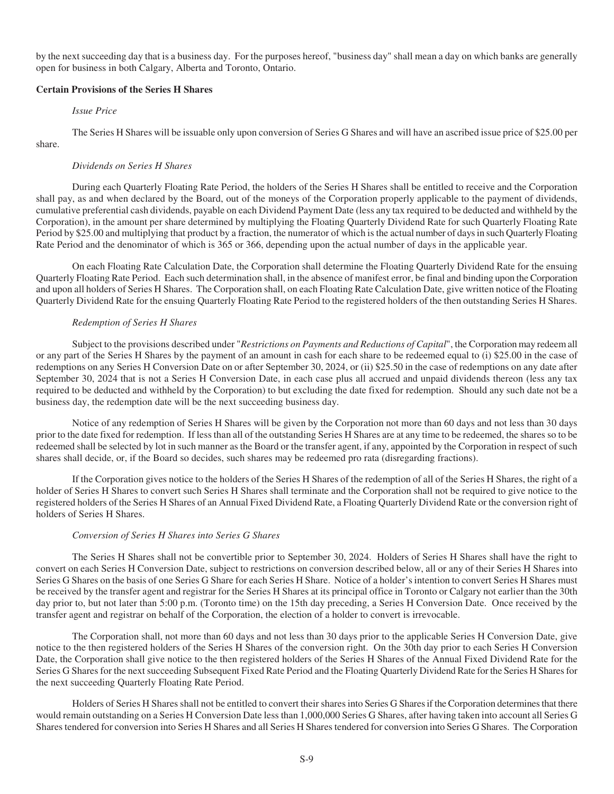by the next succeeding day that is a business day. For the purposes hereof, "business day" shall mean a day on which banks are generally open for business in both Calgary, Alberta and Toronto, Ontario.

## **Certain Provisions of the Series H Shares**

## *Issue Price*

The Series H Shares will be issuable only upon conversion of Series G Shares and will have an ascribed issue price of \$25.00 per

share.

## *Dividends on Series H Shares*

During each Quarterly Floating Rate Period, the holders of the Series H Shares shall be entitled to receive and the Corporation shall pay, as and when declared by the Board, out of the moneys of the Corporation properly applicable to the payment of dividends, cumulative preferential cash dividends, payable on each Dividend Payment Date (less any tax required to be deducted and withheld by the Corporation), in the amount per share determined by multiplying the Floating Quarterly Dividend Rate for such Quarterly Floating Rate Period by \$25.00 and multiplying that product by a fraction, the numerator of which is the actual number of days in such Quarterly Floating Rate Period and the denominator of which is 365 or 366, depending upon the actual number of days in the applicable year.

On each Floating Rate Calculation Date, the Corporation shall determine the Floating Quarterly Dividend Rate for the ensuing Quarterly Floating Rate Period. Each such determination shall, in the absence of manifest error, be final and binding upon the Corporation and upon all holders of Series H Shares. The Corporation shall, on each Floating Rate Calculation Date, give written notice of the Floating Quarterly Dividend Rate for the ensuing Quarterly Floating Rate Period to the registered holders of the then outstanding Series H Shares.

## *Redemption of Series H Shares*

Subject to the provisions described under "*Restrictions on Payments and Reductions of Capital*", the Corporation may redeem all or any part of the Series H Shares by the payment of an amount in cash for each share to be redeemed equal to (i) \$25.00 in the case of redemptions on any Series H Conversion Date on or after September 30, 2024, or (ii) \$25.50 in the case of redemptions on any date after September 30, 2024 that is not a Series H Conversion Date, in each case plus all accrued and unpaid dividends thereon (less any tax required to be deducted and withheld by the Corporation) to but excluding the date fixed for redemption. Should any such date not be a business day, the redemption date will be the next succeeding business day.

Notice of any redemption of Series H Shares will be given by the Corporation not more than 60 days and not less than 30 days prior to the date fixed for redemption. If less than all of the outstanding Series H Shares are at any time to be redeemed, the shares so to be redeemed shall be selected by lot in such manner as the Board or the transfer agent, if any, appointed by the Corporation in respect of such shares shall decide, or, if the Board so decides, such shares may be redeemed pro rata (disregarding fractions).

If the Corporation gives notice to the holders of the Series H Shares of the redemption of all of the Series H Shares, the right of a holder of Series H Shares to convert such Series H Shares shall terminate and the Corporation shall not be required to give notice to the registered holders of the Series H Shares of an Annual Fixed Dividend Rate, a Floating Quarterly Dividend Rate or the conversion right of holders of Series H Shares.

## *Conversion of Series H Shares into Series G Shares*

The Series H Shares shall not be convertible prior to September 30, 2024. Holders of Series H Shares shall have the right to convert on each Series H Conversion Date, subject to restrictions on conversion described below, all or any of their Series H Shares into Series G Shares on the basis of one Series G Share for each Series H Share. Notice of a holder's intention to convert Series H Shares must be received by the transfer agent and registrar for the Series H Shares at its principal office in Toronto or Calgary not earlier than the 30th day prior to, but not later than 5:00 p.m. (Toronto time) on the 15th day preceding, a Series H Conversion Date. Once received by the transfer agent and registrar on behalf of the Corporation, the election of a holder to convert is irrevocable.

The Corporation shall, not more than 60 days and not less than 30 days prior to the applicable Series H Conversion Date, give notice to the then registered holders of the Series H Shares of the conversion right. On the 30th day prior to each Series H Conversion Date, the Corporation shall give notice to the then registered holders of the Series H Shares of the Annual Fixed Dividend Rate for the Series G Shares for the next succeeding Subsequent Fixed Rate Period and the Floating Quarterly Dividend Rate for the Series H Shares for the next succeeding Quarterly Floating Rate Period.

Holders of Series H Shares shall not be entitled to convert their shares into Series G Shares if the Corporation determines that there would remain outstanding on a Series H Conversion Date less than 1,000,000 Series G Shares, after having taken into account all Series G Shares tendered for conversion into Series H Shares and all Series H Shares tendered for conversion into Series G Shares. The Corporation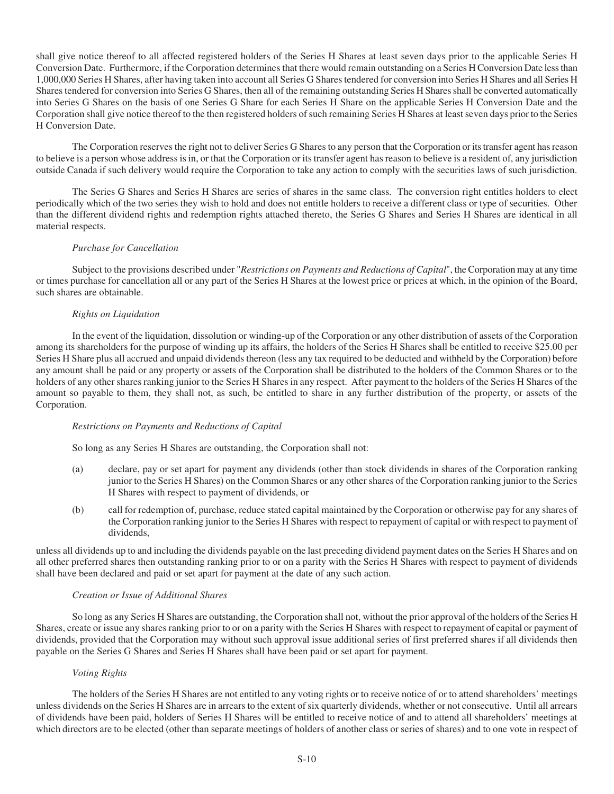shall give notice thereof to all affected registered holders of the Series H Shares at least seven days prior to the applicable Series H Conversion Date. Furthermore, if the Corporation determines that there would remain outstanding on a Series H Conversion Date less than 1,000,000 Series H Shares, after having taken into account all Series G Shares tendered for conversion into Series H Shares and all Series H Shares tendered for conversion into Series G Shares, then all of the remaining outstanding Series H Shares shall be converted automatically into Series G Shares on the basis of one Series G Share for each Series H Share on the applicable Series H Conversion Date and the Corporation shall give notice thereof to the then registered holders of such remaining Series H Shares at least seven days prior to the Series H Conversion Date.

The Corporation reserves the right not to deliver Series G Shares to any person that the Corporation or its transfer agent has reason to believe is a person whose address is in, or that the Corporation or its transfer agent has reason to believe is a resident of, any jurisdiction outside Canada if such delivery would require the Corporation to take any action to comply with the securities laws of such jurisdiction.

The Series G Shares and Series H Shares are series of shares in the same class. The conversion right entitles holders to elect periodically which of the two series they wish to hold and does not entitle holders to receive a different class or type of securities. Other than the different dividend rights and redemption rights attached thereto, the Series G Shares and Series H Shares are identical in all material respects.

# *Purchase for Cancellation*

Subject to the provisions described under "*Restrictions on Payments and Reductions of Capital*", the Corporation may at any time or times purchase for cancellation all or any part of the Series H Shares at the lowest price or prices at which, in the opinion of the Board, such shares are obtainable.

## *Rights on Liquidation*

In the event of the liquidation, dissolution or winding-up of the Corporation or any other distribution of assets of the Corporation among its shareholders for the purpose of winding up its affairs, the holders of the Series H Shares shall be entitled to receive \$25.00 per Series H Share plus all accrued and unpaid dividends thereon (less any tax required to be deducted and withheld by the Corporation) before any amount shall be paid or any property or assets of the Corporation shall be distributed to the holders of the Common Shares or to the holders of any other shares ranking junior to the Series H Shares in any respect. After payment to the holders of the Series H Shares of the amount so payable to them, they shall not, as such, be entitled to share in any further distribution of the property, or assets of the Corporation.

## *Restrictions on Payments and Reductions of Capital*

So long as any Series H Shares are outstanding, the Corporation shall not:

- (a) declare, pay or set apart for payment any dividends (other than stock dividends in shares of the Corporation ranking junior to the Series H Shares) on the Common Shares or any other shares of the Corporation ranking junior to the Series H Shares with respect to payment of dividends, or
- (b) call for redemption of, purchase, reduce stated capital maintained by the Corporation or otherwise pay for any shares of the Corporation ranking junior to the Series H Shares with respect to repayment of capital or with respect to payment of dividends,

unless all dividends up to and including the dividends payable on the last preceding dividend payment dates on the Series H Shares and on all other preferred shares then outstanding ranking prior to or on a parity with the Series H Shares with respect to payment of dividends shall have been declared and paid or set apart for payment at the date of any such action.

## *Creation or Issue of Additional Shares*

So long as any Series H Shares are outstanding, the Corporation shall not, without the prior approval of the holders of the Series H Shares, create or issue any shares ranking prior to or on a parity with the Series H Shares with respect to repayment of capital or payment of dividends, provided that the Corporation may without such approval issue additional series of first preferred shares if all dividends then payable on the Series G Shares and Series H Shares shall have been paid or set apart for payment.

## *Voting Rights*

The holders of the Series H Shares are not entitled to any voting rights or to receive notice of or to attend shareholders' meetings unless dividends on the Series H Shares are in arrears to the extent of six quarterly dividends, whether or not consecutive. Until all arrears of dividends have been paid, holders of Series H Shares will be entitled to receive notice of and to attend all shareholders' meetings at which directors are to be elected (other than separate meetings of holders of another class or series of shares) and to one vote in respect of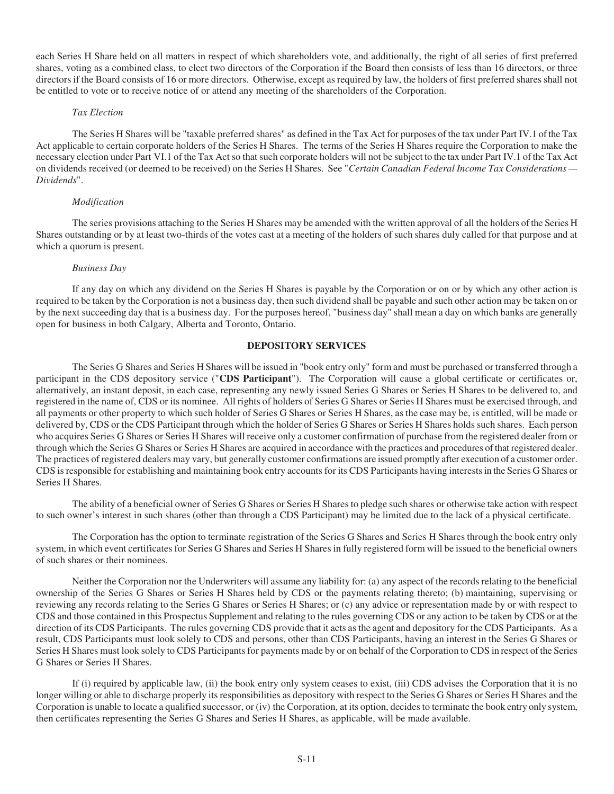each Series H Share held on all matters in respect of which shareholders vote, and additionally, the right of all series of first preferred shares, voting as a combined class, to elect two directors of the Corporation if the Board then consists of less than 16 directors, or three directors if the Board consists of 16 or more directors. Otherwise, except as required by law, the holders of first preferred shares shall not be entitled to vote or to receive notice of or attend any meeting of the shareholders of the Corporation.

#### *Tax Election*

The Series H Shares will be "taxable preferred shares" as defined in the Tax Act for purposes of the tax under Part IV.1 of the Tax Act applicable to certain corporate holders of the Series H Shares. The terms of the Series H Shares require the Corporation to make the necessary election under Part VI.1 of the Tax Act so that such corporate holders will not be subject to the tax under Part IV.1 of the Tax Act on dividends received (or deemed to be received) on the Series H Shares. See "*Certain Canadian Federal Income Tax Considerations — Dividends*".

### *Modification*

The series provisions attaching to the Series H Shares may be amended with the written approval of all the holders of the Series H Shares outstanding or by at least two-thirds of the votes cast at a meeting of the holders of such shares duly called for that purpose and at which a quorum is present.

### *Business Day*

If any day on which any dividend on the Series H Shares is payable by the Corporation or on or by which any other action is required to be taken by the Corporation is not a business day, then such dividend shall be payable and such other action may be taken on or by the next succeeding day that is a business day. For the purposes hereof, "business day" shall mean a day on which banks are generally open for business in both Calgary, Alberta and Toronto, Ontario.

# **DEPOSITORY SERVICES**

The Series G Shares and Series H Shares will be issued in "book entry only" form and must be purchased or transferred through a participant in the CDS depository service ("**CDS Participant**"). The Corporation will cause a global certificate or certificates or, alternatively, an instant deposit, in each case, representing any newly issued Series G Shares or Series H Shares to be delivered to, and registered in the name of, CDS or its nominee. All rights of holders of Series G Shares or Series H Shares must be exercised through, and all payments or other property to which such holder of Series G Shares or Series H Shares, as the case may be, is entitled, will be made or delivered by, CDS or the CDS Participant through which the holder of Series G Shares or Series H Shares holds such shares. Each person who acquires Series G Shares or Series H Shares will receive only a customer confirmation of purchase from the registered dealer from or through which the Series G Shares or Series H Shares are acquired in accordance with the practices and procedures of that registered dealer. The practices of registered dealers may vary, but generally customer confirmations are issued promptly after execution of a customer order. CDS is responsible for establishing and maintaining book entry accounts for its CDS Participants having interests in the Series G Shares or Series H Shares.

The ability of a beneficial owner of Series G Shares or Series H Shares to pledge such shares or otherwise take action with respect to such owner's interest in such shares (other than through a CDS Participant) may be limited due to the lack of a physical certificate.

The Corporation has the option to terminate registration of the Series G Shares and Series H Shares through the book entry only system, in which event certificates for Series G Shares and Series H Shares in fully registered form will be issued to the beneficial owners of such shares or their nominees.

Neither the Corporation nor the Underwriters will assume any liability for: (a) any aspect of the records relating to the beneficial ownership of the Series G Shares or Series H Shares held by CDS or the payments relating thereto; (b) maintaining, supervising or reviewing any records relating to the Series G Shares or Series H Shares; or (c) any advice or representation made by or with respect to CDS and those contained in this Prospectus Supplement and relating to the rules governing CDS or any action to be taken by CDS or at the direction of its CDS Participants. The rules governing CDS provide that it acts as the agent and depository for the CDS Participants. As a result, CDS Participants must look solely to CDS and persons, other than CDS Participants, having an interest in the Series G Shares or Series H Shares must look solely to CDS Participants for payments made by or on behalf of the Corporation to CDS in respect of the Series G Shares or Series H Shares.

If (i) required by applicable law, (ii) the book entry only system ceases to exist, (iii) CDS advises the Corporation that it is no longer willing or able to discharge properly its responsibilities as depository with respect to the Series G Shares or Series H Shares and the Corporation is unable to locate a qualified successor, or (iv) the Corporation, at its option, decides to terminate the book entry only system, then certificates representing the Series G Shares and Series H Shares, as applicable, will be made available.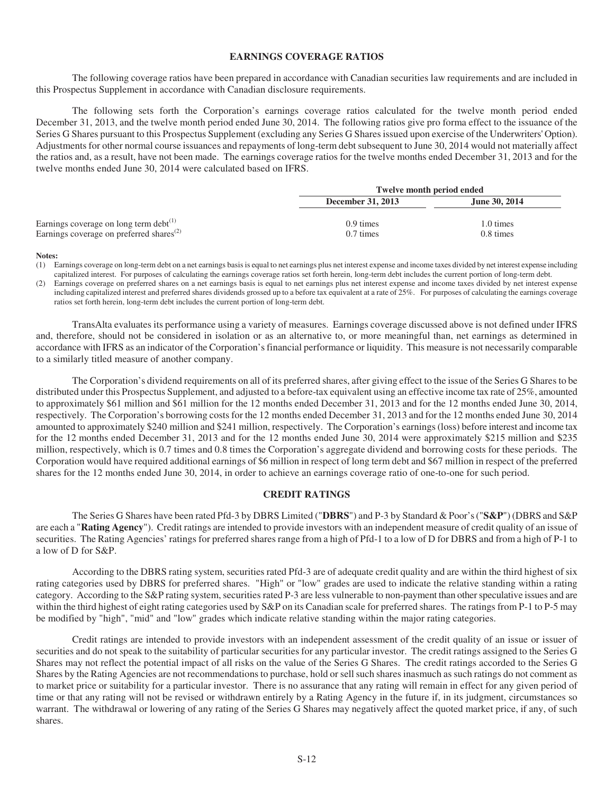## **EARNINGS COVERAGE RATIOS**

The following coverage ratios have been prepared in accordance with Canadian securities law requirements and are included in this Prospectus Supplement in accordance with Canadian disclosure requirements.

The following sets forth the Corporation's earnings coverage ratios calculated for the twelve month period ended December 31, 2013, and the twelve month period ended June 30, 2014. The following ratios give pro forma effect to the issuance of the Series G Shares pursuant to this Prospectus Supplement (excluding any Series G Shares issued upon exercise of the Underwriters' Option). Adjustments for other normal course issuances and repayments of long-term debt subsequent to June 30, 2014 would not materially affect the ratios and, as a result, have not been made. The earnings coverage ratios for the twelve months ended December 31, 2013 and for the twelve months ended June 30, 2014 were calculated based on IFRS.

|                                                                   | <b>Twelve month period ended</b> |               |
|-------------------------------------------------------------------|----------------------------------|---------------|
|                                                                   | <b>December 31, 2013</b>         | June 30, 2014 |
| Earnings coverage on long term debt $(1)$                         | $0.9 \times$                     | 1.0 times     |
| Earnings coverage on preferred shares <sup><math>(2)</math></sup> | $0.7 \times$                     | $0.8 \times$  |

**Notes:** 

- (1) Earnings coverage on long-term debt on a net earnings basis is equal to net earnings plus net interest expense and income taxes divided by net interest expense including capitalized interest. For purposes of calculating the earnings coverage ratios set forth herein, long-term debt includes the current portion of long-term debt.
- Earnings coverage on preferred shares on a net earnings basis is equal to net earnings plus net interest expense and income taxes divided by net interest expense including capitalized interest and preferred shares dividends grossed up to a before tax equivalent at a rate of 25%. For purposes of calculating the earnings coverage ratios set forth herein, long-term debt includes the current portion of long-term debt.

TransAlta evaluates its performance using a variety of measures. Earnings coverage discussed above is not defined under IFRS and, therefore, should not be considered in isolation or as an alternative to, or more meaningful than, net earnings as determined in accordance with IFRS as an indicator of the Corporation's financial performance or liquidity. This measure is not necessarily comparable to a similarly titled measure of another company.

The Corporation's dividend requirements on all of its preferred shares, after giving effect to the issue of the Series G Shares to be distributed under this Prospectus Supplement, and adjusted to a before-tax equivalent using an effective income tax rate of 25%, amounted to approximately \$61 million and \$61 million for the 12 months ended December 31, 2013 and for the 12 months ended June 30, 2014, respectively. The Corporation's borrowing costs for the 12 months ended December 31, 2013 and for the 12 months ended June 30, 2014 amounted to approximately \$240 million and \$241 million, respectively. The Corporation's earnings (loss) before interest and income tax for the 12 months ended December 31, 2013 and for the 12 months ended June 30, 2014 were approximately \$215 million and \$235 million, respectively, which is 0.7 times and 0.8 times the Corporation's aggregate dividend and borrowing costs for these periods. The Corporation would have required additional earnings of \$6 million in respect of long term debt and \$67 million in respect of the preferred shares for the 12 months ended June 30, 2014, in order to achieve an earnings coverage ratio of one-to-one for such period.

### **CREDIT RATINGS**

The Series G Shares have been rated Pfd-3 by DBRS Limited ("**DBRS**") and P-3 by Standard & Poor's ("**S&P**") (DBRS and S&P are each a "**Rating Agency**"). Credit ratings are intended to provide investors with an independent measure of credit quality of an issue of securities. The Rating Agencies' ratings for preferred shares range from a high of Pfd-1 to a low of D for DBRS and from a high of P-1 to a low of D for S&P.

According to the DBRS rating system, securities rated Pfd-3 are of adequate credit quality and are within the third highest of six rating categories used by DBRS for preferred shares. "High" or "low" grades are used to indicate the relative standing within a rating category. According to the S&P rating system, securities rated P-3 are less vulnerable to non-payment than other speculative issues and are within the third highest of eight rating categories used by S&P on its Canadian scale for preferred shares. The ratings from P-1 to P-5 may be modified by "high", "mid" and "low" grades which indicate relative standing within the major rating categories.

Credit ratings are intended to provide investors with an independent assessment of the credit quality of an issue or issuer of securities and do not speak to the suitability of particular securities for any particular investor. The credit ratings assigned to the Series G Shares may not reflect the potential impact of all risks on the value of the Series G Shares. The credit ratings accorded to the Series G Shares by the Rating Agencies are not recommendations to purchase, hold or sell such shares inasmuch as such ratings do not comment as to market price or suitability for a particular investor. There is no assurance that any rating will remain in effect for any given period of time or that any rating will not be revised or withdrawn entirely by a Rating Agency in the future if, in its judgment, circumstances so warrant. The withdrawal or lowering of any rating of the Series G Shares may negatively affect the quoted market price, if any, of such shares.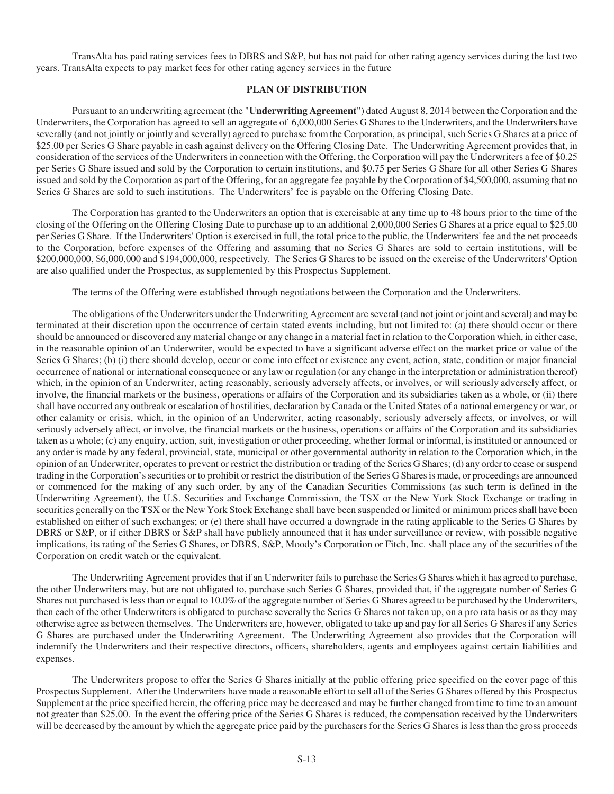TransAlta has paid rating services fees to DBRS and S&P, but has not paid for other rating agency services during the last two years. TransAlta expects to pay market fees for other rating agency services in the future

## **PLAN OF DISTRIBUTION**

Pursuant to an underwriting agreement (the "**Underwriting Agreement**") dated August 8, 2014 between the Corporation and the Underwriters, the Corporation has agreed to sell an aggregate of 6,000,000 Series G Shares to the Underwriters, and the Underwriters have severally (and not jointly or jointly and severally) agreed to purchase from the Corporation, as principal, such Series G Shares at a price of \$25.00 per Series G Share payable in cash against delivery on the Offering Closing Date. The Underwriting Agreement provides that, in consideration of the services of the Underwriters in connection with the Offering, the Corporation will pay the Underwriters a fee of \$0.25 per Series G Share issued and sold by the Corporation to certain institutions, and \$0.75 per Series G Share for all other Series G Shares issued and sold by the Corporation as part of the Offering, for an aggregate fee payable by the Corporation of \$4,500,000, assuming that no Series G Shares are sold to such institutions. The Underwriters' fee is payable on the Offering Closing Date.

The Corporation has granted to the Underwriters an option that is exercisable at any time up to 48 hours prior to the time of the closing of the Offering on the Offering Closing Date to purchase up to an additional 2,000,000 Series G Shares at a price equal to \$25.00 per Series G Share. If the Underwriters' Option is exercised in full, the total price to the public, the Underwriters' fee and the net proceeds to the Corporation, before expenses of the Offering and assuming that no Series G Shares are sold to certain institutions, will be \$200,000,000, \$6,000,000 and \$194,000,000, respectively. The Series G Shares to be issued on the exercise of the Underwriters' Option are also qualified under the Prospectus, as supplemented by this Prospectus Supplement.

The terms of the Offering were established through negotiations between the Corporation and the Underwriters.

The obligations of the Underwriters under the Underwriting Agreement are several (and not joint or joint and several) and may be terminated at their discretion upon the occurrence of certain stated events including, but not limited to: (a) there should occur or there should be announced or discovered any material change or any change in a material fact in relation to the Corporation which, in either case, in the reasonable opinion of an Underwriter, would be expected to have a significant adverse effect on the market price or value of the Series G Shares; (b) (i) there should develop, occur or come into effect or existence any event, action, state, condition or major financial occurrence of national or international consequence or any law or regulation (or any change in the interpretation or administration thereof) which, in the opinion of an Underwriter, acting reasonably, seriously adversely affects, or involves, or will seriously adversely affect, or involve, the financial markets or the business, operations or affairs of the Corporation and its subsidiaries taken as a whole, or (ii) there shall have occurred any outbreak or escalation of hostilities, declaration by Canada or the United States of a national emergency or war, or other calamity or crisis, which, in the opinion of an Underwriter, acting reasonably, seriously adversely affects, or involves, or will seriously adversely affect, or involve, the financial markets or the business, operations or affairs of the Corporation and its subsidiaries taken as a whole; (c) any enquiry, action, suit, investigation or other proceeding, whether formal or informal, is instituted or announced or any order is made by any federal, provincial, state, municipal or other governmental authority in relation to the Corporation which, in the opinion of an Underwriter, operates to prevent or restrict the distribution or trading of the Series G Shares; (d) any order to cease or suspend trading in the Corporation's securities or to prohibit or restrict the distribution of the Series G Shares is made, or proceedings are announced or commenced for the making of any such order, by any of the Canadian Securities Commissions (as such term is defined in the Underwriting Agreement), the U.S. Securities and Exchange Commission, the TSX or the New York Stock Exchange or trading in securities generally on the TSX or the New York Stock Exchange shall have been suspended or limited or minimum prices shall have been established on either of such exchanges; or (e) there shall have occurred a downgrade in the rating applicable to the Series G Shares by DBRS or S&P, or if either DBRS or S&P shall have publicly announced that it has under surveillance or review, with possible negative implications, its rating of the Series G Shares, or DBRS, S&P, Moody's Corporation or Fitch, Inc. shall place any of the securities of the Corporation on credit watch or the equivalent.

The Underwriting Agreement provides that if an Underwriter fails to purchase the Series G Shares which it has agreed to purchase, the other Underwriters may, but are not obligated to, purchase such Series G Shares, provided that, if the aggregate number of Series G Shares not purchased is less than or equal to 10.0% of the aggregate number of Series G Shares agreed to be purchased by the Underwriters, then each of the other Underwriters is obligated to purchase severally the Series G Shares not taken up, on a pro rata basis or as they may otherwise agree as between themselves. The Underwriters are, however, obligated to take up and pay for all Series G Shares if any Series G Shares are purchased under the Underwriting Agreement. The Underwriting Agreement also provides that the Corporation will indemnify the Underwriters and their respective directors, officers, shareholders, agents and employees against certain liabilities and expenses.

The Underwriters propose to offer the Series G Shares initially at the public offering price specified on the cover page of this Prospectus Supplement. After the Underwriters have made a reasonable effort to sell all of the Series G Shares offered by this Prospectus Supplement at the price specified herein, the offering price may be decreased and may be further changed from time to time to an amount not greater than \$25.00. In the event the offering price of the Series G Shares is reduced, the compensation received by the Underwriters will be decreased by the amount by which the aggregate price paid by the purchasers for the Series G Shares is less than the gross proceeds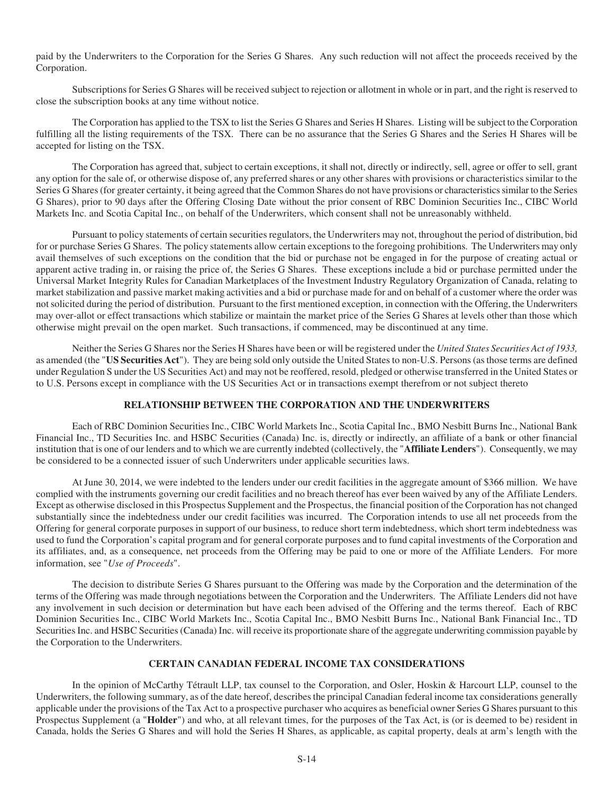paid by the Underwriters to the Corporation for the Series G Shares. Any such reduction will not affect the proceeds received by the Corporation.

Subscriptions for Series G Shares will be received subject to rejection or allotment in whole or in part, and the right is reserved to close the subscription books at any time without notice.

The Corporation has applied to the TSX to list the Series G Shares and Series H Shares. Listing will be subject to the Corporation fulfilling all the listing requirements of the TSX. There can be no assurance that the Series G Shares and the Series H Shares will be accepted for listing on the TSX.

The Corporation has agreed that, subject to certain exceptions, it shall not, directly or indirectly, sell, agree or offer to sell, grant any option for the sale of, or otherwise dispose of, any preferred shares or any other shares with provisions or characteristics similar to the Series G Shares (for greater certainty, it being agreed that the Common Shares do not have provisions or characteristics similar to the Series G Shares), prior to 90 days after the Offering Closing Date without the prior consent of RBC Dominion Securities Inc., CIBC World Markets Inc. and Scotia Capital Inc., on behalf of the Underwriters, which consent shall not be unreasonably withheld.

Pursuant to policy statements of certain securities regulators, the Underwriters may not, throughout the period of distribution, bid for or purchase Series G Shares. The policy statements allow certain exceptions to the foregoing prohibitions. The Underwriters may only avail themselves of such exceptions on the condition that the bid or purchase not be engaged in for the purpose of creating actual or apparent active trading in, or raising the price of, the Series G Shares. These exceptions include a bid or purchase permitted under the Universal Market Integrity Rules for Canadian Marketplaces of the Investment Industry Regulatory Organization of Canada, relating to market stabilization and passive market making activities and a bid or purchase made for and on behalf of a customer where the order was not solicited during the period of distribution. Pursuant to the first mentioned exception, in connection with the Offering, the Underwriters may over-allot or effect transactions which stabilize or maintain the market price of the Series G Shares at levels other than those which otherwise might prevail on the open market. Such transactions, if commenced, may be discontinued at any time.

Neither the Series G Shares nor the Series H Shares have been or will be registered under the *United States Securities Act of 1933,*  as amended (the "**US Securities Act**"). They are being sold only outside the United States to non-U.S. Persons (as those terms are defined under Regulation S under the US Securities Act) and may not be reoffered, resold, pledged or otherwise transferred in the United States or to U.S. Persons except in compliance with the US Securities Act or in transactions exempt therefrom or not subject thereto

# **RELATIONSHIP BETWEEN THE CORPORATION AND THE UNDERWRITERS**

Each of RBC Dominion Securities Inc., CIBC World Markets Inc., Scotia Capital Inc., BMO Nesbitt Burns Inc., National Bank Financial Inc., TD Securities Inc. and HSBC Securities (Canada) Inc. is, directly or indirectly, an affiliate of a bank or other financial institution that is one of our lenders and to which we are currently indebted (collectively, the "**Affiliate Lenders**"). Consequently, we may be considered to be a connected issuer of such Underwriters under applicable securities laws.

At June 30, 2014, we were indebted to the lenders under our credit facilities in the aggregate amount of \$366 million. We have complied with the instruments governing our credit facilities and no breach thereof has ever been waived by any of the Affiliate Lenders. Except as otherwise disclosed in this Prospectus Supplement and the Prospectus, the financial position of the Corporation has not changed substantially since the indebtedness under our credit facilities was incurred. The Corporation intends to use all net proceeds from the Offering for general corporate purposes in support of our business, to reduce short term indebtedness, which short term indebtedness was used to fund the Corporation's capital program and for general corporate purposes and to fund capital investments of the Corporation and its affiliates, and, as a consequence, net proceeds from the Offering may be paid to one or more of the Affiliate Lenders. For more information, see "*Use of Proceeds*".

The decision to distribute Series G Shares pursuant to the Offering was made by the Corporation and the determination of the terms of the Offering was made through negotiations between the Corporation and the Underwriters. The Affiliate Lenders did not have any involvement in such decision or determination but have each been advised of the Offering and the terms thereof. Each of RBC Dominion Securities Inc., CIBC World Markets Inc., Scotia Capital Inc., BMO Nesbitt Burns Inc., National Bank Financial Inc., TD Securities Inc. and HSBC Securities (Canada) Inc. will receive its proportionate share of the aggregate underwriting commission payable by the Corporation to the Underwriters.

## **CERTAIN CANADIAN FEDERAL INCOME TAX CONSIDERATIONS**

In the opinion of McCarthy Tétrault LLP, tax counsel to the Corporation, and Osler, Hoskin & Harcourt LLP, counsel to the Underwriters, the following summary, as of the date hereof, describes the principal Canadian federal income tax considerations generally applicable under the provisions of the Tax Act to a prospective purchaser who acquires as beneficial owner Series G Shares pursuant to this Prospectus Supplement (a "**Holder**") and who, at all relevant times, for the purposes of the Tax Act, is (or is deemed to be) resident in Canada, holds the Series G Shares and will hold the Series H Shares, as applicable, as capital property, deals at arm's length with the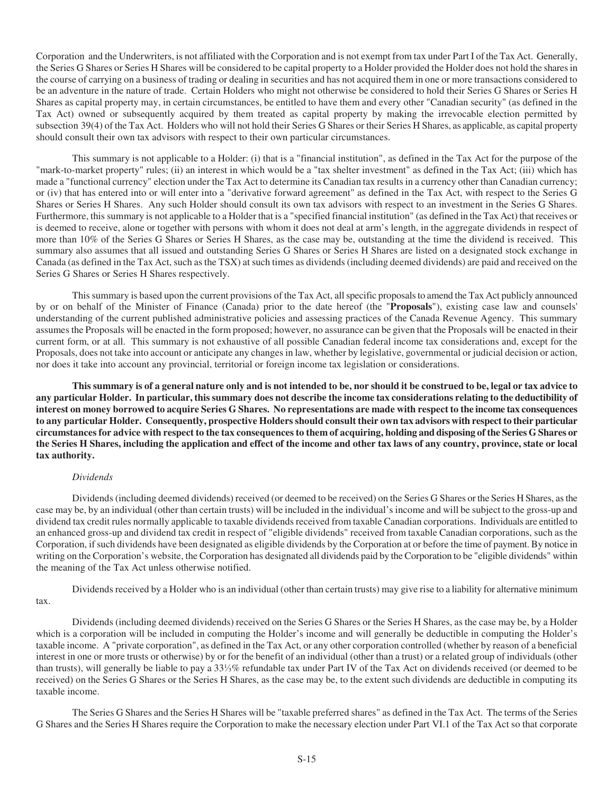Corporation and the Underwriters, is not affiliated with the Corporation and is not exempt from tax under Part I of the Tax Act. Generally, the Series G Shares or Series H Shares will be considered to be capital property to a Holder provided the Holder does not hold the shares in the course of carrying on a business of trading or dealing in securities and has not acquired them in one or more transactions considered to be an adventure in the nature of trade. Certain Holders who might not otherwise be considered to hold their Series G Shares or Series H Shares as capital property may, in certain circumstances, be entitled to have them and every other "Canadian security" (as defined in the Tax Act) owned or subsequently acquired by them treated as capital property by making the irrevocable election permitted by subsection 39(4) of the Tax Act. Holders who will not hold their Series G Shares or their Series H Shares, as applicable, as capital property should consult their own tax advisors with respect to their own particular circumstances.

This summary is not applicable to a Holder: (i) that is a "financial institution", as defined in the Tax Act for the purpose of the "mark-to-market property" rules; (ii) an interest in which would be a "tax shelter investment" as defined in the Tax Act; (iii) which has made a "functional currency" election under the Tax Act to determine its Canadian tax results in a currency other than Canadian currency; or (iv) that has entered into or will enter into a "derivative forward agreement" as defined in the Tax Act, with respect to the Series G Shares or Series H Shares. Any such Holder should consult its own tax advisors with respect to an investment in the Series G Shares. Furthermore, this summary is not applicable to a Holder that is a "specified financial institution" (as defined in the Tax Act) that receives or is deemed to receive, alone or together with persons with whom it does not deal at arm's length, in the aggregate dividends in respect of more than 10% of the Series G Shares or Series H Shares, as the case may be, outstanding at the time the dividend is received. This summary also assumes that all issued and outstanding Series G Shares or Series H Shares are listed on a designated stock exchange in Canada (as defined in the Tax Act, such as the TSX) at such times as dividends (including deemed dividends) are paid and received on the Series G Shares or Series H Shares respectively.

This summary is based upon the current provisions of the Tax Act, all specific proposals to amend the Tax Act publicly announced by or on behalf of the Minister of Finance (Canada) prior to the date hereof (the "**Proposals**"), existing case law and counsels' understanding of the current published administrative policies and assessing practices of the Canada Revenue Agency. This summary assumes the Proposals will be enacted in the form proposed; however, no assurance can be given that the Proposals will be enacted in their current form, or at all. This summary is not exhaustive of all possible Canadian federal income tax considerations and, except for the Proposals, does not take into account or anticipate any changes in law, whether by legislative, governmental or judicial decision or action, nor does it take into account any provincial, territorial or foreign income tax legislation or considerations.

**This summary is of a general nature only and is not intended to be, nor should it be construed to be, legal or tax advice to any particular Holder. In particular, this summary does not describe the income tax considerations relating to the deductibility of interest on money borrowed to acquire Series G Shares. No representations are made with respect to the income tax consequences to any particular Holder. Consequently, prospective Holders should consult their own tax advisors with respect to their particular circumstances for advice with respect to the tax consequences to them of acquiring, holding and disposing of the Series G Shares or the Series H Shares, including the application and effect of the income and other tax laws of any country, province, state or local tax authority.** 

## *Dividends*

Dividends (including deemed dividends) received (or deemed to be received) on the Series G Shares or the Series H Shares, as the case may be, by an individual (other than certain trusts) will be included in the individual's income and will be subject to the gross-up and dividend tax credit rules normally applicable to taxable dividends received from taxable Canadian corporations. Individuals are entitled to an enhanced gross-up and dividend tax credit in respect of "eligible dividends" received from taxable Canadian corporations, such as the Corporation, if such dividends have been designated as eligible dividends by the Corporation at or before the time of payment. By notice in writing on the Corporation's website, the Corporation has designated all dividends paid by the Corporation to be "eligible dividends" within the meaning of the Tax Act unless otherwise notified.

Dividends received by a Holder who is an individual (other than certain trusts) may give rise to a liability for alternative minimum tax.

Dividends (including deemed dividends) received on the Series G Shares or the Series H Shares, as the case may be, by a Holder which is a corporation will be included in computing the Holder's income and will generally be deductible in computing the Holder's taxable income. A "private corporation", as defined in the Tax Act, or any other corporation controlled (whether by reason of a beneficial interest in one or more trusts or otherwise) by or for the benefit of an individual (other than a trust) or a related group of individuals (other than trusts), will generally be liable to pay a 331/<sub>3</sub>% refundable tax under Part IV of the Tax Act on dividends received (or deemed to be received) on the Series G Shares or the Series H Shares, as the case may be, to the extent such dividends are deductible in computing its taxable income.

The Series G Shares and the Series H Shares will be "taxable preferred shares" as defined in the Tax Act. The terms of the Series G Shares and the Series H Shares require the Corporation to make the necessary election under Part VI.1 of the Tax Act so that corporate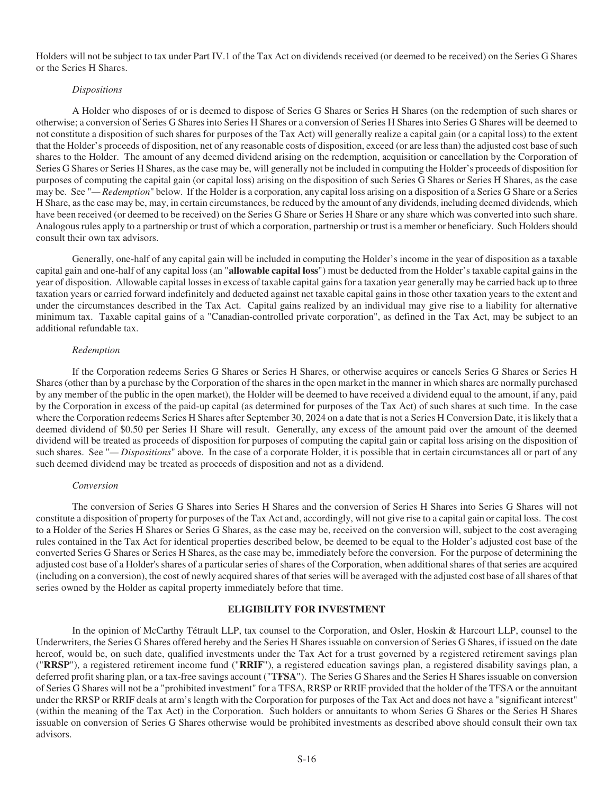Holders will not be subject to tax under Part IV.1 of the Tax Act on dividends received (or deemed to be received) on the Series G Shares or the Series H Shares.

### *Dispositions*

A Holder who disposes of or is deemed to dispose of Series G Shares or Series H Shares (on the redemption of such shares or otherwise; a conversion of Series G Shares into Series H Shares or a conversion of Series H Shares into Series G Shares will be deemed to not constitute a disposition of such shares for purposes of the Tax Act) will generally realize a capital gain (or a capital loss) to the extent that the Holder's proceeds of disposition, net of any reasonable costs of disposition, exceed (or are less than) the adjusted cost base of such shares to the Holder. The amount of any deemed dividend arising on the redemption, acquisition or cancellation by the Corporation of Series G Shares or Series H Shares, as the case may be, will generally not be included in computing the Holder's proceeds of disposition for purposes of computing the capital gain (or capital loss) arising on the disposition of such Series G Shares or Series H Shares, as the case may be. See "*— Redemption*" below. If the Holder is a corporation, any capital loss arising on a disposition of a Series G Share or a Series H Share, as the case may be, may, in certain circumstances, be reduced by the amount of any dividends, including deemed dividends, which have been received (or deemed to be received) on the Series G Share or Series H Share or any share which was converted into such share. Analogous rules apply to a partnership or trust of which a corporation, partnership or trust is a member or beneficiary. Such Holders should consult their own tax advisors.

Generally, one-half of any capital gain will be included in computing the Holder's income in the year of disposition as a taxable capital gain and one-half of any capital loss (an "**allowable capital loss**") must be deducted from the Holder's taxable capital gains in the year of disposition. Allowable capital losses in excess of taxable capital gains for a taxation year generally may be carried back up to three taxation years or carried forward indefinitely and deducted against net taxable capital gains in those other taxation years to the extent and under the circumstances described in the Tax Act. Capital gains realized by an individual may give rise to a liability for alternative minimum tax. Taxable capital gains of a "Canadian-controlled private corporation", as defined in the Tax Act, may be subject to an additional refundable tax.

## *Redemption*

If the Corporation redeems Series G Shares or Series H Shares, or otherwise acquires or cancels Series G Shares or Series H Shares (other than by a purchase by the Corporation of the shares in the open market in the manner in which shares are normally purchased by any member of the public in the open market), the Holder will be deemed to have received a dividend equal to the amount, if any, paid by the Corporation in excess of the paid-up capital (as determined for purposes of the Tax Act) of such shares at such time. In the case where the Corporation redeems Series H Shares after September 30, 2024 on a date that is not a Series H Conversion Date, it is likely that a deemed dividend of \$0.50 per Series H Share will result. Generally, any excess of the amount paid over the amount of the deemed dividend will be treated as proceeds of disposition for purposes of computing the capital gain or capital loss arising on the disposition of such shares. See "*— Dispositions*" above. In the case of a corporate Holder, it is possible that in certain circumstances all or part of any such deemed dividend may be treated as proceeds of disposition and not as a dividend.

### *Conversion*

The conversion of Series G Shares into Series H Shares and the conversion of Series H Shares into Series G Shares will not constitute a disposition of property for purposes of the Tax Act and, accordingly, will not give rise to a capital gain or capital loss. The cost to a Holder of the Series H Shares or Series G Shares, as the case may be, received on the conversion will, subject to the cost averaging rules contained in the Tax Act for identical properties described below, be deemed to be equal to the Holder's adjusted cost base of the converted Series G Shares or Series H Shares, as the case may be, immediately before the conversion. For the purpose of determining the adjusted cost base of a Holder's shares of a particular series of shares of the Corporation, when additional shares of that series are acquired (including on a conversion), the cost of newly acquired shares of that series will be averaged with the adjusted cost base of all shares of that series owned by the Holder as capital property immediately before that time.

## **ELIGIBILITY FOR INVESTMENT**

In the opinion of McCarthy Tétrault LLP, tax counsel to the Corporation, and Osler, Hoskin & Harcourt LLP, counsel to the Underwriters, the Series G Shares offered hereby and the Series H Shares issuable on conversion of Series G Shares, if issued on the date hereof, would be, on such date, qualified investments under the Tax Act for a trust governed by a registered retirement savings plan ("**RRSP**"), a registered retirement income fund ("**RRIF**"), a registered education savings plan, a registered disability savings plan, a deferred profit sharing plan, or a tax-free savings account ("**TFSA**"). The Series G Shares and the Series H Shares issuable on conversion of Series G Shares will not be a "prohibited investment" for a TFSA, RRSP or RRIF provided that the holder of the TFSA or the annuitant under the RRSP or RRIF deals at arm's length with the Corporation for purposes of the Tax Act and does not have a "significant interest" (within the meaning of the Tax Act) in the Corporation. Such holders or annuitants to whom Series G Shares or the Series H Shares issuable on conversion of Series G Shares otherwise would be prohibited investments as described above should consult their own tax advisors.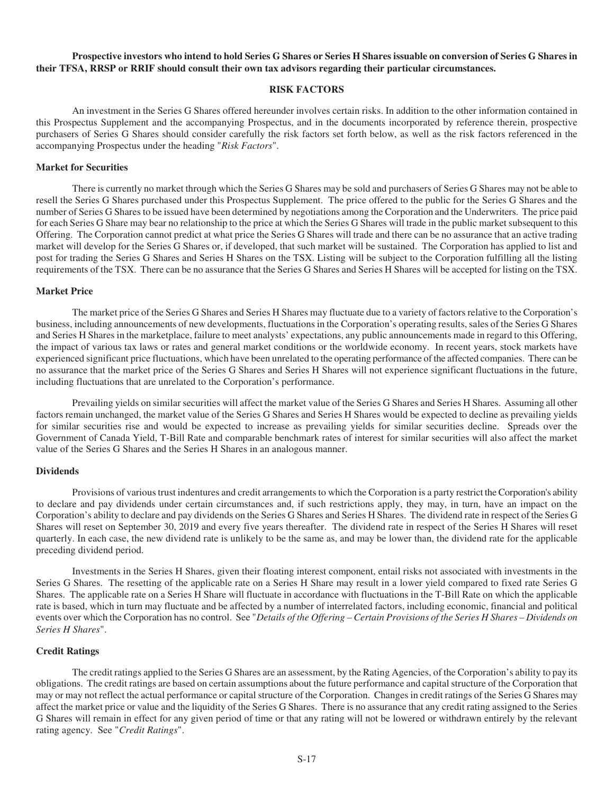## **Prospective investors who intend to hold Series G Shares or Series H Shares issuable on conversion of Series G Shares in their TFSA, RRSP or RRIF should consult their own tax advisors regarding their particular circumstances.**

## **RISK FACTORS**

An investment in the Series G Shares offered hereunder involves certain risks. In addition to the other information contained in this Prospectus Supplement and the accompanying Prospectus, and in the documents incorporated by reference therein, prospective purchasers of Series G Shares should consider carefully the risk factors set forth below, as well as the risk factors referenced in the accompanying Prospectus under the heading "*Risk Factors*".

### **Market for Securities**

There is currently no market through which the Series G Shares may be sold and purchasers of Series G Shares may not be able to resell the Series G Shares purchased under this Prospectus Supplement. The price offered to the public for the Series G Shares and the number of Series G Shares to be issued have been determined by negotiations among the Corporation and the Underwriters. The price paid for each Series G Share may bear no relationship to the price at which the Series G Shares will trade in the public market subsequent to this Offering. The Corporation cannot predict at what price the Series G Shares will trade and there can be no assurance that an active trading market will develop for the Series G Shares or, if developed, that such market will be sustained. The Corporation has applied to list and post for trading the Series G Shares and Series H Shares on the TSX. Listing will be subject to the Corporation fulfilling all the listing requirements of the TSX. There can be no assurance that the Series G Shares and Series H Shares will be accepted for listing on the TSX.

## **Market Price**

The market price of the Series G Shares and Series H Shares may fluctuate due to a variety of factors relative to the Corporation's business, including announcements of new developments, fluctuations in the Corporation's operating results, sales of the Series G Shares and Series H Shares in the marketplace, failure to meet analysts' expectations, any public announcements made in regard to this Offering, the impact of various tax laws or rates and general market conditions or the worldwide economy. In recent years, stock markets have experienced significant price fluctuations, which have been unrelated to the operating performance of the affected companies. There can be no assurance that the market price of the Series G Shares and Series H Shares will not experience significant fluctuations in the future, including fluctuations that are unrelated to the Corporation's performance.

Prevailing yields on similar securities will affect the market value of the Series G Shares and Series H Shares. Assuming all other factors remain unchanged, the market value of the Series G Shares and Series H Shares would be expected to decline as prevailing yields for similar securities rise and would be expected to increase as prevailing yields for similar securities decline. Spreads over the Government of Canada Yield, T-Bill Rate and comparable benchmark rates of interest for similar securities will also affect the market value of the Series G Shares and the Series H Shares in an analogous manner.

#### **Dividends**

Provisions of various trust indentures and credit arrangements to which the Corporation is a party restrict the Corporation's ability to declare and pay dividends under certain circumstances and, if such restrictions apply, they may, in turn, have an impact on the Corporation's ability to declare and pay dividends on the Series G Shares and Series H Shares. The dividend rate in respect of the Series G Shares will reset on September 30, 2019 and every five years thereafter. The dividend rate in respect of the Series H Shares will reset quarterly. In each case, the new dividend rate is unlikely to be the same as, and may be lower than, the dividend rate for the applicable preceding dividend period.

Investments in the Series H Shares, given their floating interest component, entail risks not associated with investments in the Series G Shares. The resetting of the applicable rate on a Series H Share may result in a lower yield compared to fixed rate Series G Shares. The applicable rate on a Series H Share will fluctuate in accordance with fluctuations in the T-Bill Rate on which the applicable rate is based, which in turn may fluctuate and be affected by a number of interrelated factors, including economic, financial and political events over which the Corporation has no control. See "*Details of the Offering – Certain Provisions of the Series H Shares – Dividends on Series H Shares*".

## **Credit Ratings**

The credit ratings applied to the Series G Shares are an assessment, by the Rating Agencies, of the Corporation's ability to pay its obligations. The credit ratings are based on certain assumptions about the future performance and capital structure of the Corporation that may or may not reflect the actual performance or capital structure of the Corporation. Changes in credit ratings of the Series G Shares may affect the market price or value and the liquidity of the Series G Shares. There is no assurance that any credit rating assigned to the Series G Shares will remain in effect for any given period of time or that any rating will not be lowered or withdrawn entirely by the relevant rating agency. See "*Credit Ratings*".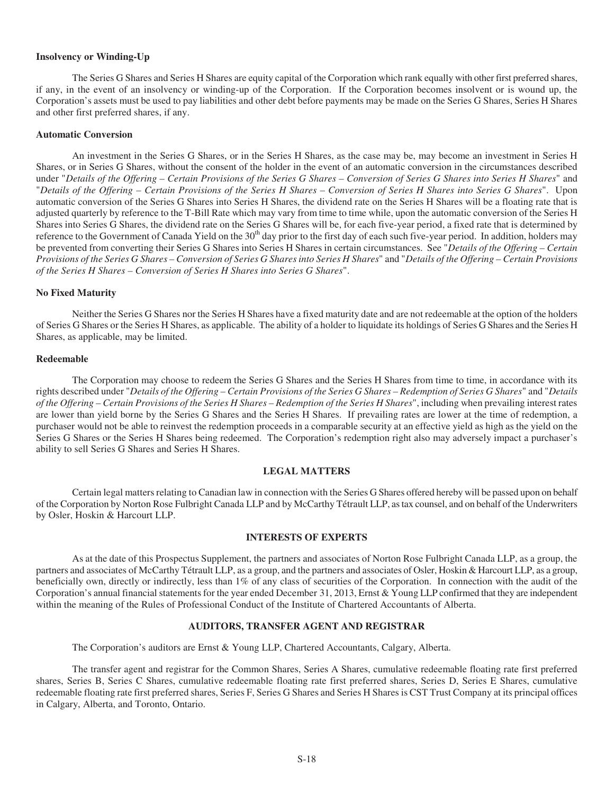## **Insolvency or Winding-Up**

The Series G Shares and Series H Shares are equity capital of the Corporation which rank equally with other first preferred shares, if any, in the event of an insolvency or winding-up of the Corporation. If the Corporation becomes insolvent or is wound up, the Corporation's assets must be used to pay liabilities and other debt before payments may be made on the Series G Shares, Series H Shares and other first preferred shares, if any.

#### **Automatic Conversion**

An investment in the Series G Shares, or in the Series H Shares, as the case may be, may become an investment in Series H Shares, or in Series G Shares, without the consent of the holder in the event of an automatic conversion in the circumstances described under "*Details of the Offering – Certain Provisions of the Series G Shares – Conversion of Series G Shares into Series H Shares*" and "*Details of the Offering – Certain Provisions of the Series H Shares – Conversion of Series H Shares into Series G Shares*". Upon automatic conversion of the Series G Shares into Series H Shares, the dividend rate on the Series H Shares will be a floating rate that is adjusted quarterly by reference to the T-Bill Rate which may vary from time to time while, upon the automatic conversion of the Series H Shares into Series G Shares, the dividend rate on the Series G Shares will be, for each five-year period, a fixed rate that is determined by reference to the Government of Canada Yield on the 30<sup>th</sup> day prior to the first day of each such five-year period. In addition, holders may be prevented from converting their Series G Shares into Series H Shares in certain circumstances. See "*Details of the Offering – Certain Provisions of the Series G Shares – Conversion of Series G Shares into Series H Shares*" and "*Details of the Offering – Certain Provisions of the Series H Shares – Conversion of Series H Shares into Series G Shares*".

#### **No Fixed Maturity**

Neither the Series G Shares nor the Series H Shares have a fixed maturity date and are not redeemable at the option of the holders of Series G Shares or the Series H Shares, as applicable. The ability of a holder to liquidate its holdings of Series G Shares and the Series H Shares, as applicable, may be limited.

## **Redeemable**

The Corporation may choose to redeem the Series G Shares and the Series H Shares from time to time, in accordance with its rights described under "*Details of the Offering – Certain Provisions of the Series G Shares – Redemption of Series G Shares*" and "*Details of the Offering – Certain Provisions of the Series H Shares – Redemption of the Series H Shares*", including when prevailing interest rates are lower than yield borne by the Series G Shares and the Series H Shares. If prevailing rates are lower at the time of redemption, a purchaser would not be able to reinvest the redemption proceeds in a comparable security at an effective yield as high as the yield on the Series G Shares or the Series H Shares being redeemed. The Corporation's redemption right also may adversely impact a purchaser's ability to sell Series G Shares and Series H Shares.

### **LEGAL MATTERS**

Certain legal matters relating to Canadian law in connection with the Series G Shares offered hereby will be passed upon on behalf of the Corporation by Norton Rose Fulbright Canada LLP and by McCarthy Tétrault LLP, as tax counsel, and on behalf of the Underwriters by Osler, Hoskin & Harcourt LLP.

## **INTERESTS OF EXPERTS**

As at the date of this Prospectus Supplement, the partners and associates of Norton Rose Fulbright Canada LLP, as a group, the partners and associates of McCarthy Tétrault LLP, as a group, and the partners and associates of Osler, Hoskin & Harcourt LLP, as a group, beneficially own, directly or indirectly, less than 1% of any class of securities of the Corporation. In connection with the audit of the Corporation's annual financial statements for the year ended December 31, 2013, Ernst & Young LLP confirmed that they are independent within the meaning of the Rules of Professional Conduct of the Institute of Chartered Accountants of Alberta.

## **AUDITORS, TRANSFER AGENT AND REGISTRAR**

The Corporation's auditors are Ernst & Young LLP, Chartered Accountants, Calgary, Alberta.

The transfer agent and registrar for the Common Shares, Series A Shares, cumulative redeemable floating rate first preferred shares, Series B, Series C Shares, cumulative redeemable floating rate first preferred shares, Series D, Series E Shares, cumulative redeemable floating rate first preferred shares, Series F, Series G Shares and Series H Shares is CST Trust Company at its principal offices in Calgary, Alberta, and Toronto, Ontario.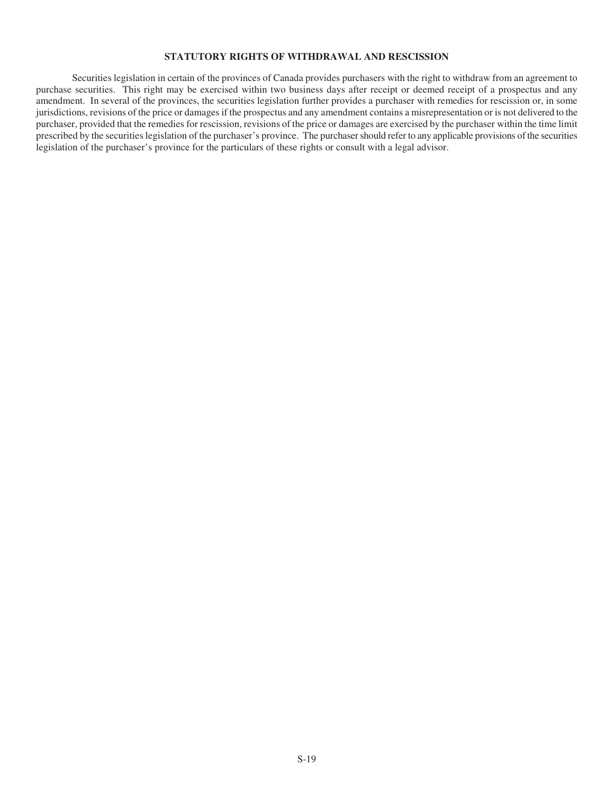# **STATUTORY RIGHTS OF WITHDRAWAL AND RESCISSION**

Securities legislation in certain of the provinces of Canada provides purchasers with the right to withdraw from an agreement to purchase securities. This right may be exercised within two business days after receipt or deemed receipt of a prospectus and any amendment. In several of the provinces, the securities legislation further provides a purchaser with remedies for rescission or, in some jurisdictions, revisions of the price or damages if the prospectus and any amendment contains a misrepresentation or is not delivered to the purchaser, provided that the remedies for rescission, revisions of the price or damages are exercised by the purchaser within the time limit prescribed by the securities legislation of the purchaser's province. The purchaser should refer to any applicable provisions of the securities legislation of the purchaser's province for the particulars of these rights or consult with a legal advisor.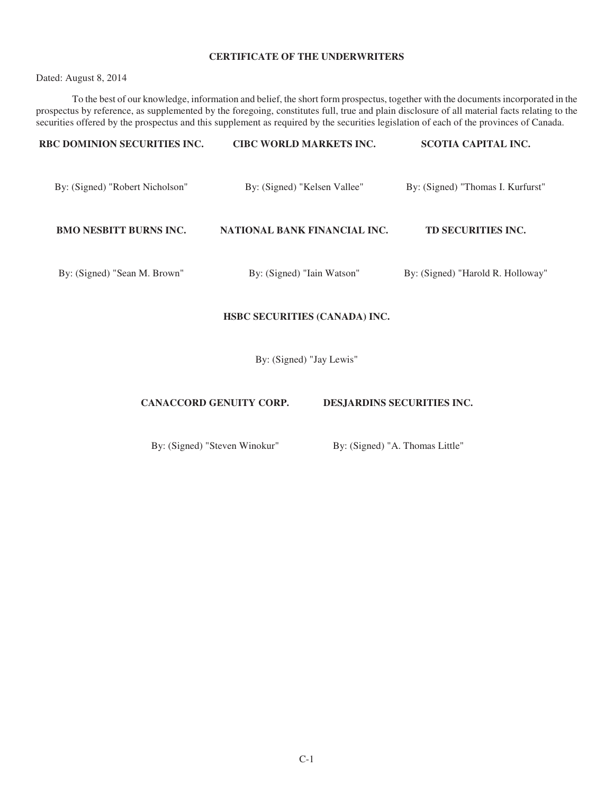# **CERTIFICATE OF THE UNDERWRITERS**

Dated: August 8, 2014

To the best of our knowledge, information and belief, the short form prospectus, together with the documents incorporated in the prospectus by reference, as supplemented by the foregoing, constitutes full, true and plain disclosure of all material facts relating to the securities offered by the prospectus and this supplement as required by the securities legislation of each of the provinces of Canada.

| <b>RBC DOMINION SECURITIES INC.</b> | <b>CIBC WORLD MARKETS INC.</b> | <b>SCOTIA CAPITAL INC.</b>        |
|-------------------------------------|--------------------------------|-----------------------------------|
| By: (Signed) "Robert Nicholson"     | By: (Signed) "Kelsen Vallee"   | By: (Signed) "Thomas I. Kurfurst" |
| <b>BMO NESBITT BURNS INC.</b>       | NATIONAL BANK FINANCIAL INC.   | TD SECURITIES INC.                |
| By: (Signed) "Sean M. Brown"        | By: (Signed) "Iain Watson"     | By: (Signed) "Harold R. Holloway" |

# **HSBC SECURITIES (CANADA) INC.**

By: (Signed) "Jay Lewis"

# **CANACCORD GENUITY CORP. DESJARDINS SECURITIES INC.**

By: (Signed) "Steven Winokur" By: (Signed) "A. Thomas Little"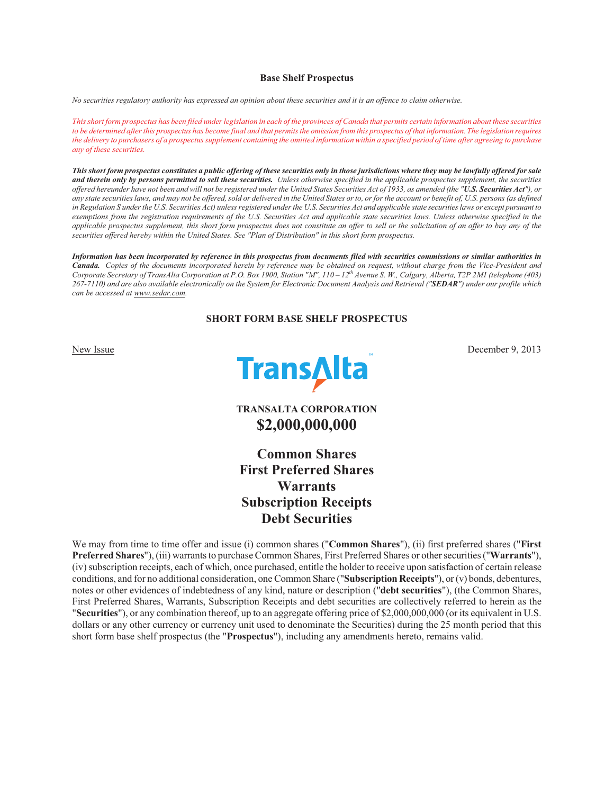### **Base Shelf Prospectus**

*No securities regulatory authority has expressed an opinion about these securities and it is an offence to claim otherwise.* 

*This short form prospectus has been filed under legislation in each of the provinces of Canada that permits certain information about these securities to be determined after this prospectus has become final and that permits the omission from this prospectus of that information. The legislation requires the delivery to purchasers of a prospectus supplement containing the omitted information within a specified period of time after agreeing to purchase any of these securities.* 

*This short form prospectus constitutes a public offering of these securities only in those jurisdictions where they may be lawfully offered for sale and therein only by persons permitted to sell these securities. Unless otherwise specified in the applicable prospectus supplement, the securities offered hereunder have not been and will not be registered under the United States Securities Act of 1933, as amended (the "U.S. Securities Act"), or any state securities laws, and may not be offered, sold or delivered in the United States or to, or for the account or benefit of, U.S. persons (as defined in Regulation S under the U.S. Securities Act) unless registered under the U.S. Securities Act and applicable state securities laws or except pursuant to exemptions from the registration requirements of the U.S. Securities Act and applicable state securities laws. Unless otherwise specified in the applicable prospectus supplement, this short form prospectus does not constitute an offer to sell or the solicitation of an offer to buy any of the securities offered hereby within the United States. See "Plan of Distribution" in this short form prospectus.* 

*Information has been incorporated by reference in this prospectus from documents filed with securities commissions or similar authorities in Canada. Copies of the documents incorporated herein by reference may be obtained on request, without charge from the Vice-President and Corporate Secretary of TransAlta Corporation at P.O. Box 1900, Station "M", 110 – 12th Avenue S. W., Calgary, Alberta, T2P 2M1 (telephone (403) 267-7110) and are also available electronically on the System for Electronic Document Analysis and Retrieval ("SEDAR") under our profile which can be accessed at www.sedar.com.*

## **SHORT FORM BASE SHELF PROSPECTUS**



**TRANSALTA CORPORATION \$2,000,000,000**

**Common Shares First Preferred Shares Warrants Subscription Receipts Debt Securities** 

We may from time to time offer and issue (i) common shares ("**Common Shares**"), (ii) first preferred shares ("**First Preferred Shares**"), (iii) warrants to purchase Common Shares, First Preferred Shares or other securities ("**Warrants**"), (iv) subscription receipts, each of which, once purchased, entitle the holder to receive upon satisfaction of certain release conditions, and for no additional consideration, one Common Share ("**Subscription Receipts**"), or (v) bonds, debentures, notes or other evidences of indebtedness of any kind, nature or description ("**debt securities**"), (the Common Shares, First Preferred Shares, Warrants, Subscription Receipts and debt securities are collectively referred to herein as the "**Securities**"), or any combination thereof, up to an aggregate offering price of \$2,000,000,000 (or its equivalent in U.S. dollars or any other currency or currency unit used to denominate the Securities) during the 25 month period that this short form base shelf prospectus (the "**Prospectus**"), including any amendments hereto, remains valid.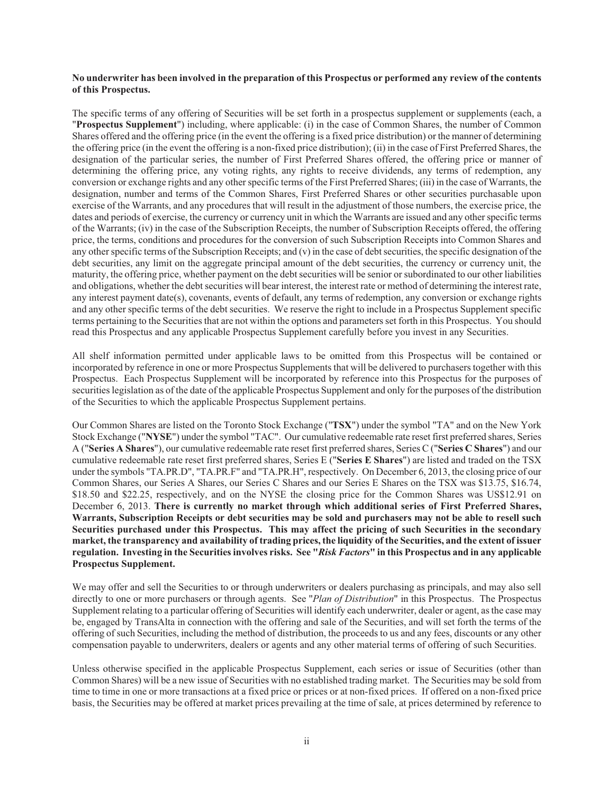# **No underwriter has been involved in the preparation of this Prospectus or performed any review of the contents of this Prospectus.**

The specific terms of any offering of Securities will be set forth in a prospectus supplement or supplements (each, a "**Prospectus Supplement**") including, where applicable: (i) in the case of Common Shares, the number of Common Shares offered and the offering price (in the event the offering is a fixed price distribution) or the manner of determining the offering price (in the event the offering is a non-fixed price distribution); (ii) in the case of First Preferred Shares, the designation of the particular series, the number of First Preferred Shares offered, the offering price or manner of determining the offering price, any voting rights, any rights to receive dividends, any terms of redemption, any conversion or exchange rights and any other specific terms of the First Preferred Shares; (iii) in the case of Warrants, the designation, number and terms of the Common Shares, First Preferred Shares or other securities purchasable upon exercise of the Warrants, and any procedures that will result in the adjustment of those numbers, the exercise price, the dates and periods of exercise, the currency or currency unit in which the Warrants are issued and any other specific terms of the Warrants; (iv) in the case of the Subscription Receipts, the number of Subscription Receipts offered, the offering price, the terms, conditions and procedures for the conversion of such Subscription Receipts into Common Shares and any other specific terms of the Subscription Receipts; and (v) in the case of debt securities, the specific designation of the debt securities, any limit on the aggregate principal amount of the debt securities, the currency or currency unit, the maturity, the offering price, whether payment on the debt securities will be senior or subordinated to our other liabilities and obligations, whether the debt securities will bear interest, the interest rate or method of determining the interest rate, any interest payment date(s), covenants, events of default, any terms of redemption, any conversion or exchange rights and any other specific terms of the debt securities. We reserve the right to include in a Prospectus Supplement specific terms pertaining to the Securities that are not within the options and parameters set forth in this Prospectus. You should read this Prospectus and any applicable Prospectus Supplement carefully before you invest in any Securities.

All shelf information permitted under applicable laws to be omitted from this Prospectus will be contained or incorporated by reference in one or more Prospectus Supplements that will be delivered to purchasers together with this Prospectus. Each Prospectus Supplement will be incorporated by reference into this Prospectus for the purposes of securities legislation as of the date of the applicable Prospectus Supplement and only for the purposes of the distribution of the Securities to which the applicable Prospectus Supplement pertains.

Our Common Shares are listed on the Toronto Stock Exchange ("**TSX**") under the symbol "TA" and on the New York Stock Exchange ("**NYSE**") under the symbol "TAC". Our cumulative redeemable rate reset first preferred shares, Series A ("**Series A Shares**"), our cumulative redeemable rate reset first preferred shares, Series C ("**Series C Shares**") and our cumulative redeemable rate reset first preferred shares, Series E ("**Series E Shares**") are listed and traded on the TSX under the symbols "TA.PR.D", "TA.PR.F" and "TA.PR.H", respectively. On December 6, 2013, the closing price of our Common Shares, our Series A Shares, our Series C Shares and our Series E Shares on the TSX was \$13.75, \$16.74, \$18.50 and \$22.25, respectively, and on the NYSE the closing price for the Common Shares was US\$12.91 on December 6, 2013. **There is currently no market through which additional series of First Preferred Shares, Warrants, Subscription Receipts or debt securities may be sold and purchasers may not be able to resell such Securities purchased under this Prospectus. This may affect the pricing of such Securities in the secondary market, the transparency and availability of trading prices, the liquidity of the Securities, and the extent of issuer regulation. Investing in the Securities involves risks. See "***Risk Factors***" in this Prospectus and in any applicable Prospectus Supplement.** 

We may offer and sell the Securities to or through underwriters or dealers purchasing as principals, and may also sell directly to one or more purchasers or through agents. See "*Plan of Distribution*" in this Prospectus. The Prospectus Supplement relating to a particular offering of Securities will identify each underwriter, dealer or agent, as the case may be, engaged by TransAlta in connection with the offering and sale of the Securities, and will set forth the terms of the offering of such Securities, including the method of distribution, the proceeds to us and any fees, discounts or any other compensation payable to underwriters, dealers or agents and any other material terms of offering of such Securities.

Unless otherwise specified in the applicable Prospectus Supplement, each series or issue of Securities (other than Common Shares) will be a new issue of Securities with no established trading market. The Securities may be sold from time to time in one or more transactions at a fixed price or prices or at non-fixed prices. If offered on a non-fixed price basis, the Securities may be offered at market prices prevailing at the time of sale, at prices determined by reference to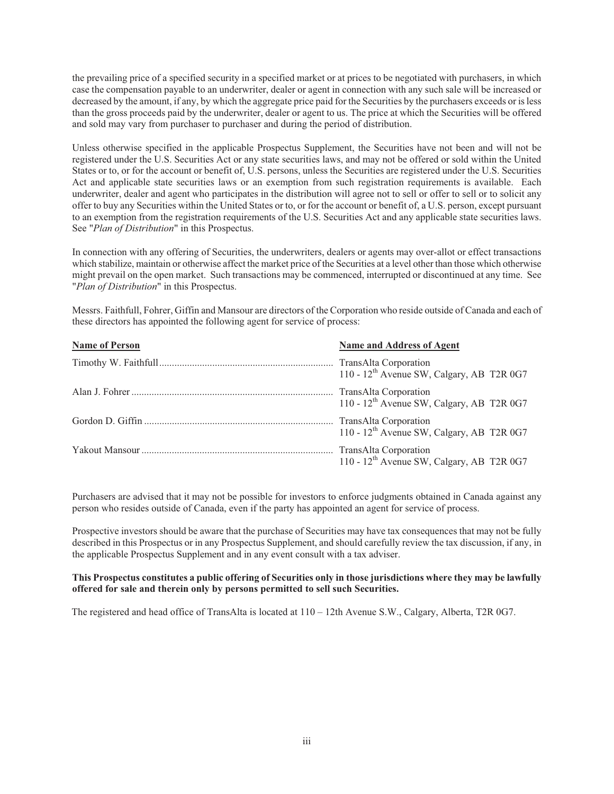the prevailing price of a specified security in a specified market or at prices to be negotiated with purchasers, in which case the compensation payable to an underwriter, dealer or agent in connection with any such sale will be increased or decreased by the amount, if any, by which the aggregate price paid for the Securities by the purchasers exceeds or is less than the gross proceeds paid by the underwriter, dealer or agent to us. The price at which the Securities will be offered and sold may vary from purchaser to purchaser and during the period of distribution.

Unless otherwise specified in the applicable Prospectus Supplement, the Securities have not been and will not be registered under the U.S. Securities Act or any state securities laws, and may not be offered or sold within the United States or to, or for the account or benefit of, U.S. persons, unless the Securities are registered under the U.S. Securities Act and applicable state securities laws or an exemption from such registration requirements is available. Each underwriter, dealer and agent who participates in the distribution will agree not to sell or offer to sell or to solicit any offer to buy any Securities within the United States or to, or for the account or benefit of, a U.S. person, except pursuant to an exemption from the registration requirements of the U.S. Securities Act and any applicable state securities laws. See "*Plan of Distribution*" in this Prospectus.

In connection with any offering of Securities, the underwriters, dealers or agents may over-allot or effect transactions which stabilize, maintain or otherwise affect the market price of the Securities at a level other than those which otherwise might prevail on the open market. Such transactions may be commenced, interrupted or discontinued at any time. See "*Plan of Distribution*" in this Prospectus.

Messrs. Faithfull, Fohrer, Giffin and Mansour are directors of the Corporation who reside outside of Canada and each of these directors has appointed the following agent for service of process:

| <b>Name of Person</b> | Name and Address of Agent                             |
|-----------------------|-------------------------------------------------------|
|                       | 110 - 12 <sup>th</sup> Avenue SW, Calgary, AB T2R 0G7 |
|                       | 110 - 12 <sup>th</sup> Avenue SW, Calgary, AB T2R 0G7 |
|                       | 110 - 12 <sup>th</sup> Avenue SW, Calgary, AB T2R 0G7 |
|                       | 110 - 12 <sup>th</sup> Avenue SW, Calgary, AB T2R 0G7 |

Purchasers are advised that it may not be possible for investors to enforce judgments obtained in Canada against any person who resides outside of Canada, even if the party has appointed an agent for service of process.

Prospective investors should be aware that the purchase of Securities may have tax consequences that may not be fully described in this Prospectus or in any Prospectus Supplement, and should carefully review the tax discussion, if any, in the applicable Prospectus Supplement and in any event consult with a tax adviser.

# **This Prospectus constitutes a public offering of Securities only in those jurisdictions where they may be lawfully offered for sale and therein only by persons permitted to sell such Securities.**

The registered and head office of TransAlta is located at 110 – 12th Avenue S.W., Calgary, Alberta, T2R 0G7.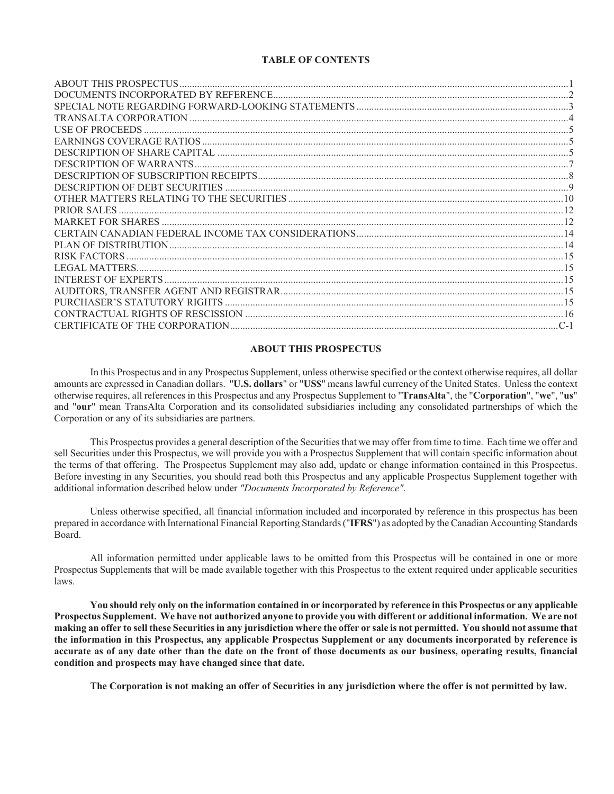# **TABLE OF CONTENTS**

| <b>PRIOR SALES</b> |  |
|--------------------|--|
|                    |  |
|                    |  |
|                    |  |
|                    |  |
|                    |  |
|                    |  |
|                    |  |
|                    |  |
|                    |  |
|                    |  |

# **ABOUT THIS PROSPECTUS**

In this Prospectus and in any Prospectus Supplement, unless otherwise specified or the context otherwise requires, all dollar amounts are expressed in Canadian dollars. "**U.S. dollars**" or "**US\$**" means lawful currency of the United States. Unless the context otherwise requires, all references in this Prospectus and any Prospectus Supplement to "**TransAlta**", the "**Corporation**", "**we**", "**us**" and "**our**" mean TransAlta Corporation and its consolidated subsidiaries including any consolidated partnerships of which the Corporation or any of its subsidiaries are partners.

This Prospectus provides a general description of the Securities that we may offer from time to time. Each time we offer and sell Securities under this Prospectus, we will provide you with a Prospectus Supplement that will contain specific information about the terms of that offering. The Prospectus Supplement may also add, update or change information contained in this Prospectus. Before investing in any Securities, you should read both this Prospectus and any applicable Prospectus Supplement together with additional information described below under *"Documents Incorporated by Reference"*.

Unless otherwise specified, all financial information included and incorporated by reference in this prospectus has been prepared in accordance with International Financial Reporting Standards ("**IFRS**") as adopted by the Canadian Accounting Standards Board.

All information permitted under applicable laws to be omitted from this Prospectus will be contained in one or more Prospectus Supplements that will be made available together with this Prospectus to the extent required under applicable securities laws.

**You should rely only on the information contained in or incorporated by reference in this Prospectus or any applicable Prospectus Supplement. We have not authorized anyone to provide you with different or additional information. We are not making an offer to sell these Securities in any jurisdiction where the offer or sale is not permitted. You should not assume that the information in this Prospectus, any applicable Prospectus Supplement or any documents incorporated by reference is accurate as of any date other than the date on the front of those documents as our business, operating results, financial condition and prospects may have changed since that date.** 

**The Corporation is not making an offer of Securities in any jurisdiction where the offer is not permitted by law.**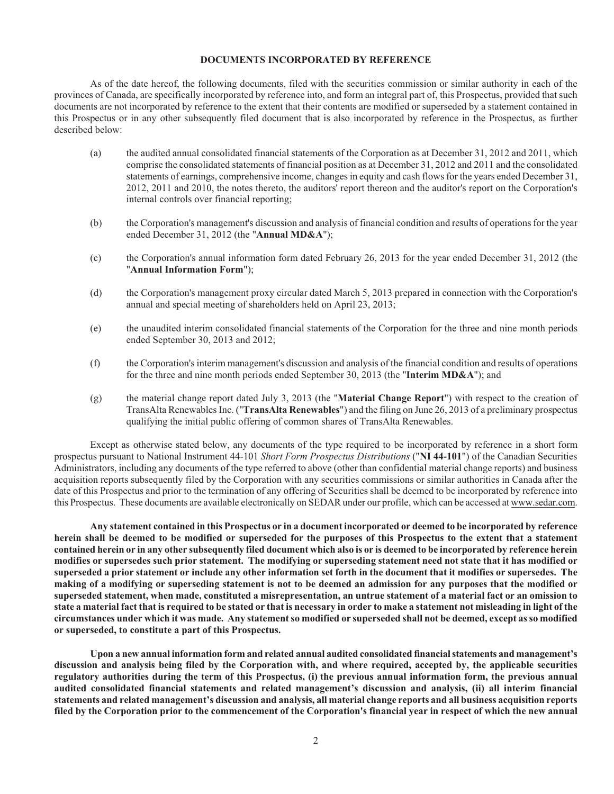## **DOCUMENTS INCORPORATED BY REFERENCE**

As of the date hereof, the following documents, filed with the securities commission or similar authority in each of the provinces of Canada, are specifically incorporated by reference into, and form an integral part of, this Prospectus, provided that such documents are not incorporated by reference to the extent that their contents are modified or superseded by a statement contained in this Prospectus or in any other subsequently filed document that is also incorporated by reference in the Prospectus, as further described below:

- (a) the audited annual consolidated financial statements of the Corporation as at December 31, 2012 and 2011, which comprise the consolidated statements of financial position as at December 31, 2012 and 2011 and the consolidated statements of earnings, comprehensive income, changes in equity and cash flows for the years ended December 31, 2012, 2011 and 2010, the notes thereto, the auditors' report thereon and the auditor's report on the Corporation's internal controls over financial reporting;
- (b) the Corporation's management's discussion and analysis of financial condition and results of operations for the year ended December 31, 2012 (the "**Annual MD&A**");
- (c) the Corporation's annual information form dated February 26, 2013 for the year ended December 31, 2012 (the "**Annual Information Form**");
- (d) the Corporation's management proxy circular dated March 5, 2013 prepared in connection with the Corporation's annual and special meeting of shareholders held on April 23, 2013;
- (e) the unaudited interim consolidated financial statements of the Corporation for the three and nine month periods ended September 30, 2013 and 2012;
- (f) the Corporation's interim management's discussion and analysis of the financial condition and results of operations for the three and nine month periods ended September 30, 2013 (the "**Interim MD&A**"); and
- (g) the material change report dated July 3, 2013 (the "**Material Change Report**") with respect to the creation of TransAlta Renewables Inc. ("**TransAlta Renewables**") and the filing on June 26, 2013 of a preliminary prospectus qualifying the initial public offering of common shares of TransAlta Renewables.

Except as otherwise stated below, any documents of the type required to be incorporated by reference in a short form prospectus pursuant to National Instrument 44-101 *Short Form Prospectus Distributions* ("**NI 44-101**") of the Canadian Securities Administrators, including any documents of the type referred to above (other than confidential material change reports) and business acquisition reports subsequently filed by the Corporation with any securities commissions or similar authorities in Canada after the date of this Prospectus and prior to the termination of any offering of Securities shall be deemed to be incorporated by reference into this Prospectus. These documents are available electronically on SEDAR under our profile, which can be accessed at www.sedar.com.

**Any statement contained in this Prospectus or in a document incorporated or deemed to be incorporated by reference herein shall be deemed to be modified or superseded for the purposes of this Prospectus to the extent that a statement contained herein or in any other subsequently filed document which also is or is deemed to be incorporated by reference herein modifies or supersedes such prior statement. The modifying or superseding statement need not state that it has modified or superseded a prior statement or include any other information set forth in the document that it modifies or supersedes. The making of a modifying or superseding statement is not to be deemed an admission for any purposes that the modified or superseded statement, when made, constituted a misrepresentation, an untrue statement of a material fact or an omission to state a material fact that is required to be stated or that is necessary in order to make a statement not misleading in light of the circumstances under which it was made. Any statement so modified or superseded shall not be deemed, except as so modified or superseded, to constitute a part of this Prospectus.** 

**Upon a new annual information form and related annual audited consolidated financial statements and management's discussion and analysis being filed by the Corporation with, and where required, accepted by, the applicable securities regulatory authorities during the term of this Prospectus, (i) the previous annual information form, the previous annual audited consolidated financial statements and related management's discussion and analysis, (ii) all interim financial statements and related management's discussion and analysis, all material change reports and all business acquisition reports filed by the Corporation prior to the commencement of the Corporation's financial year in respect of which the new annual**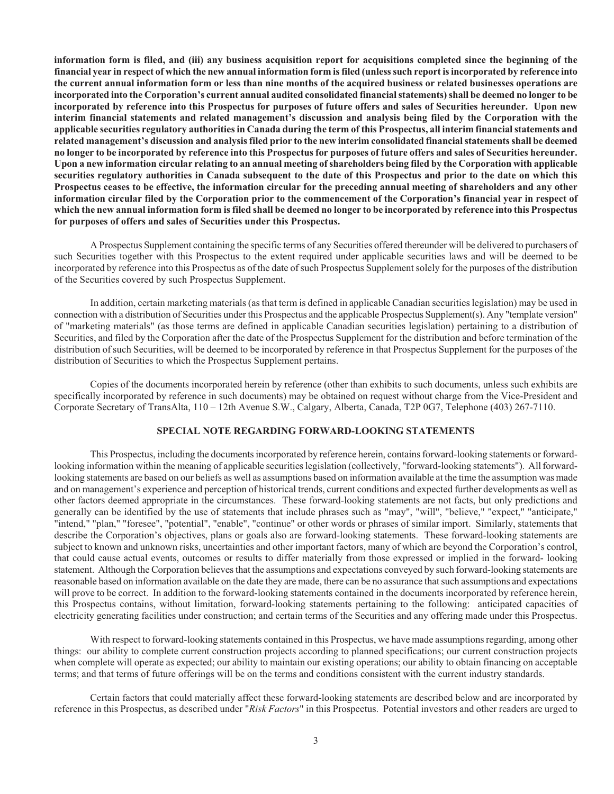**information form is filed, and (iii) any business acquisition report for acquisitions completed since the beginning of the financial year in respect of which the new annual information form is filed (unless such report is incorporated by reference into the current annual information form or less than nine months of the acquired business or related businesses operations are incorporated into the Corporation's current annual audited consolidated financial statements) shall be deemed no longer to be incorporated by reference into this Prospectus for purposes of future offers and sales of Securities hereunder. Upon new interim financial statements and related management's discussion and analysis being filed by the Corporation with the applicable securities regulatory authorities in Canada during the term of this Prospectus, all interim financial statements and related management's discussion and analysis filed prior to the new interim consolidated financial statements shall be deemed no longer to be incorporated by reference into this Prospectus for purposes of future offers and sales of Securities hereunder. Upon a new information circular relating to an annual meeting of shareholders being filed by the Corporation with applicable securities regulatory authorities in Canada subsequent to the date of this Prospectus and prior to the date on which this Prospectus ceases to be effective, the information circular for the preceding annual meeting of shareholders and any other information circular filed by the Corporation prior to the commencement of the Corporation's financial year in respect of which the new annual information form is filed shall be deemed no longer to be incorporated by reference into this Prospectus for purposes of offers and sales of Securities under this Prospectus.** 

A Prospectus Supplement containing the specific terms of any Securities offered thereunder will be delivered to purchasers of such Securities together with this Prospectus to the extent required under applicable securities laws and will be deemed to be incorporated by reference into this Prospectus as of the date of such Prospectus Supplement solely for the purposes of the distribution of the Securities covered by such Prospectus Supplement.

In addition, certain marketing materials (as that term is defined in applicable Canadian securities legislation) may be used in connection with a distribution of Securities under this Prospectus and the applicable Prospectus Supplement(s). Any "template version" of "marketing materials" (as those terms are defined in applicable Canadian securities legislation) pertaining to a distribution of Securities, and filed by the Corporation after the date of the Prospectus Supplement for the distribution and before termination of the distribution of such Securities, will be deemed to be incorporated by reference in that Prospectus Supplement for the purposes of the distribution of Securities to which the Prospectus Supplement pertains.

Copies of the documents incorporated herein by reference (other than exhibits to such documents, unless such exhibits are specifically incorporated by reference in such documents) may be obtained on request without charge from the Vice-President and Corporate Secretary of TransAlta, 110 – 12th Avenue S.W., Calgary, Alberta, Canada, T2P 0G7, Telephone (403) 267-7110.

# **SPECIAL NOTE REGARDING FORWARD-LOOKING STATEMENTS**

This Prospectus, including the documents incorporated by reference herein, contains forward-looking statements or forwardlooking information within the meaning of applicable securities legislation (collectively, "forward-looking statements"). All forwardlooking statements are based on our beliefs as well as assumptions based on information available at the time the assumption was made and on management's experience and perception of historical trends, current conditions and expected further developments as well as other factors deemed appropriate in the circumstances. These forward-looking statements are not facts, but only predictions and generally can be identified by the use of statements that include phrases such as "may", "will", "believe," "expect," "anticipate," "intend," "plan," "foresee", "potential", "enable", "continue" or other words or phrases of similar import. Similarly, statements that describe the Corporation's objectives, plans or goals also are forward-looking statements. These forward-looking statements are subject to known and unknown risks, uncertainties and other important factors, many of which are beyond the Corporation's control, that could cause actual events, outcomes or results to differ materially from those expressed or implied in the forward- looking statement. Although the Corporation believes that the assumptions and expectations conveyed by such forward-looking statements are reasonable based on information available on the date they are made, there can be no assurance that such assumptions and expectations will prove to be correct. In addition to the forward-looking statements contained in the documents incorporated by reference herein, this Prospectus contains, without limitation, forward-looking statements pertaining to the following: anticipated capacities of electricity generating facilities under construction; and certain terms of the Securities and any offering made under this Prospectus.

With respect to forward-looking statements contained in this Prospectus, we have made assumptions regarding, among other things: our ability to complete current construction projects according to planned specifications; our current construction projects when complete will operate as expected; our ability to maintain our existing operations; our ability to obtain financing on acceptable terms; and that terms of future offerings will be on the terms and conditions consistent with the current industry standards.

Certain factors that could materially affect these forward-looking statements are described below and are incorporated by reference in this Prospectus, as described under "*Risk Factors*" in this Prospectus. Potential investors and other readers are urged to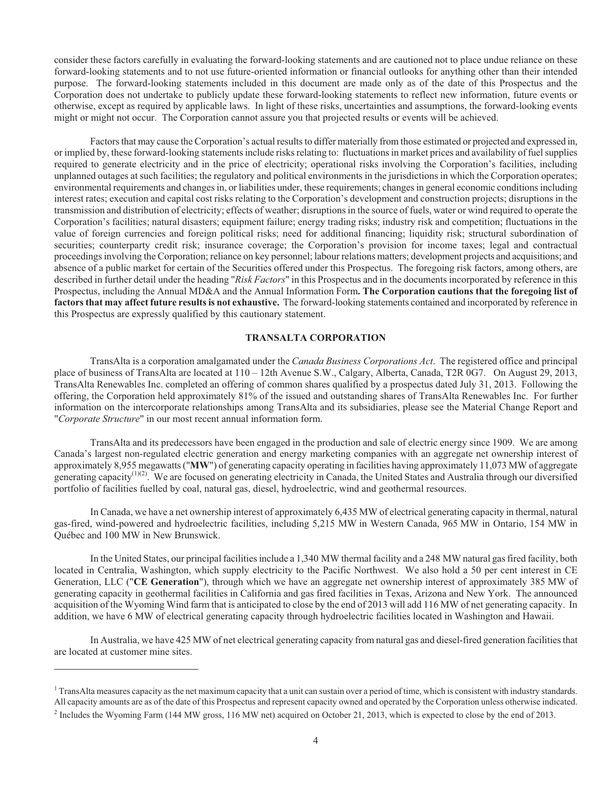consider these factors carefully in evaluating the forward-looking statements and are cautioned not to place undue reliance on these forward-looking statements and to not use future-oriented information or financial outlooks for anything other than their intended purpose. The forward-looking statements included in this document are made only as of the date of this Prospectus and the Corporation does not undertake to publicly update these forward-looking statements to reflect new information, future events or otherwise, except as required by applicable laws. In light of these risks, uncertainties and assumptions, the forward-looking events might or might not occur. The Corporation cannot assure you that projected results or events will be achieved.

Factors that may cause the Corporation's actual results to differ materially from those estimated or projected and expressed in, or implied by, these forward-looking statements include risks relating to: fluctuations in market prices and availability of fuel supplies required to generate electricity and in the price of electricity; operational risks involving the Corporation's facilities, including unplanned outages at such facilities; the regulatory and political environments in the jurisdictions in which the Corporation operates; environmental requirements and changes in, or liabilities under, these requirements; changes in general economic conditions including interest rates; execution and capital cost risks relating to the Corporation's development and construction projects; disruptions in the transmission and distribution of electricity; effects of weather; disruptions in the source of fuels, water or wind required to operate the Corporation's facilities; natural disasters; equipment failure; energy trading risks; industry risk and competition; fluctuations in the value of foreign currencies and foreign political risks; need for additional financing; liquidity risk; structural subordination of securities; counterparty credit risk; insurance coverage; the Corporation's provision for income taxes; legal and contractual proceedings involving the Corporation; reliance on key personnel; labour relations matters; development projects and acquisitions; and absence of a public market for certain of the Securities offered under this Prospectus. The foregoing risk factors, among others, are described in further detail under the heading "*Risk Factors*" in this Prospectus and in the documents incorporated by reference in this Prospectus, including the Annual MD&A and the Annual Information Form**. The Corporation cautions that the foregoing list of factors that may affect future results is not exhaustive.** The forward-looking statements contained and incorporated by reference in this Prospectus are expressly qualified by this cautionary statement.

# **TRANSALTA CORPORATION**

TransAlta is a corporation amalgamated under the *Canada Business Corporations Act*. The registered office and principal place of business of TransAlta are located at 110 – 12th Avenue S.W., Calgary, Alberta, Canada, T2R 0G7. On August 29, 2013, TransAlta Renewables Inc. completed an offering of common shares qualified by a prospectus dated July 31, 2013. Following the offering, the Corporation held approximately 81% of the issued and outstanding shares of TransAlta Renewables Inc. For further information on the intercorporate relationships among TransAlta and its subsidiaries, please see the Material Change Report and "*Corporate Structure*" in our most recent annual information form.

TransAlta and its predecessors have been engaged in the production and sale of electric energy since 1909. We are among Canada's largest non-regulated electric generation and energy marketing companies with an aggregate net ownership interest of approximately 8,955 megawatts ("**MW**") of generating capacity operating in facilities having approximately 11,073 MW of aggregate generating capacity<sup>(1)(2)</sup>. We are focused on generating electricity in Canada, the United States and Australia through our diversified portfolio of facilities fuelled by coal, natural gas, diesel, hydroelectric, wind and geothermal resources.

In Canada, we have a net ownership interest of approximately 6,435 MW of electrical generating capacity in thermal, natural gas-fired, wind-powered and hydroelectric facilities, including 5,215 MW in Western Canada, 965 MW in Ontario, 154 MW in Québec and 100 MW in New Brunswick.

In the United States, our principal facilities include a 1,340 MW thermal facility and a 248 MW natural gas fired facility, both located in Centralia, Washington, which supply electricity to the Pacific Northwest. We also hold a 50 per cent interest in CE Generation, LLC ("**CE Generation**"), through which we have an aggregate net ownership interest of approximately 385 MW of generating capacity in geothermal facilities in California and gas fired facilities in Texas, Arizona and New York. The announced acquisition of the Wyoming Wind farm that is anticipated to close by the end of 2013 will add 116 MW of net generating capacity. In addition, we have 6 MW of electrical generating capacity through hydroelectric facilities located in Washington and Hawaii.

In Australia, we have 425 MW of net electrical generating capacity from natural gas and diesel-fired generation facilities that are located at customer mine sites.

 $\overline{a}$ 

<sup>&</sup>lt;sup>1</sup> TransAlta measures capacity as the net maximum capacity that a unit can sustain over a period of time, which is consistent with industry standards. All capacity amounts are as of the date of this Prospectus and represent capacity owned and operated by the Corporation unless otherwise indicated.

 $<sup>2</sup>$  Includes the Wyoming Farm (144 MW gross, 116 MW net) acquired on October 21, 2013, which is expected to close by the end of 2013.</sup>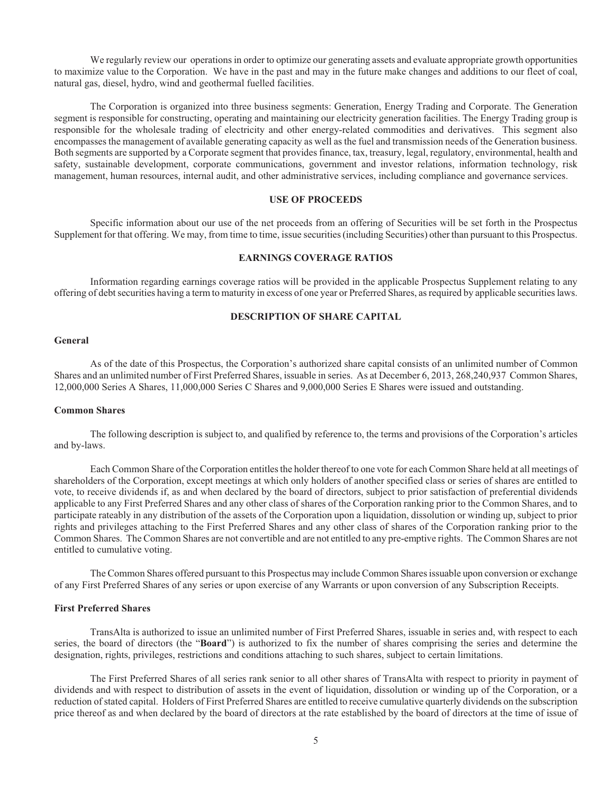We regularly review our operations in order to optimize our generating assets and evaluate appropriate growth opportunities to maximize value to the Corporation. We have in the past and may in the future make changes and additions to our fleet of coal, natural gas, diesel, hydro, wind and geothermal fuelled facilities.

The Corporation is organized into three business segments: Generation, Energy Trading and Corporate. The Generation segment is responsible for constructing, operating and maintaining our electricity generation facilities. The Energy Trading group is responsible for the wholesale trading of electricity and other energy-related commodities and derivatives. This segment also encompasses the management of available generating capacity as well as the fuel and transmission needs of the Generation business. Both segments are supported by a Corporate segment that provides finance, tax, treasury, legal, regulatory, environmental, health and safety, sustainable development, corporate communications, government and investor relations, information technology, risk management, human resources, internal audit, and other administrative services, including compliance and governance services.

## **USE OF PROCEEDS**

Specific information about our use of the net proceeds from an offering of Securities will be set forth in the Prospectus Supplement for that offering. We may, from time to time, issue securities (including Securities) other than pursuant to this Prospectus.

# **EARNINGS COVERAGE RATIOS**

Information regarding earnings coverage ratios will be provided in the applicable Prospectus Supplement relating to any offering of debt securities having a term to maturity in excess of one year or Preferred Shares, as required by applicable securities laws.

# **DESCRIPTION OF SHARE CAPITAL**

# **General**

As of the date of this Prospectus, the Corporation's authorized share capital consists of an unlimited number of Common Shares and an unlimited number of First Preferred Shares, issuable in series. As at December 6, 2013, 268,240,937 Common Shares, 12,000,000 Series A Shares, 11,000,000 Series C Shares and 9,000,000 Series E Shares were issued and outstanding.

### **Common Shares**

The following description is subject to, and qualified by reference to, the terms and provisions of the Corporation's articles and by-laws.

Each Common Share of the Corporation entitles the holder thereof to one vote for each Common Share held at all meetings of shareholders of the Corporation, except meetings at which only holders of another specified class or series of shares are entitled to vote, to receive dividends if, as and when declared by the board of directors, subject to prior satisfaction of preferential dividends applicable to any First Preferred Shares and any other class of shares of the Corporation ranking prior to the Common Shares, and to participate rateably in any distribution of the assets of the Corporation upon a liquidation, dissolution or winding up, subject to prior rights and privileges attaching to the First Preferred Shares and any other class of shares of the Corporation ranking prior to the Common Shares. The Common Shares are not convertible and are not entitled to any pre-emptive rights. The Common Shares are not entitled to cumulative voting.

The Common Shares offered pursuant to this Prospectus may include Common Shares issuable upon conversion or exchange of any First Preferred Shares of any series or upon exercise of any Warrants or upon conversion of any Subscription Receipts.

### **First Preferred Shares**

TransAlta is authorized to issue an unlimited number of First Preferred Shares, issuable in series and, with respect to each series, the board of directors (the "**Board**") is authorized to fix the number of shares comprising the series and determine the designation, rights, privileges, restrictions and conditions attaching to such shares, subject to certain limitations.

The First Preferred Shares of all series rank senior to all other shares of TransAlta with respect to priority in payment of dividends and with respect to distribution of assets in the event of liquidation, dissolution or winding up of the Corporation, or a reduction of stated capital. Holders of First Preferred Shares are entitled to receive cumulative quarterly dividends on the subscription price thereof as and when declared by the board of directors at the rate established by the board of directors at the time of issue of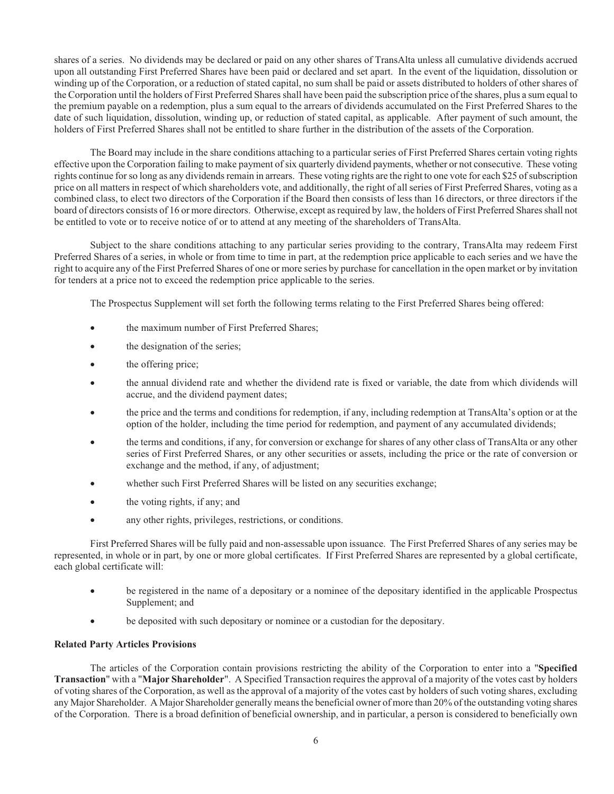shares of a series. No dividends may be declared or paid on any other shares of TransAlta unless all cumulative dividends accrued upon all outstanding First Preferred Shares have been paid or declared and set apart. In the event of the liquidation, dissolution or winding up of the Corporation, or a reduction of stated capital, no sum shall be paid or assets distributed to holders of other shares of the Corporation until the holders of First Preferred Shares shall have been paid the subscription price of the shares, plus a sum equal to the premium payable on a redemption, plus a sum equal to the arrears of dividends accumulated on the First Preferred Shares to the date of such liquidation, dissolution, winding up, or reduction of stated capital, as applicable. After payment of such amount, the holders of First Preferred Shares shall not be entitled to share further in the distribution of the assets of the Corporation.

The Board may include in the share conditions attaching to a particular series of First Preferred Shares certain voting rights effective upon the Corporation failing to make payment of six quarterly dividend payments, whether or not consecutive. These voting rights continue for so long as any dividends remain in arrears. These voting rights are the right to one vote for each \$25 of subscription price on all matters in respect of which shareholders vote, and additionally, the right of all series of First Preferred Shares, voting as a combined class, to elect two directors of the Corporation if the Board then consists of less than 16 directors, or three directors if the board of directors consists of 16 or more directors. Otherwise, except as required by law, the holders of First Preferred Shares shall not be entitled to vote or to receive notice of or to attend at any meeting of the shareholders of TransAlta.

Subject to the share conditions attaching to any particular series providing to the contrary, TransAlta may redeem First Preferred Shares of a series, in whole or from time to time in part, at the redemption price applicable to each series and we have the right to acquire any of the First Preferred Shares of one or more series by purchase for cancellation in the open market or by invitation for tenders at a price not to exceed the redemption price applicable to the series.

The Prospectus Supplement will set forth the following terms relating to the First Preferred Shares being offered:

- the maximum number of First Preferred Shares:
- the designation of the series;
- the offering price;
- ! the annual dividend rate and whether the dividend rate is fixed or variable, the date from which dividends will accrue, and the dividend payment dates;
- ! the price and the terms and conditions for redemption, if any, including redemption at TransAlta's option or at the option of the holder, including the time period for redemption, and payment of any accumulated dividends;
- ! the terms and conditions, if any, for conversion or exchange for shares of any other class of TransAlta or any other series of First Preferred Shares, or any other securities or assets, including the price or the rate of conversion or exchange and the method, if any, of adjustment;
- whether such First Preferred Shares will be listed on any securities exchange;
- the voting rights, if any; and
- ! any other rights, privileges, restrictions, or conditions.

First Preferred Shares will be fully paid and non-assessable upon issuance. The First Preferred Shares of any series may be represented, in whole or in part, by one or more global certificates. If First Preferred Shares are represented by a global certificate, each global certificate will:

- ! be registered in the name of a depositary or a nominee of the depositary identified in the applicable Prospectus Supplement; and
- ! be deposited with such depositary or nominee or a custodian for the depositary.

# **Related Party Articles Provisions**

The articles of the Corporation contain provisions restricting the ability of the Corporation to enter into a "**Specified Transaction**" with a "**Major Shareholder**". A Specified Transaction requires the approval of a majority of the votes cast by holders of voting shares of the Corporation, as well as the approval of a majority of the votes cast by holders of such voting shares, excluding any Major Shareholder. A Major Shareholder generally means the beneficial owner of more than 20% of the outstanding voting shares of the Corporation. There is a broad definition of beneficial ownership, and in particular, a person is considered to beneficially own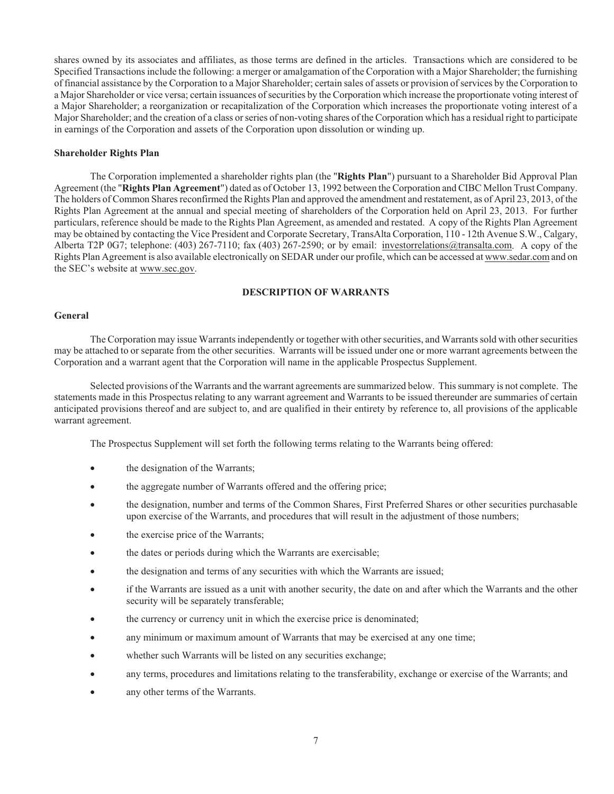shares owned by its associates and affiliates, as those terms are defined in the articles. Transactions which are considered to be Specified Transactions include the following: a merger or amalgamation of the Corporation with a Major Shareholder; the furnishing of financial assistance by the Corporation to a Major Shareholder; certain sales of assets or provision of services by the Corporation to a Major Shareholder or vice versa; certain issuances of securities by the Corporation which increase the proportionate voting interest of a Major Shareholder; a reorganization or recapitalization of the Corporation which increases the proportionate voting interest of a Major Shareholder; and the creation of a class or series of non-voting shares of the Corporation which has a residual right to participate in earnings of the Corporation and assets of the Corporation upon dissolution or winding up.

## **Shareholder Rights Plan**

The Corporation implemented a shareholder rights plan (the "**Rights Plan**") pursuant to a Shareholder Bid Approval Plan Agreement (the "**Rights Plan Agreement**") dated as of October 13, 1992 between the Corporation and CIBC Mellon Trust Company. The holders of Common Shares reconfirmed the Rights Plan and approved the amendment and restatement, as of April 23, 2013, of the Rights Plan Agreement at the annual and special meeting of shareholders of the Corporation held on April 23, 2013. For further particulars, reference should be made to the Rights Plan Agreement, as amended and restated. A copy of the Rights Plan Agreement may be obtained by contacting the Vice President and Corporate Secretary, TransAlta Corporation, 110 - 12th Avenue S.W., Calgary, Alberta T2P 0G7; telephone: (403) 267-7110; fax (403) 267-2590; or by email: investorrelations@transalta.com. A copy of the Rights Plan Agreement is also available electronically on SEDAR under our profile, which can be accessed at www.sedar.com and on the SEC's website at www.sec.gov.

# **DESCRIPTION OF WARRANTS**

# **General**

The Corporation may issue Warrants independently or together with other securities, and Warrants sold with other securities may be attached to or separate from the other securities. Warrants will be issued under one or more warrant agreements between the Corporation and a warrant agent that the Corporation will name in the applicable Prospectus Supplement.

Selected provisions of the Warrants and the warrant agreements are summarized below. This summary is not complete. The statements made in this Prospectus relating to any warrant agreement and Warrants to be issued thereunder are summaries of certain anticipated provisions thereof and are subject to, and are qualified in their entirety by reference to, all provisions of the applicable warrant agreement.

The Prospectus Supplement will set forth the following terms relating to the Warrants being offered:

- the designation of the Warrants;
- the aggregate number of Warrants offered and the offering price;
- ! the designation, number and terms of the Common Shares, First Preferred Shares or other securities purchasable upon exercise of the Warrants, and procedures that will result in the adjustment of those numbers;
- the exercise price of the Warrants;
- ! the dates or periods during which the Warrants are exercisable;
- ! the designation and terms of any securities with which the Warrants are issued;
- ! if the Warrants are issued as a unit with another security, the date on and after which the Warrants and the other security will be separately transferable;
- the currency or currency unit in which the exercise price is denominated;
- any minimum or maximum amount of Warrants that may be exercised at any one time;
- ! whether such Warrants will be listed on any securities exchange;
- ! any terms, procedures and limitations relating to the transferability, exchange or exercise of the Warrants; and
- any other terms of the Warrants.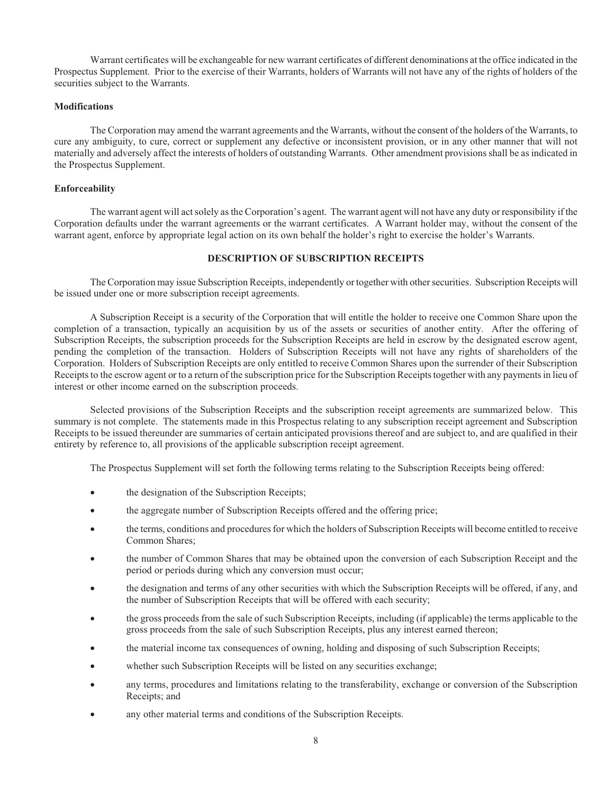Warrant certificates will be exchangeable for new warrant certificates of different denominations at the office indicated in the Prospectus Supplement. Prior to the exercise of their Warrants, holders of Warrants will not have any of the rights of holders of the securities subject to the Warrants.

## **Modifications**

The Corporation may amend the warrant agreements and the Warrants, without the consent of the holders of the Warrants, to cure any ambiguity, to cure, correct or supplement any defective or inconsistent provision, or in any other manner that will not materially and adversely affect the interests of holders of outstanding Warrants. Other amendment provisions shall be as indicated in the Prospectus Supplement.

## **Enforceability**

The warrant agent will act solely as the Corporation's agent. The warrant agent will not have any duty or responsibility if the Corporation defaults under the warrant agreements or the warrant certificates. A Warrant holder may, without the consent of the warrant agent, enforce by appropriate legal action on its own behalf the holder's right to exercise the holder's Warrants.

# **DESCRIPTION OF SUBSCRIPTION RECEIPTS**

The Corporation may issue Subscription Receipts, independently or together with other securities. Subscription Receipts will be issued under one or more subscription receipt agreements.

A Subscription Receipt is a security of the Corporation that will entitle the holder to receive one Common Share upon the completion of a transaction, typically an acquisition by us of the assets or securities of another entity. After the offering of Subscription Receipts, the subscription proceeds for the Subscription Receipts are held in escrow by the designated escrow agent, pending the completion of the transaction. Holders of Subscription Receipts will not have any rights of shareholders of the Corporation. Holders of Subscription Receipts are only entitled to receive Common Shares upon the surrender of their Subscription Receipts to the escrow agent or to a return of the subscription price for the Subscription Receipts together with any payments in lieu of interest or other income earned on the subscription proceeds.

Selected provisions of the Subscription Receipts and the subscription receipt agreements are summarized below. This summary is not complete. The statements made in this Prospectus relating to any subscription receipt agreement and Subscription Receipts to be issued thereunder are summaries of certain anticipated provisions thereof and are subject to, and are qualified in their entirety by reference to, all provisions of the applicable subscription receipt agreement.

The Prospectus Supplement will set forth the following terms relating to the Subscription Receipts being offered:

- the designation of the Subscription Receipts;
- ! the aggregate number of Subscription Receipts offered and the offering price;
- the terms, conditions and procedures for which the holders of Subscription Receipts will become entitled to receive Common Shares;
- ! the number of Common Shares that may be obtained upon the conversion of each Subscription Receipt and the period or periods during which any conversion must occur;
- ! the designation and terms of any other securities with which the Subscription Receipts will be offered, if any, and the number of Subscription Receipts that will be offered with each security;
- ! the gross proceeds from the sale of such Subscription Receipts, including (if applicable) the terms applicable to the gross proceeds from the sale of such Subscription Receipts, plus any interest earned thereon;
- ! the material income tax consequences of owning, holding and disposing of such Subscription Receipts;
- ! whether such Subscription Receipts will be listed on any securities exchange;
- ! any terms, procedures and limitations relating to the transferability, exchange or conversion of the Subscription Receipts; and
- any other material terms and conditions of the Subscription Receipts.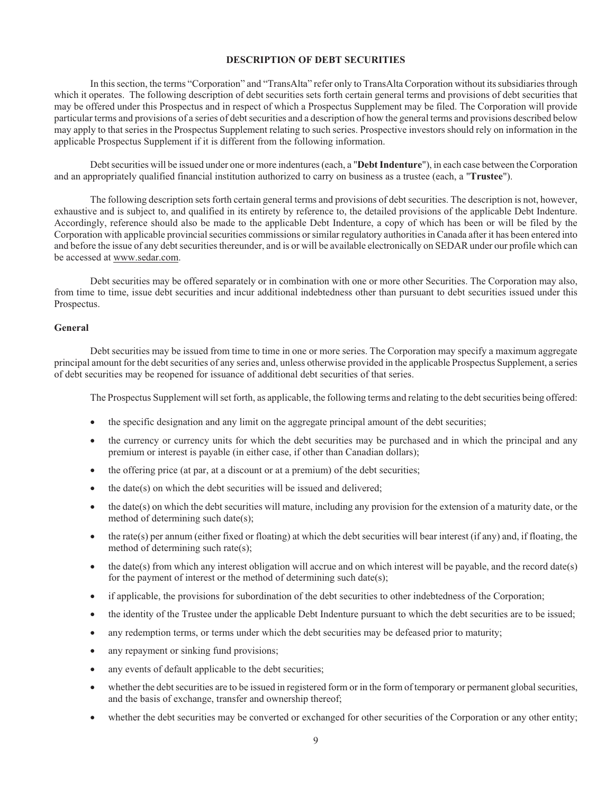## **DESCRIPTION OF DEBT SECURITIES**

In this section, the terms "Corporation" and "TransAlta" refer only to TransAlta Corporation without its subsidiaries through which it operates. The following description of debt securities sets forth certain general terms and provisions of debt securities that may be offered under this Prospectus and in respect of which a Prospectus Supplement may be filed. The Corporation will provide particular terms and provisions of a series of debt securities and a description of how the general terms and provisions described below may apply to that series in the Prospectus Supplement relating to such series. Prospective investors should rely on information in the applicable Prospectus Supplement if it is different from the following information.

Debt securities will be issued under one or more indentures (each, a "**Debt Indenture**"), in each case between the Corporation and an appropriately qualified financial institution authorized to carry on business as a trustee (each, a "**Trustee**").

The following description sets forth certain general terms and provisions of debt securities. The description is not, however, exhaustive and is subject to, and qualified in its entirety by reference to, the detailed provisions of the applicable Debt Indenture. Accordingly, reference should also be made to the applicable Debt Indenture, a copy of which has been or will be filed by the Corporation with applicable provincial securities commissions or similar regulatory authorities in Canada after it has been entered into and before the issue of any debt securities thereunder, and is or will be available electronically on SEDAR under our profile which can be accessed at www.sedar.com.

Debt securities may be offered separately or in combination with one or more other Securities. The Corporation may also, from time to time, issue debt securities and incur additional indebtedness other than pursuant to debt securities issued under this Prospectus.

#### **General**

Debt securities may be issued from time to time in one or more series. The Corporation may specify a maximum aggregate principal amount for the debt securities of any series and, unless otherwise provided in the applicable Prospectus Supplement, a series of debt securities may be reopened for issuance of additional debt securities of that series.

The Prospectus Supplement will set forth, as applicable, the following terms and relating to the debt securities being offered:

- the specific designation and any limit on the aggregate principal amount of the debt securities;
- the currency or currency units for which the debt securities may be purchased and in which the principal and any premium or interest is payable (in either case, if other than Canadian dollars);
- the offering price (at par, at a discount or at a premium) of the debt securities;
- $\bullet$  the date(s) on which the debt securities will be issued and delivered;
- $\bullet$  the date(s) on which the debt securities will mature, including any provision for the extension of a maturity date, or the method of determining such date(s);
- ! the rate(s) per annum (either fixed or floating) at which the debt securities will bear interest (if any) and, if floating, the method of determining such rate(s);
- $\bullet$  the date(s) from which any interest obligation will accrue and on which interest will be payable, and the record date(s) for the payment of interest or the method of determining such date(s);
- ! if applicable, the provisions for subordination of the debt securities to other indebtedness of the Corporation;
- the identity of the Trustee under the applicable Debt Indenture pursuant to which the debt securities are to be issued;
- ! any redemption terms, or terms under which the debt securities may be defeased prior to maturity;
- any repayment or sinking fund provisions;
- any events of default applicable to the debt securities;
- whether the debt securities are to be issued in registered form or in the form of temporary or permanent global securities, and the basis of exchange, transfer and ownership thereof;
- whether the debt securities may be converted or exchanged for other securities of the Corporation or any other entity;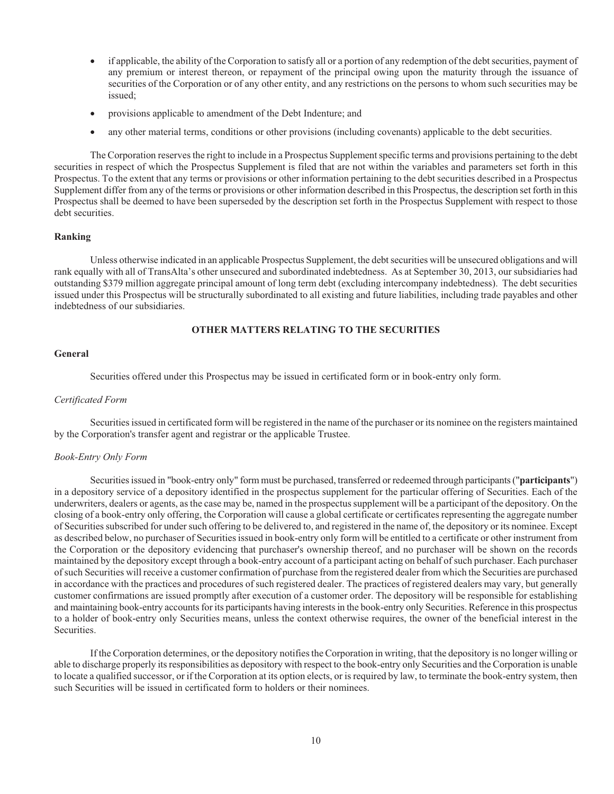- ! if applicable, the ability of the Corporation to satisfy all or a portion of any redemption of the debt securities, payment of any premium or interest thereon, or repayment of the principal owing upon the maturity through the issuance of securities of the Corporation or of any other entity, and any restrictions on the persons to whom such securities may be issued;
- provisions applicable to amendment of the Debt Indenture; and
- ! any other material terms, conditions or other provisions (including covenants) applicable to the debt securities.

The Corporation reserves the right to include in a Prospectus Supplement specific terms and provisions pertaining to the debt securities in respect of which the Prospectus Supplement is filed that are not within the variables and parameters set forth in this Prospectus. To the extent that any terms or provisions or other information pertaining to the debt securities described in a Prospectus Supplement differ from any of the terms or provisions or other information described in this Prospectus, the description set forth in this Prospectus shall be deemed to have been superseded by the description set forth in the Prospectus Supplement with respect to those debt securities.

# **Ranking**

Unless otherwise indicated in an applicable Prospectus Supplement, the debt securities will be unsecured obligations and will rank equally with all of TransAlta's other unsecured and subordinated indebtedness. As at September 30, 2013, our subsidiaries had outstanding \$379 million aggregate principal amount of long term debt (excluding intercompany indebtedness). The debt securities issued under this Prospectus will be structurally subordinated to all existing and future liabilities, including trade payables and other indebtedness of our subsidiaries.

# **OTHER MATTERS RELATING TO THE SECURITIES**

## **General**

Securities offered under this Prospectus may be issued in certificated form or in book-entry only form.

## *Certificated Form*

Securities issued in certificated form will be registered in the name of the purchaser or its nominee on the registers maintained by the Corporation's transfer agent and registrar or the applicable Trustee.

# *Book-Entry Only Form*

Securities issued in "book-entry only" form must be purchased, transferred or redeemed through participants ("**participants**") in a depository service of a depository identified in the prospectus supplement for the particular offering of Securities. Each of the underwriters, dealers or agents, as the case may be, named in the prospectus supplement will be a participant of the depository. On the closing of a book-entry only offering, the Corporation will cause a global certificate or certificates representing the aggregate number of Securities subscribed for under such offering to be delivered to, and registered in the name of, the depository or its nominee. Except as described below, no purchaser of Securities issued in book-entry only form will be entitled to a certificate or other instrument from the Corporation or the depository evidencing that purchaser's ownership thereof, and no purchaser will be shown on the records maintained by the depository except through a book-entry account of a participant acting on behalf of such purchaser. Each purchaser of such Securities will receive a customer confirmation of purchase from the registered dealer from which the Securities are purchased in accordance with the practices and procedures of such registered dealer. The practices of registered dealers may vary, but generally customer confirmations are issued promptly after execution of a customer order. The depository will be responsible for establishing and maintaining book-entry accounts for its participants having interests in the book-entry only Securities. Reference in this prospectus to a holder of book-entry only Securities means, unless the context otherwise requires, the owner of the beneficial interest in the Securities.

If the Corporation determines, or the depository notifies the Corporation in writing, that the depository is no longer willing or able to discharge properly its responsibilities as depository with respect to the book-entry only Securities and the Corporation is unable to locate a qualified successor, or if the Corporation at its option elects, or is required by law, to terminate the book-entry system, then such Securities will be issued in certificated form to holders or their nominees.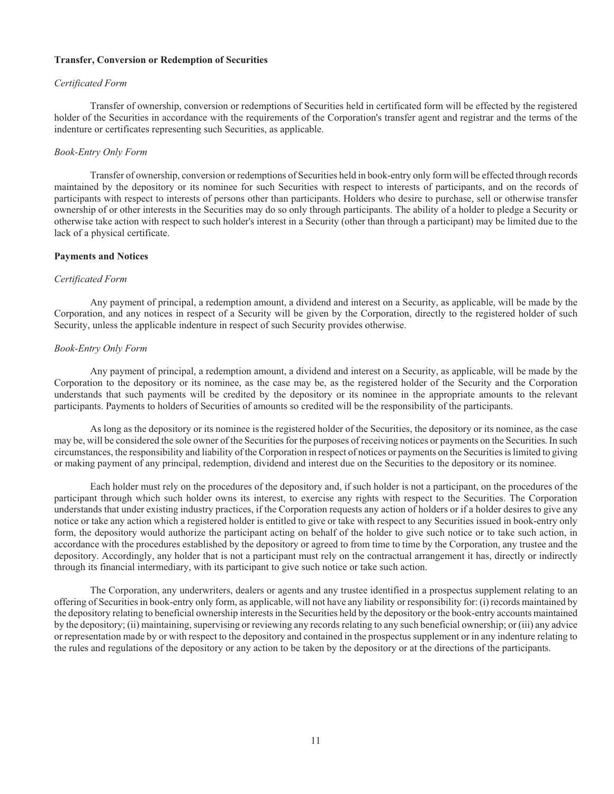## **Transfer, Conversion or Redemption of Securities**

## *Certificated Form*

Transfer of ownership, conversion or redemptions of Securities held in certificated form will be effected by the registered holder of the Securities in accordance with the requirements of the Corporation's transfer agent and registrar and the terms of the indenture or certificates representing such Securities, as applicable.

## *Book-Entry Only Form*

Transfer of ownership, conversion or redemptions of Securities held in book-entry only form will be effected through records maintained by the depository or its nominee for such Securities with respect to interests of participants, and on the records of participants with respect to interests of persons other than participants. Holders who desire to purchase, sell or otherwise transfer ownership of or other interests in the Securities may do so only through participants. The ability of a holder to pledge a Security or otherwise take action with respect to such holder's interest in a Security (other than through a participant) may be limited due to the lack of a physical certificate.

## **Payments and Notices**

# *Certificated Form*

Any payment of principal, a redemption amount, a dividend and interest on a Security, as applicable, will be made by the Corporation, and any notices in respect of a Security will be given by the Corporation, directly to the registered holder of such Security, unless the applicable indenture in respect of such Security provides otherwise.

## *Book-Entry Only Form*

Any payment of principal, a redemption amount, a dividend and interest on a Security, as applicable, will be made by the Corporation to the depository or its nominee, as the case may be, as the registered holder of the Security and the Corporation understands that such payments will be credited by the depository or its nominee in the appropriate amounts to the relevant participants. Payments to holders of Securities of amounts so credited will be the responsibility of the participants.

As long as the depository or its nominee is the registered holder of the Securities, the depository or its nominee, as the case may be, will be considered the sole owner of the Securities for the purposes of receiving notices or payments on the Securities. In such circumstances, the responsibility and liability of the Corporation in respect of notices or payments on the Securities is limited to giving or making payment of any principal, redemption, dividend and interest due on the Securities to the depository or its nominee.

Each holder must rely on the procedures of the depository and, if such holder is not a participant, on the procedures of the participant through which such holder owns its interest, to exercise any rights with respect to the Securities. The Corporation understands that under existing industry practices, if the Corporation requests any action of holders or if a holder desires to give any notice or take any action which a registered holder is entitled to give or take with respect to any Securities issued in book-entry only form, the depository would authorize the participant acting on behalf of the holder to give such notice or to take such action, in accordance with the procedures established by the depository or agreed to from time to time by the Corporation, any trustee and the depository. Accordingly, any holder that is not a participant must rely on the contractual arrangement it has, directly or indirectly through its financial intermediary, with its participant to give such notice or take such action.

The Corporation, any underwriters, dealers or agents and any trustee identified in a prospectus supplement relating to an offering of Securities in book-entry only form, as applicable, will not have any liability or responsibility for: (i) records maintained by the depository relating to beneficial ownership interests in the Securities held by the depository or the book-entry accounts maintained by the depository; (ii) maintaining, supervising or reviewing any records relating to any such beneficial ownership; or (iii) any advice or representation made by or with respect to the depository and contained in the prospectus supplement or in any indenture relating to the rules and regulations of the depository or any action to be taken by the depository or at the directions of the participants.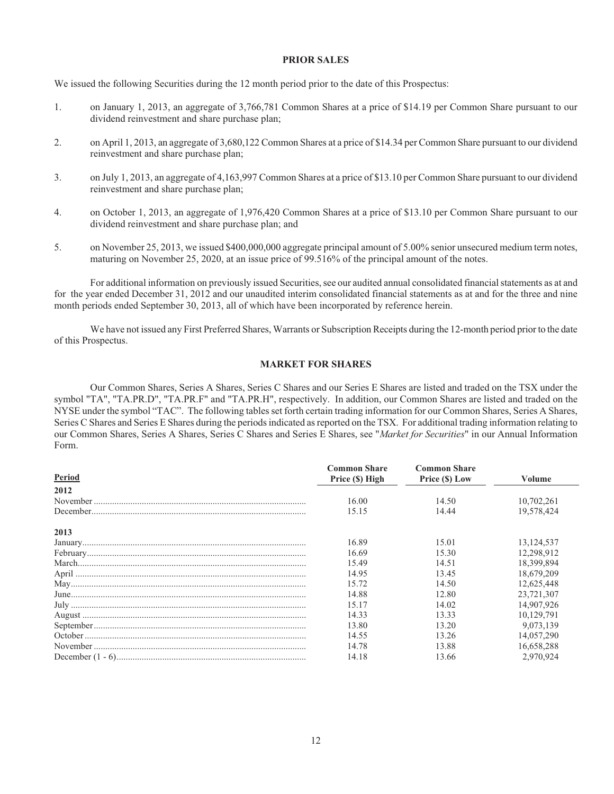# **PRIOR SALES**

We issued the following Securities during the 12 month period prior to the date of this Prospectus:

- 1. on January 1, 2013, an aggregate of 3,766,781 Common Shares at a price of \$14.19 per Common Share pursuant to our dividend reinvestment and share purchase plan;
- 2. on April 1, 2013, an aggregate of 3,680,122 Common Shares at a price of \$14.34 per Common Share pursuant to our dividend reinvestment and share purchase plan;
- 3. on July 1, 2013, an aggregate of 4,163,997 Common Shares at a price of \$13.10 per Common Share pursuant to our dividend reinvestment and share purchase plan;
- 4. on October 1, 2013, an aggregate of 1,976,420 Common Shares at a price of \$13.10 per Common Share pursuant to our dividend reinvestment and share purchase plan; and
- 5. on November 25, 2013, we issued \$400,000,000 aggregate principal amount of 5.00% senior unsecured medium term notes, maturing on November 25, 2020, at an issue price of 99.516% of the principal amount of the notes.

For additional information on previously issued Securities, see our audited annual consolidated financial statements as at and for the year ended December 31, 2012 and our unaudited interim consolidated financial statements as at and for the three and nine month periods ended September 30, 2013, all of which have been incorporated by reference herein.

We have not issued any First Preferred Shares, Warrants or Subscription Receipts during the 12-month period prior to the date of this Prospectus.

# **MARKET FOR SHARES**

Our Common Shares, Series A Shares, Series C Shares and our Series E Shares are listed and traded on the TSX under the symbol "TA", "TA.PR.D", "TA.PR.F" and "TA.PR.H", respectively. In addition, our Common Shares are listed and traded on the NYSE under the symbol "TAC". The following tables set forth certain trading information for our Common Shares, Series A Shares, Series C Shares and Series E Shares during the periods indicated as reported on the TSX. For additional trading information relating to our Common Shares, Series A Shares, Series C Shares and Series E Shares, see "*Market for Securities*" in our Annual Information Form.

| Period | <b>Common Share</b><br>Price (\$) High | <b>Common Share</b><br>Price (\$) Low | Volume       |
|--------|----------------------------------------|---------------------------------------|--------------|
| 2012   |                                        |                                       |              |
|        | 16.00                                  | 14.50                                 | 10,702,261   |
|        | 15.15                                  | 14.44                                 | 19,578,424   |
| 2013   |                                        |                                       |              |
|        | 16.89                                  | 15.01                                 | 13, 124, 537 |
|        | 16.69                                  | 15.30                                 | 12,298,912   |
|        | 15.49                                  | 14.51                                 | 18,399,894   |
|        | 14.95                                  | 13.45                                 | 18,679,209   |
|        | 15.72                                  | 14.50                                 | 12,625,448   |
|        | 14.88                                  | 12.80                                 | 23,721,307   |
|        | 15.17                                  | 14.02                                 | 14,907,926   |
|        | 14.33                                  | 13.33                                 | 10,129,791   |
|        | 13.80                                  | 13.20                                 | 9,073,139    |
|        | 14.55                                  | 13.26                                 | 14,057,290   |
|        | 14.78                                  | 13.88                                 | 16,658,288   |
|        | 14.18                                  | 13.66                                 | 2.970.924    |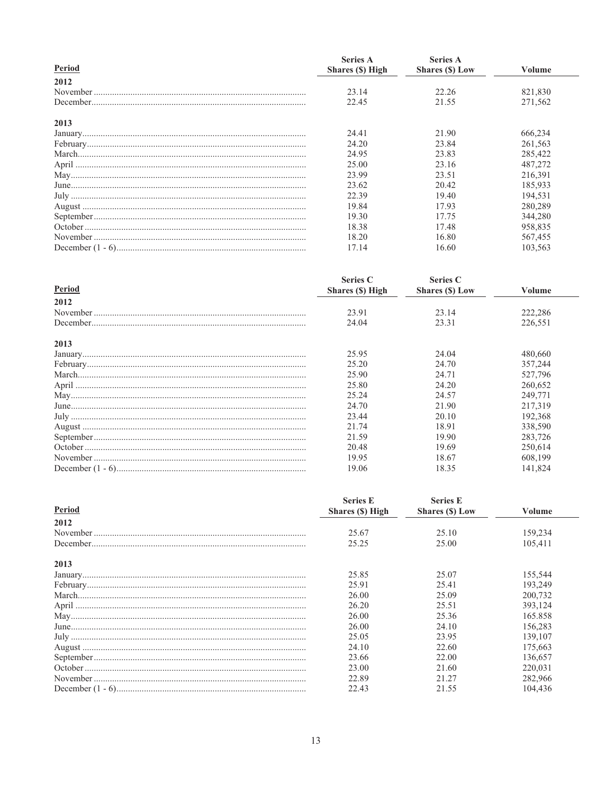| Period | <b>Series A</b><br>Shares (\$) High | <b>Series A</b><br>Shares (\$) Low | Volume  |
|--------|-------------------------------------|------------------------------------|---------|
| 2012   |                                     |                                    |         |
|        | 23.14                               | 22.26                              | 821,830 |
|        | 22.45                               | 21.55                              | 271,562 |
| 2013   |                                     |                                    |         |
|        | 24.41                               | 21.90                              | 666,234 |
|        | 24.20                               | 23.84                              | 261,563 |
|        | 24.95                               | 23.83                              | 285,422 |
|        | 25.00                               | 23.16                              | 487,272 |
|        | 23.99                               | 23.51                              | 216,391 |
|        | 23.62                               | 20.42                              | 185,933 |
|        | 22.39                               | 19.40                              | 194,531 |
|        | 19.84                               | 17.93                              | 280,289 |
|        | 19.30                               | 17.75                              | 344,280 |
|        | 18.38                               | 17.48                              | 958,835 |
|        | 18.20                               | 16.80                              | 567,455 |
|        | 17.14                               | 16.60                              | 103,563 |

| Period | Series C<br>Shares (\$) High | <b>Series C</b><br>Shares (\$) Low | Volume  |
|--------|------------------------------|------------------------------------|---------|
| 2012   |                              |                                    |         |
|        | 23.91                        | 23.14                              | 222,286 |
|        | 24.04                        | 23.31                              | 226,551 |
| 2013   |                              |                                    |         |
|        | 25.95                        | 24.04                              | 480,660 |
|        | 25.20                        | 24.70                              | 357,244 |
|        | 25.90                        | 24.71                              | 527,796 |
|        | 25.80                        | 24.20                              | 260,652 |
|        | 25.24                        | 24.57                              | 249,771 |
|        | 24.70                        | 21.90                              | 217,319 |
|        | 23.44                        | 20.10                              | 192,368 |
|        | 21.74                        | 18.91                              | 338,590 |
|        | 21.59                        | 19.90                              | 283,726 |
|        | 20.48                        | 19.69                              | 250,614 |
|        | 19.95                        | 18.67                              | 608,199 |
|        | 19.06                        | 18.35                              | 141,824 |

| Period | <b>Series E</b><br>Shares (\$) High | <b>Series E</b><br>Shares (\$) Low | Volume  |
|--------|-------------------------------------|------------------------------------|---------|
|        |                                     |                                    |         |
|        | 25.67                               | 25.10                              | 159,234 |
|        | 25.25                               | 25.00                              | 105,411 |
| 2013   |                                     |                                    |         |
|        | 25.85                               | 25.07                              | 155,544 |
|        | 25.91                               | 25.41                              | 193,249 |
|        | 26.00                               | 25.09                              | 200,732 |
|        | 26.20                               | 25.51                              | 393,124 |
|        | 26.00                               | 25.36                              | 165.858 |
|        | 26.00                               | 24.10                              | 156,283 |
|        | 25.05                               | 23.95                              | 139,107 |
|        | 24.10                               | 22.60                              | 175,663 |
|        | 23.66                               | 22.00                              | 136,657 |
|        | 23.00                               | 21.60                              | 220,031 |
|        | 22.89                               | 21.27                              | 282,966 |
|        | 22.43                               | 21.55                              | 104.436 |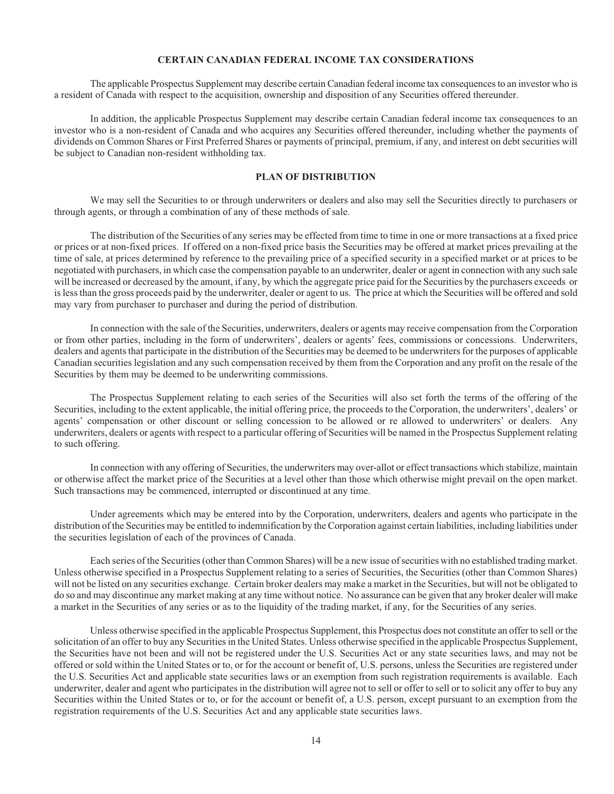## **CERTAIN CANADIAN FEDERAL INCOME TAX CONSIDERATIONS**

The applicable Prospectus Supplement may describe certain Canadian federal income tax consequences to an investor who is a resident of Canada with respect to the acquisition, ownership and disposition of any Securities offered thereunder.

In addition, the applicable Prospectus Supplement may describe certain Canadian federal income tax consequences to an investor who is a non-resident of Canada and who acquires any Securities offered thereunder, including whether the payments of dividends on Common Shares or First Preferred Shares or payments of principal, premium, if any, and interest on debt securities will be subject to Canadian non-resident withholding tax.

# **PLAN OF DISTRIBUTION**

We may sell the Securities to or through underwriters or dealers and also may sell the Securities directly to purchasers or through agents, or through a combination of any of these methods of sale.

The distribution of the Securities of any series may be effected from time to time in one or more transactions at a fixed price or prices or at non-fixed prices. If offered on a non-fixed price basis the Securities may be offered at market prices prevailing at the time of sale, at prices determined by reference to the prevailing price of a specified security in a specified market or at prices to be negotiated with purchasers, in which case the compensation payable to an underwriter, dealer or agent in connection with any such sale will be increased or decreased by the amount, if any, by which the aggregate price paid for the Securities by the purchasers exceeds or is less than the gross proceeds paid by the underwriter, dealer or agent to us. The price at which the Securities will be offered and sold may vary from purchaser to purchaser and during the period of distribution.

In connection with the sale of the Securities, underwriters, dealers or agents may receive compensation from the Corporation or from other parties, including in the form of underwriters', dealers or agents' fees, commissions or concessions. Underwriters, dealers and agents that participate in the distribution of the Securities may be deemed to be underwriters for the purposes of applicable Canadian securities legislation and any such compensation received by them from the Corporation and any profit on the resale of the Securities by them may be deemed to be underwriting commissions.

The Prospectus Supplement relating to each series of the Securities will also set forth the terms of the offering of the Securities, including to the extent applicable, the initial offering price, the proceeds to the Corporation, the underwriters', dealers' or agents' compensation or other discount or selling concession to be allowed or re allowed to underwriters' or dealers. Any underwriters, dealers or agents with respect to a particular offering of Securities will be named in the Prospectus Supplement relating to such offering.

In connection with any offering of Securities, the underwriters may over-allot or effect transactions which stabilize, maintain or otherwise affect the market price of the Securities at a level other than those which otherwise might prevail on the open market. Such transactions may be commenced, interrupted or discontinued at any time.

Under agreements which may be entered into by the Corporation, underwriters, dealers and agents who participate in the distribution of the Securities may be entitled to indemnification by the Corporation against certain liabilities, including liabilities under the securities legislation of each of the provinces of Canada.

Each series of the Securities (other than Common Shares) will be a new issue of securities with no established trading market. Unless otherwise specified in a Prospectus Supplement relating to a series of Securities, the Securities (other than Common Shares) will not be listed on any securities exchange. Certain broker dealers may make a market in the Securities, but will not be obligated to do so and may discontinue any market making at any time without notice. No assurance can be given that any broker dealer will make a market in the Securities of any series or as to the liquidity of the trading market, if any, for the Securities of any series.

Unless otherwise specified in the applicable Prospectus Supplement, this Prospectus does not constitute an offer to sell or the solicitation of an offer to buy any Securities in the United States. Unless otherwise specified in the applicable Prospectus Supplement, the Securities have not been and will not be registered under the U.S. Securities Act or any state securities laws, and may not be offered or sold within the United States or to, or for the account or benefit of, U.S. persons, unless the Securities are registered under the U.S. Securities Act and applicable state securities laws or an exemption from such registration requirements is available. Each underwriter, dealer and agent who participates in the distribution will agree not to sell or offer to sell or to solicit any offer to buy any Securities within the United States or to, or for the account or benefit of, a U.S. person, except pursuant to an exemption from the registration requirements of the U.S. Securities Act and any applicable state securities laws.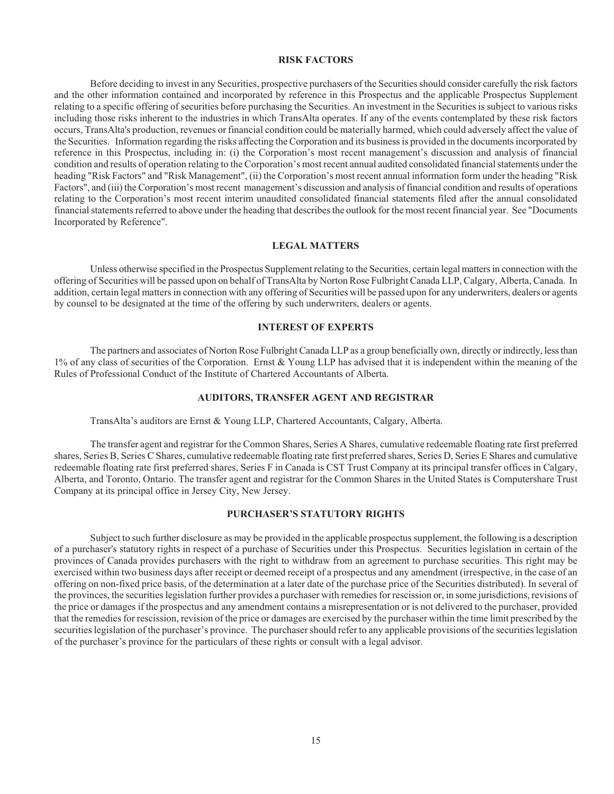# **RISK FACTORS**

Before deciding to invest in any Securities, prospective purchasers of the Securities should consider carefully the risk factors and the other information contained and incorporated by reference in this Prospectus and the applicable Prospectus Supplement relating to a specific offering of securities before purchasing the Securities. An investment in the Securities is subject to various risks including those risks inherent to the industries in which TransAlta operates. If any of the events contemplated by these risk factors occurs, TransAlta's production, revenues or financial condition could be materially harmed, which could adversely affect the value of the Securities. Information regarding the risks affecting the Corporation and its business is provided in the documents incorporated by reference in this Prospectus, including in: (i) the Corporation's most recent management's discussion and analysis of financial condition and results of operation relating to the Corporation's most recent annual audited consolidated financial statements under the heading "Risk Factors" and "Risk Management", (ii) the Corporation's most recent annual information form under the heading "Risk Factors", and (iii) the Corporation's most recent management's discussion and analysis of financial condition and results of operations relating to the Corporation's most recent interim unaudited consolidated financial statements filed after the annual consolidated financial statements referred to above under the heading that describes the outlook for the most recent financial year. See "Documents Incorporated by Reference".

## **LEGAL MATTERS**

Unless otherwise specified in the Prospectus Supplement relating to the Securities, certain legal matters in connection with the offering of Securities will be passed upon on behalf of TransAlta by Norton Rose Fulbright Canada LLP, Calgary, Alberta, Canada. In addition, certain legal matters in connection with any offering of Securities will be passed upon for any underwriters, dealers or agents by counsel to be designated at the time of the offering by such underwriters, dealers or agents.

# **INTEREST OF EXPERTS**

The partners and associates of Norton Rose Fulbright Canada LLP as a group beneficially own, directly or indirectly, less than  $1\%$  of any class of securities of the Corporation. Ernst & Young LLP has advised that it is independent within the meaning of the Rules of Professional Conduct of the Institute of Chartered Accountants of Alberta.

# **AUDITORS, TRANSFER AGENT AND REGISTRAR**

TransAlta's auditors are Ernst & Young LLP, Chartered Accountants, Calgary, Alberta.

The transfer agent and registrar for the Common Shares, Series A Shares, cumulative redeemable floating rate first preferred shares, Series B, Series C Shares, cumulative redeemable floating rate first preferred shares, Series D, Series E Shares and cumulative redeemable floating rate first preferred shares, Series F in Canada is CST Trust Company at its principal transfer offices in Calgary, Alberta, and Toronto, Ontario. The transfer agent and registrar for the Common Shares in the United States is Computershare Trust Company at its principal office in Jersey City, New Jersey.

# **PURCHASER'S STATUTORY RIGHTS**

Subject to such further disclosure as may be provided in the applicable prospectus supplement, the following is a description of a purchaser's statutory rights in respect of a purchase of Securities under this Prospectus. Securities legislation in certain of the provinces of Canada provides purchasers with the right to withdraw from an agreement to purchase securities. This right may be exercised within two business days after receipt or deemed receipt of a prospectus and any amendment (irrespective, in the case of an offering on non-fixed price basis, of the determination at a later date of the purchase price of the Securities distributed). In several of the provinces, the securities legislation further provides a purchaser with remedies for rescission or, in some jurisdictions, revisions of the price or damages if the prospectus and any amendment contains a misrepresentation or is not delivered to the purchaser, provided that the remedies for rescission, revision of the price or damages are exercised by the purchaser within the time limit prescribed by the securities legislation of the purchaser's province. The purchaser should refer to any applicable provisions of the securities legislation of the purchaser's province for the particulars of these rights or consult with a legal advisor.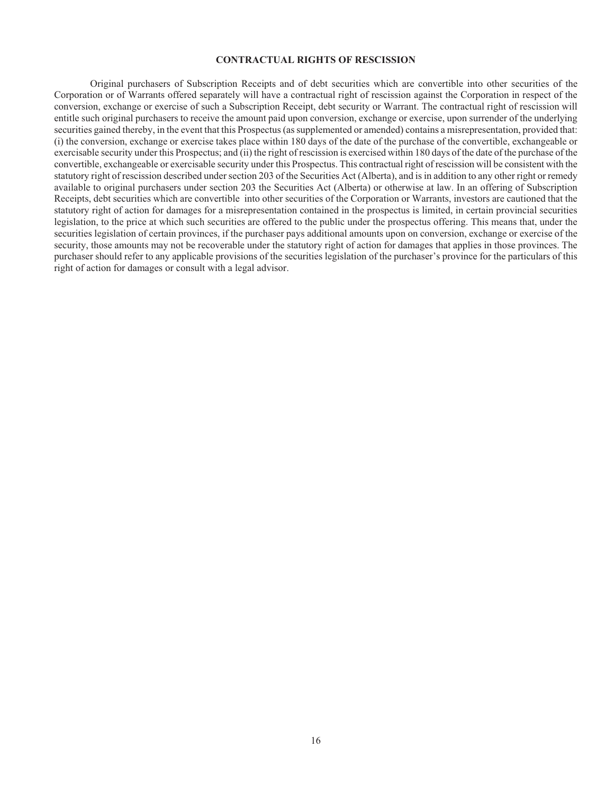# **CONTRACTUAL RIGHTS OF RESCISSION**

Original purchasers of Subscription Receipts and of debt securities which are convertible into other securities of the Corporation or of Warrants offered separately will have a contractual right of rescission against the Corporation in respect of the conversion, exchange or exercise of such a Subscription Receipt, debt security or Warrant. The contractual right of rescission will entitle such original purchasers to receive the amount paid upon conversion, exchange or exercise, upon surrender of the underlying securities gained thereby, in the event that this Prospectus (as supplemented or amended) contains a misrepresentation, provided that: (i) the conversion, exchange or exercise takes place within 180 days of the date of the purchase of the convertible, exchangeable or exercisable security under this Prospectus; and (ii) the right of rescission is exercised within 180 days of the date of the purchase of the convertible, exchangeable or exercisable security under this Prospectus. This contractual right of rescission will be consistent with the statutory right of rescission described under section 203 of the Securities Act (Alberta), and is in addition to any other right or remedy available to original purchasers under section 203 the Securities Act (Alberta) or otherwise at law. In an offering of Subscription Receipts, debt securities which are convertible into other securities of the Corporation or Warrants, investors are cautioned that the statutory right of action for damages for a misrepresentation contained in the prospectus is limited, in certain provincial securities legislation, to the price at which such securities are offered to the public under the prospectus offering. This means that, under the securities legislation of certain provinces, if the purchaser pays additional amounts upon on conversion, exchange or exercise of the security, those amounts may not be recoverable under the statutory right of action for damages that applies in those provinces. The purchaser should refer to any applicable provisions of the securities legislation of the purchaser's province for the particulars of this right of action for damages or consult with a legal advisor.